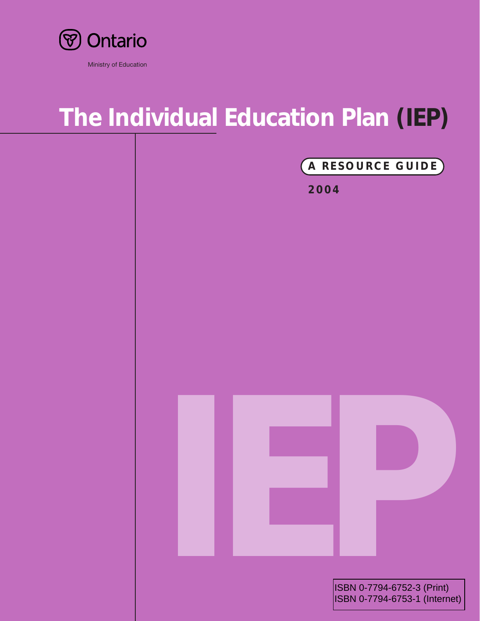

### Ministry of Education

# **The Individual Education Plan (IEP)**

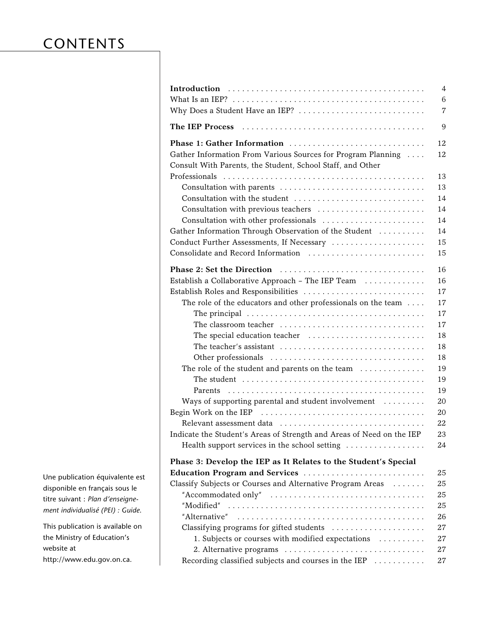# **CONTENTS**

| $\overline{4}$<br>6<br>Why Does a Student Have an IEP?<br>$\overline{7}$                                                                                              |
|-----------------------------------------------------------------------------------------------------------------------------------------------------------------------|
| 9                                                                                                                                                                     |
| Phase 1: Gather Information<br>12<br>Gather Information From Various Sources for Program Planning<br>12<br>Consult With Parents, the Student, School Staff, and Other |
| 13                                                                                                                                                                    |
| Consultation with parents<br>13                                                                                                                                       |
| 14<br>Consultation with the student                                                                                                                                   |
| Consultation with previous teachers<br>14                                                                                                                             |
| 14<br>Consultation with other professionals                                                                                                                           |
| Gather Information Through Observation of the Student<br>14                                                                                                           |
| Conduct Further Assessments, If Necessary<br>15                                                                                                                       |
| Consolidate and Record Information<br>15                                                                                                                              |
|                                                                                                                                                                       |
| 16                                                                                                                                                                    |
| Establish a Collaborative Approach - The IEP Team<br>16                                                                                                               |
| Establish Roles and Responsibilities<br>17                                                                                                                            |
| The role of the educators and other professionals on the team<br>17                                                                                                   |
| 17                                                                                                                                                                    |
| 17<br>The classroom teacher                                                                                                                                           |
| 18                                                                                                                                                                    |
| The teacher's assistant<br>18                                                                                                                                         |
| 18                                                                                                                                                                    |
| 19<br>The role of the student and parents on the team                                                                                                                 |
| 19                                                                                                                                                                    |
| 19                                                                                                                                                                    |
| Ways of supporting parental and student involvement<br>20                                                                                                             |
| 20                                                                                                                                                                    |
| 22                                                                                                                                                                    |
| Indicate the Student's Areas of Strength and Areas of Need on the IEP<br>23                                                                                           |
| Health support services in the school setting<br>24                                                                                                                   |
| Phase 3: Develop the IEP as It Relates to the Student's Special                                                                                                       |
| Education Program and Services<br>25                                                                                                                                  |
| Classify Subjects or Courses and Alternative Program Areas<br>25                                                                                                      |
| 25                                                                                                                                                                    |
| 25                                                                                                                                                                    |
| 26                                                                                                                                                                    |
| Classifying programs for gifted students<br>27                                                                                                                        |
| 1. Subjects or courses with modified expectations<br>27                                                                                                               |
| 2. Alternative programs<br>27                                                                                                                                         |
| Recording classified subjects and courses in the IEP<br>27                                                                                                            |

Une publication équivalente est disponible en français sous le titre suivant : *Plan d'enseignement individualisé (PEI) : Guide*.

This publication is available on the Ministry of Education's website at http://www.edu.gov.on.ca.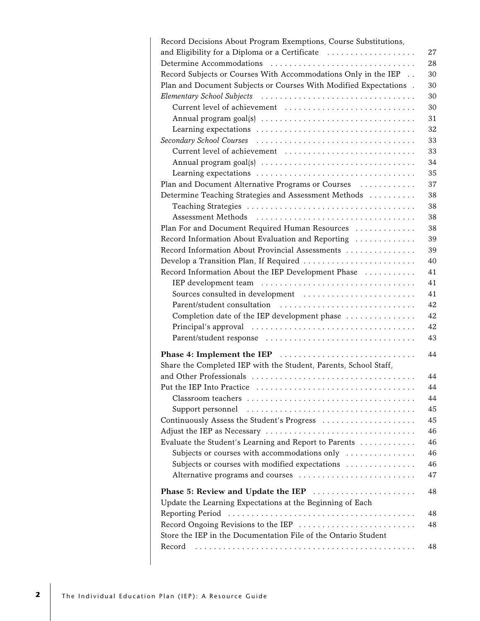| Record Decisions About Program Exemptions, Course Substitutions,         |
|--------------------------------------------------------------------------|
| and Eligibility for a Diploma or a Certificate<br>27                     |
| Determine Accommodations<br>28                                           |
| Record Subjects or Courses With Accommodations Only in the IEP<br>30     |
| 30<br>Plan and Document Subjects or Courses With Modified Expectations . |
| 30                                                                       |
| Current level of achievement<br>30                                       |
| 31                                                                       |
| 32                                                                       |
| 33                                                                       |
| Current level of achievement<br>33                                       |
| 34                                                                       |
|                                                                          |
| 35                                                                       |
| 37<br>Plan and Document Alternative Programs or Courses                  |
| 38<br>Determine Teaching Strategies and Assessment Methods               |
| 38                                                                       |
| 38                                                                       |
| Plan For and Document Required Human Resources<br>38                     |
| Record Information About Evaluation and Reporting<br>39                  |
| Record Information About Provincial Assessments<br>39                    |
| Develop a Transition Plan, If Required<br>40                             |
| Record Information About the IEP Development Phase<br>41                 |
| 41                                                                       |
| 41<br>Sources consulted in development                                   |
| Parent/student consultation<br>42                                        |
| 42<br>Completion date of the IEP development phase                       |
| 42                                                                       |
| Parent/student response<br>43                                            |
|                                                                          |
| Phase 4: Implement the IEP<br>44                                         |
| Share the Completed IEP with the Student, Parents, School Staff,         |
| 44                                                                       |
| Put the IEP Into Practice <b>Example 20</b><br>44                        |
| 44                                                                       |
| 45                                                                       |
| Continuously Assess the Student's Progress<br>45                         |
| 46                                                                       |
| 46<br>Evaluate the Student's Learning and Report to Parents              |
| Subjects or courses with accommodations only<br>46                       |
| Subjects or courses with modified expectations<br>46                     |
| Alternative programs and courses<br>47                                   |
|                                                                          |
| Phase 5: Review and Update the IEP<br>48                                 |
| Update the Learning Expectations at the Beginning of Each                |
| 48                                                                       |
| Record Ongoing Revisions to the IEP<br>48                                |
| Store the IEP in the Documentation File of the Ontario Student           |
| Record<br>48                                                             |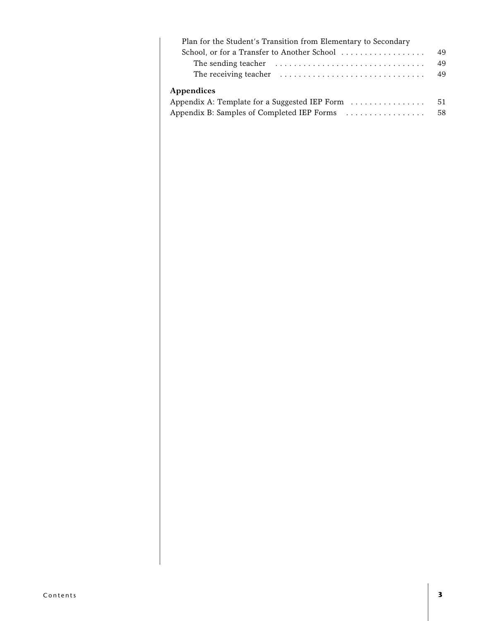| Plan for the Student's Transition from Elementary to Secondary |    |
|----------------------------------------------------------------|----|
| School, or for a Transfer to Another School                    | 49 |
|                                                                | 49 |
|                                                                | 49 |
| Appendices                                                     |    |
| Appendix A: Template for a Suggested IEP Form                  | 51 |
| Appendix B: Samples of Completed IEP Forms                     | 58 |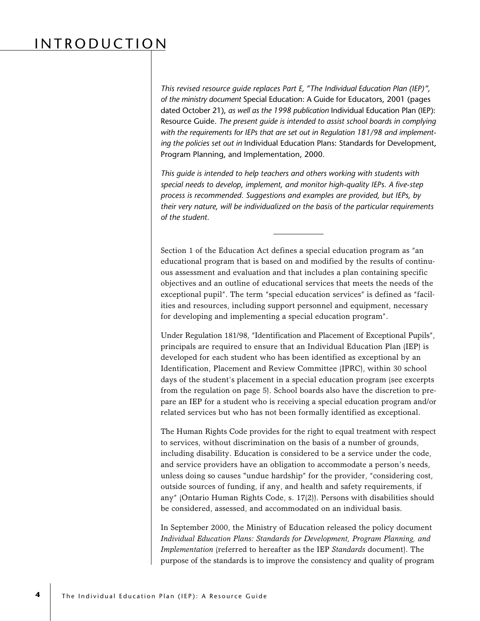# INTRODUCTION

*This revised resource guide replaces Part E, "The Individual Education Plan (IEP)", of the ministry document* Special Education: A Guide for Educators, 2001 (pages dated October 21), *as well as the 1998 publication* Individual Education Plan (IEP): Resource Guide. *The present guide is intended to assist school boards in complying with the requirements for IEPs that are set out in Regulation 181/98 and implementing the policies set out in* Individual Education Plans: Standards for Development, Program Planning, and Implementation, 2000*.*

*This guide is intended to help teachers and others working with students with special needs to develop, implement, and monitor high-quality IEPs. A five-step process is recommended. Suggestions and examples are provided, but IEPs, by their very nature, will be individualized on the basis of the particular requirements of the student.*

Section 1 of the Education Act defines a special education program as "an educational program that is based on and modified by the results of continuous assessment and evaluation and that includes a plan containing specific objectives and an outline of educational services that meets the needs of the exceptional pupil". The term "special education services" is defined as "facilities and resources, including support personnel and equipment, necessary for developing and implementing a special education program".

Under Regulation 181/98, "Identification and Placement of Exceptional Pupils", principals are required to ensure that an Individual Education Plan (IEP) is developed for each student who has been identified as exceptional by an Identification, Placement and Review Committee (IPRC), within 30 school days of the student's placement in a special education program (see excerpts from the regulation on page 5). School boards also have the discretion to prepare an IEP for a student who is receiving a special education program and/or related services but who has not been formally identified as exceptional.

The Human Rights Code provides for the right to equal treatment with respect to services, without discrimination on the basis of a number of grounds, including disability. Education is considered to be a service under the code, and service providers have an obligation to accommodate a person's needs, unless doing so causes "undue hardship" for the provider, "considering cost, outside sources of funding, if any, and health and safety requirements, if any" (Ontario Human Rights Code, s. 17(2)). Persons with disabilities should be considered, assessed, and accommodated on an individual basis.

In September 2000, the Ministry of Education released the policy document *Individual Education Plans: Standards for Development, Program Planning, and Implementation* (referred to hereafter as the IEP *Standards* document). The purpose of the standards is to improve the consistency and quality of program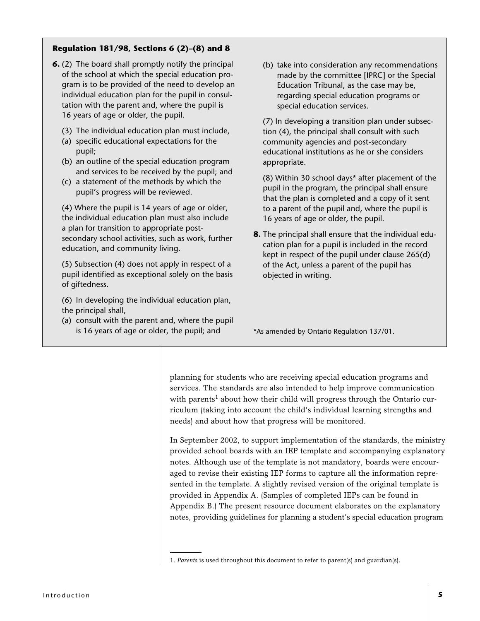### **Regulation 181/98, Sections 6 (2)–(8) and 8**

- **6.** (2) The board shall promptly notify the principal of the school at which the special education program is to be provided of the need to develop an individual education plan for the pupil in consultation with the parent and, where the pupil is 16 years of age or older, the pupil.
	- (3) The individual education plan must include,
	- (a) specific educational expectations for the pupil;
	- (b) an outline of the special education program and services to be received by the pupil; and
	- (c) a statement of the methods by which the pupil's progress will be reviewed.

(4) Where the pupil is 14 years of age or older, the individual education plan must also include a plan for transition to appropriate postsecondary school activities, such as work, further education, and community living.

(5) Subsection (4) does not apply in respect of a pupil identified as exceptional solely on the basis of giftedness.

- (6) In developing the individual education plan, the principal shall,
- (a) consult with the parent and, where the pupil is 16 years of age or older, the pupil; and

(b) take into consideration any recommendations made by the committee [IPRC] or the Special Education Tribunal, as the case may be, regarding special education programs or special education services.

(7) In developing a transition plan under subsection (4), the principal shall consult with such community agencies and post-secondary educational institutions as he or she considers appropriate.

(8) Within 30 school days\* after placement of the pupil in the program, the principal shall ensure that the plan is completed and a copy of it sent to a parent of the pupil and, where the pupil is 16 years of age or older, the pupil.

**8.** The principal shall ensure that the individual education plan for a pupil is included in the record kept in respect of the pupil under clause 265(d) of the Act, unless a parent of the pupil has objected in writing.

\*As amended by Ontario Regulation 137/01.

planning for students who are receiving special education programs and services. The standards are also intended to help improve communication with parents<sup>1</sup> about how their child will progress through the Ontario curriculum (taking into account the child's individual learning strengths and needs) and about how that progress will be monitored.

In September 2002, to support implementation of the standards, the ministry provided school boards with an IEP template and accompanying explanatory notes. Although use of the template is not mandatory, boards were encouraged to revise their existing IEP forms to capture all the information represented in the template. A slightly revised version of the original template is provided in Appendix A. (Samples of completed IEPs can be found in Appendix B.) The present resource document elaborates on the explanatory notes, providing guidelines for planning a student's special education program

<sup>1.</sup> *Parents* is used throughout this document to refer to parent(s) and guardian(s).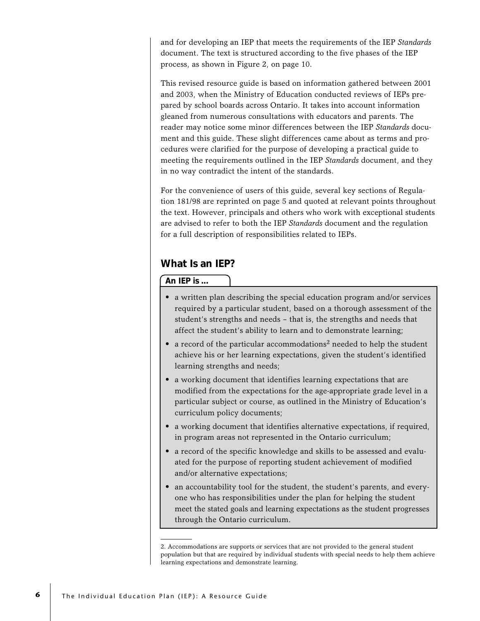and for developing an IEP that meets the requirements of the IEP *Standards* document. The text is structured according to the five phases of the IEP process, as shown in Figure 2, on page 10.

This revised resource guide is based on information gathered between 2001 and 2003, when the Ministry of Education conducted reviews of IEPs prepared by school boards across Ontario. It takes into account information gleaned from numerous consultations with educators and parents. The reader may notice some minor differences between the IEP *Standards* document and this guide. These slight differences came about as terms and procedures were clarified for the purpose of developing a practical guide to meeting the requirements outlined in the IEP *Standards* document, and they in no way contradict the intent of the standards.

For the convenience of users of this guide, several key sections of Regulation 181/98 are reprinted on page 5 and quoted at relevant points throughout the text. However, principals and others who work with exceptional students are advised to refer to both the IEP *Standards* document and the regulation for a full description of responsibilities related to IEPs.

### **What Is an IEP?**

**An IEP is ...**

- a written plan describing the special education program and/or services required by a particular student, based on a thorough assessment of the student's strengths and needs – that is, the strengths and needs that affect the student's ability to learn and to demonstrate learning;
- a record of the particular accommodations<sup>2</sup> needed to help the student achieve his or her learning expectations, given the student's identified learning strengths and needs;
- a working document that identifies learning expectations that are modified from the expectations for the age-appropriate grade level in a particular subject or course, as outlined in the Ministry of Education's curriculum policy documents;
- a working document that identifies alternative expectations, if required, in program areas not represented in the Ontario curriculum;
- a record of the specific knowledge and skills to be assessed and evaluated for the purpose of reporting student achievement of modified and/or alternative expectations;
- an accountability tool for the student, the student's parents, and everyone who has responsibilities under the plan for helping the student meet the stated goals and learning expectations as the student progresses through the Ontario curriculum.

<sup>2.</sup> Accommodations are supports or services that are not provided to the general student population but that are required by individual students with special needs to help them achieve learning expectations and demonstrate learning.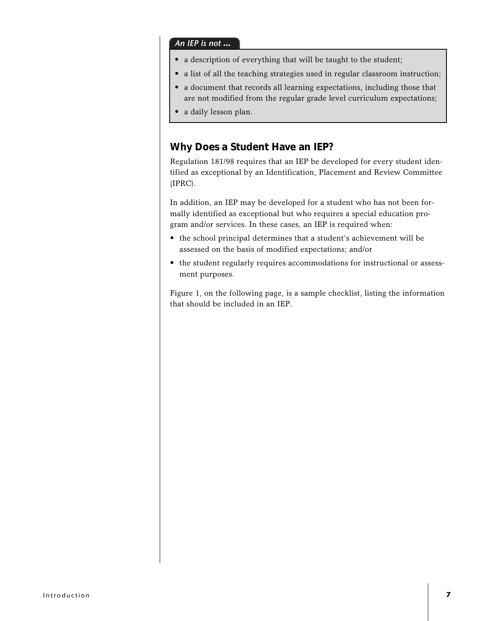### *An IEP is not* **...**

- a description of everything that will be taught to the student;
- a list of all the teaching strategies used in regular classroom instruction;
- a document that records all learning expectations, including those that are not modified from the regular grade level curriculum expectations;
- a daily lesson plan.

### **Why Does a Student Have an IEP?**

Regulation 181/98 requires that an IEP be developed for every student identified as exceptional by an Identification, Placement and Review Committee (IPRC).

In addition, an IEP may be developed for a student who has not been formally identified as exceptional but who requires a special education program and/or services. In these cases, an IEP is required when:

- the school principal determines that a student's achievement will be assessed on the basis of modified expectations; and/or
- the student regularly requires accommodations for instructional or assessment purposes.

Figure 1, on the following page, is a sample checklist, listing the information that should be included in an IEP.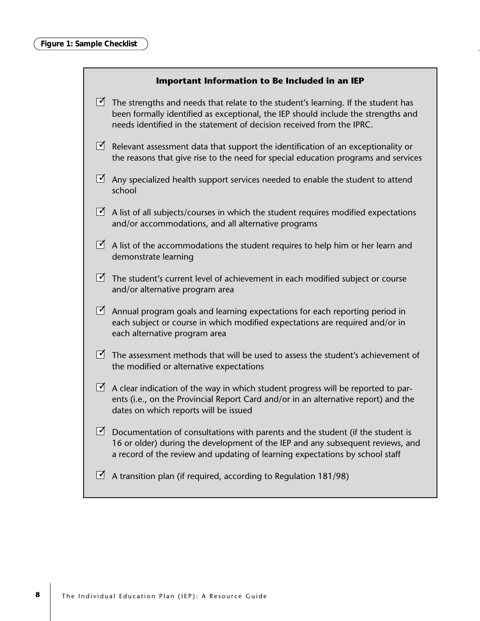### **Important Information to Be Included in an IEP**

- $\blacktriangleright$  The strengths and needs that relate to the student's learning. If the student has been formally identified as exceptional, the IEP should include the strengths and needs identified in the statement of decision received from the IPRC.
- $\vec{\Delta}$  Relevant assessment data that support the identification of an exceptionality or the reasons that give rise to the need for special education programs and services
- $\blacktriangleright$  Any specialized health support services needed to enable the student to attend school
- $\blacktriangleright$  A list of all subjects/courses in which the student requires modified expectations and/or accommodations, and all alternative programs
- $\blacktriangleright$  A list of the accommodations the student requires to help him or her learn and demonstrate learning
- $\vec{\Delta}$  The student's current level of achievement in each modified subject or course and/or alternative program area
- $\blacktriangleright$  Annual program goals and learning expectations for each reporting period in each subject or course in which modified expectations are required and/or in each alternative program area
- $\blacktriangleright$  The assessment methods that will be used to assess the student's achievement of the modified or alternative expectations
- $\blacktriangleright$  A clear indication of the way in which student progress will be reported to parents (i.e., on the Provincial Report Card and/or in an alternative report) and the dates on which reports will be issued
- $\vec{\Delta}$  Documentation of consultations with parents and the student (if the student is 16 or older) during the development of the IEP and any subsequent reviews, and a record of the review and updating of learning expectations by school staff
- $\vec{\Delta}$  A transition plan (if required, according to Regulation 181/98)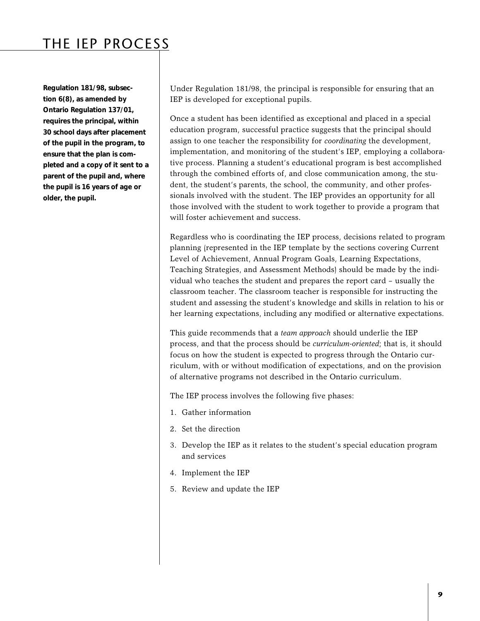## THE IEP PROCESS

**Regulation 181/98, subsection 6(8), as amended by Ontario Regulation 137/01, requires the principal, within 30 school days after placement of the pupil in the program, to ensure that the plan is completed and a copy of it sent to a parent of the pupil and, where the pupil is 16 years of age or older, the pupil.**

Under Regulation 181/98, the principal is responsible for ensuring that an IEP is developed for exceptional pupils.

Once a student has been identified as exceptional and placed in a special education program, successful practice suggests that the principal should assign to one teacher the responsibility for *coordinating* the development, implementation, and monitoring of the student's IEP, employing a collaborative process. Planning a student's educational program is best accomplished through the combined efforts of, and close communication among, the student, the student's parents, the school, the community, and other professionals involved with the student. The IEP provides an opportunity for all those involved with the student to work together to provide a program that will foster achievement and success.

Regardless who is coordinating the IEP process, decisions related to program planning (represented in the IEP template by the sections covering Current Level of Achievement, Annual Program Goals, Learning Expectations, Teaching Strategies, and Assessment Methods) should be made by the individual who teaches the student and prepares the report card – usually the classroom teacher. The classroom teacher is responsible for instructing the student and assessing the student's knowledge and skills in relation to his or her learning expectations, including any modified or alternative expectations.

This guide recommends that a *team approach* should underlie the IEP process, and that the process should be *curriculum-oriented*; that is, it should focus on how the student is expected to progress through the Ontario curriculum, with or without modification of expectations, and on the provision of alternative programs not described in the Ontario curriculum.

The IEP process involves the following five phases:

- 1. Gather information
- 2. Set the direction
- 3. Develop the IEP as it relates to the student's special education program and services
- 4. Implement the IEP
- 5. Review and update the IEP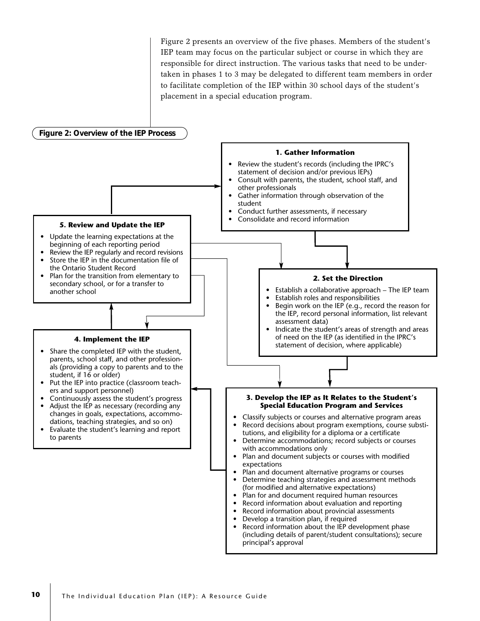Figure 2 presents an overview of the five phases. Members of the student's IEP team may focus on the particular subject or course in which they are responsible for direct instruction. The various tasks that need to be undertaken in phases 1 to 3 may be delegated to different team members in order to facilitate completion of the IEP within 30 school days of the student's placement in a special education program.

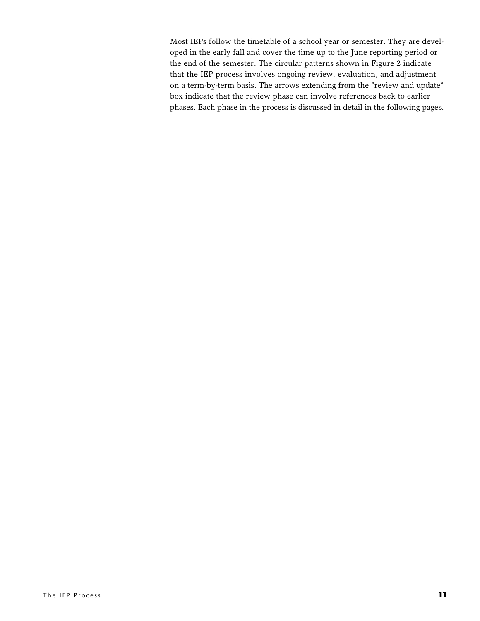Most IEPs follow the timetable of a school year or semester. They are developed in the early fall and cover the time up to the June reporting period or the end of the semester. The circular patterns shown in Figure 2 indicate that the IEP process involves ongoing review, evaluation, and adjustment on a term-by-term basis. The arrows extending from the "review and update" box indicate that the review phase can involve references back to earlier phases. Each phase in the process is discussed in detail in the following pages.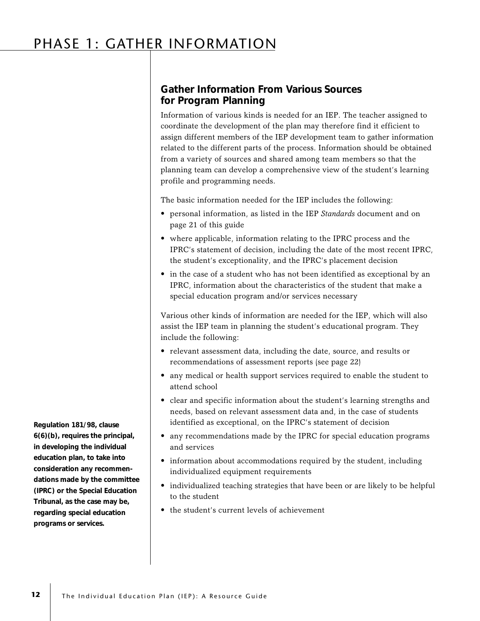# PHASE 1: GATHER INFORMATION

### **Gather Information From Various Sources for Program Planning**

Information of various kinds is needed for an IEP. The teacher assigned to coordinate the development of the plan may therefore find it efficient to assign different members of the IEP development team to gather information related to the different parts of the process. Information should be obtained from a variety of sources and shared among team members so that the planning team can develop a comprehensive view of the student's learning profile and programming needs.

The basic information needed for the IEP includes the following:

- personal information, as listed in the IEP *Standards* document and on page 21 of this guide
- where applicable, information relating to the IPRC process and the IPRC's statement of decision, including the date of the most recent IPRC, the student's exceptionality, and the IPRC's placement decision
- in the case of a student who has not been identified as exceptional by an IPRC, information about the characteristics of the student that make a special education program and/or services necessary

Various other kinds of information are needed for the IEP, which will also assist the IEP team in planning the student's educational program. They include the following:

- relevant assessment data, including the date, source, and results or recommendations of assessment reports (see page 22)
- any medical or health support services required to enable the student to attend school
- clear and specific information about the student's learning strengths and needs, based on relevant assessment data and, in the case of students identified as exceptional, on the IPRC's statement of decision
- any recommendations made by the IPRC for special education programs and services
- information about accommodations required by the student, including individualized equipment requirements
- individualized teaching strategies that have been or are likely to be helpful to the student
- the student's current levels of achievement

**Regulation 181/98, clause 6(6)(b), requires the principal, in developing the individual education plan, to take into consideration any recommendations made by the committee (IPRC) or the Special Education Tribunal, as the case may be, regarding special education programs or services.**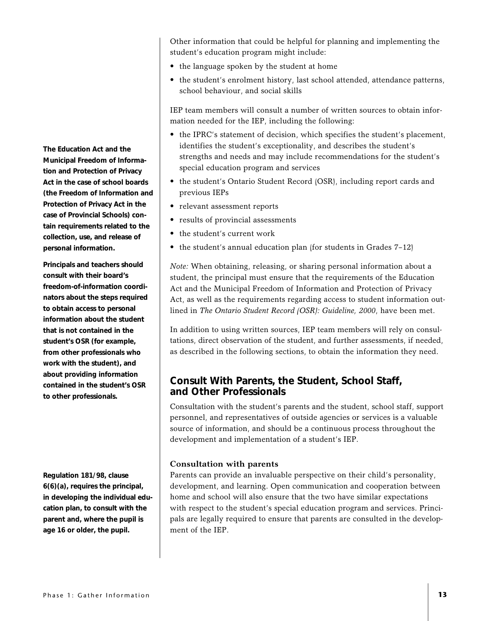**The Education Act and the Municipal Freedom of Information and Protection of Privacy Act in the case of school boards (the Freedom of Information and Protection of Privacy Act in the case of Provincial Schools) contain requirements related to the collection, use, and release of personal information.**

**Principals and teachers should consult with their board's freedom-of-information coordinators about the steps required to obtain access to personal information about the student that is not contained in the student's OSR (for example, from other professionals who work with the student), and about providing information contained in the student's OSR to other professionals.**

**Regulation 181/98, clause 6(6)(a), requires the principal, in developing the individual education plan, to consult with the parent and, where the pupil is age 16 or older, the pupil.**

Other information that could be helpful for planning and implementing the student's education program might include:

- the language spoken by the student at home
- the student's enrolment history, last school attended, attendance patterns, school behaviour, and social skills

IEP team members will consult a number of written sources to obtain information needed for the IEP, including the following:

- the IPRC's statement of decision, which specifies the student's placement, identifies the student's exceptionality, and describes the student's strengths and needs and may include recommendations for the student's special education program and services
- the student's Ontario Student Record (OSR), including report cards and previous IEPs
- relevant assessment reports
- results of provincial assessments
- the student's current work
- the student's annual education plan (for students in Grades 7–12)

*Note:* When obtaining, releasing, or sharing personal information about a student, the principal must ensure that the requirements of the Education Act and the Municipal Freedom of Information and Protection of Privacy Act, as well as the requirements regarding access to student information outlined in *The Ontario Student Record (OSR): Guideline, 2000*, have been met.

In addition to using written sources, IEP team members will rely on consultations, direct observation of the student, and further assessments, if needed, as described in the following sections, to obtain the information they need.

### **Consult With Parents, the Student, School Staff, and Other Professionals**

Consultation with the student's parents and the student, school staff, support personnel, and representatives of outside agencies or services is a valuable source of information, and should be a continuous process throughout the development and implementation of a student's IEP.

### **Consultation with parents**

Parents can provide an invaluable perspective on their child's personality, development, and learning. Open communication and cooperation between home and school will also ensure that the two have similar expectations with respect to the student's special education program and services. Principals are legally required to ensure that parents are consulted in the development of the IEP.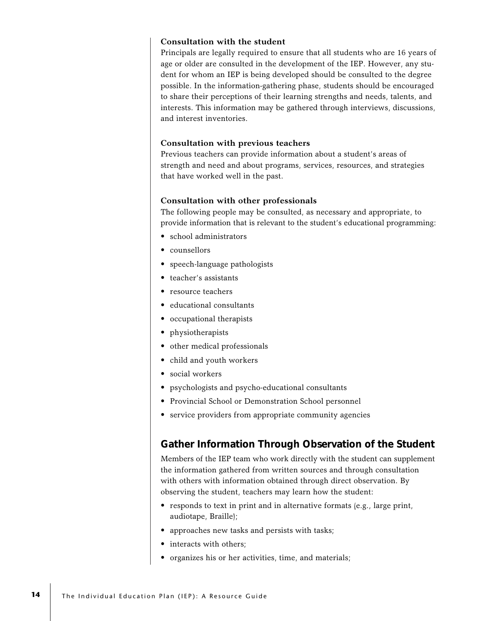### **Consultation with the student**

Principals are legally required to ensure that all students who are 16 years of age or older are consulted in the development of the IEP. However, any student for whom an IEP is being developed should be consulted to the degree possible. In the information-gathering phase, students should be encouraged to share their perceptions of their learning strengths and needs, talents, and interests. This information may be gathered through interviews, discussions, and interest inventories.

### **Consultation with previous teachers**

Previous teachers can provide information about a student's areas of strength and need and about programs, services, resources, and strategies that have worked well in the past.

### **Consultation with other professionals**

The following people may be consulted, as necessary and appropriate, to provide information that is relevant to the student's educational programming:

- school administrators
- counsellors
- speech-language pathologists
- teacher's assistants
- resource teachers
- educational consultants
- occupational therapists
- physiotherapists
- other medical professionals
- child and youth workers
- social workers
- psychologists and psycho-educational consultants
- Provincial School or Demonstration School personnel
- service providers from appropriate community agencies

### **Gather Information Through Observation of the Student**

Members of the IEP team who work directly with the student can supplement the information gathered from written sources and through consultation with others with information obtained through direct observation. By observing the student, teachers may learn how the student:

- responds to text in print and in alternative formats (e.g., large print, audiotape, Braille);
- approaches new tasks and persists with tasks;
- interacts with others;
- organizes his or her activities, time, and materials;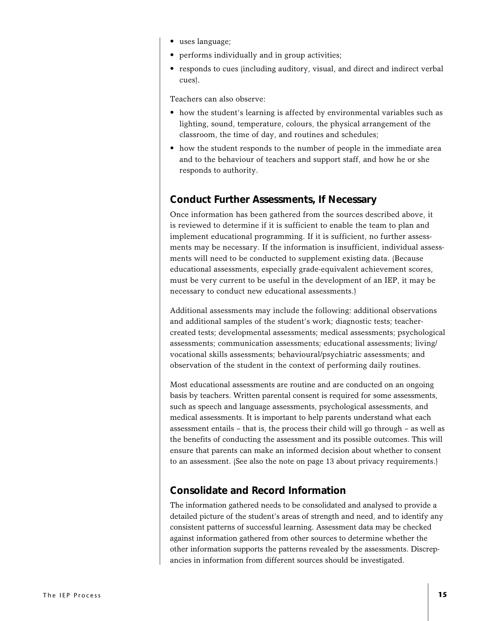- uses language;
- performs individually and in group activities;
- responds to cues (including auditory, visual, and direct and indirect verbal cues).

Teachers can also observe:

- how the student's learning is affected by environmental variables such as lighting, sound, temperature, colours, the physical arrangement of the classroom, the time of day, and routines and schedules;
- how the student responds to the number of people in the immediate area and to the behaviour of teachers and support staff, and how he or she responds to authority.

### **Conduct Further Assessments, If Necessary**

Once information has been gathered from the sources described above, it is reviewed to determine if it is sufficient to enable the team to plan and implement educational programming. If it is sufficient, no further assessments may be necessary. If the information is insufficient, individual assessments will need to be conducted to supplement existing data. (Because educational assessments, especially grade-equivalent achievement scores, must be very current to be useful in the development of an IEP, it may be necessary to conduct new educational assessments.)

Additional assessments may include the following: additional observations and additional samples of the student's work; diagnostic tests; teachercreated tests; developmental assessments; medical assessments; psychological assessments; communication assessments; educational assessments; living/ vocational skills assessments; behavioural/psychiatric assessments; and observation of the student in the context of performing daily routines.

Most educational assessments are routine and are conducted on an ongoing basis by teachers. Written parental consent is required for some assessments, such as speech and language assessments, psychological assessments, and medical assessments. It is important to help parents understand what each assessment entails – that is, the process their child will go through – as well as the benefits of conducting the assessment and its possible outcomes. This will ensure that parents can make an informed decision about whether to consent to an assessment. (See also the note on page 13 about privacy requirements.)

### **Consolidate and Record Information**

The information gathered needs to be consolidated and analysed to provide a detailed picture of the student's areas of strength and need, and to identify any consistent patterns of successful learning. Assessment data may be checked against information gathered from other sources to determine whether the other information supports the patterns revealed by the assessments. Discrepancies in information from different sources should be investigated.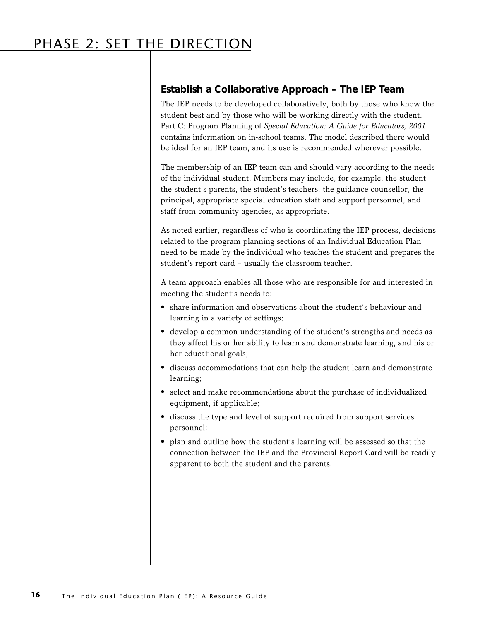### **Establish a Collaborative Approach – The IEP Team**

The IEP needs to be developed collaboratively, both by those who know the student best and by those who will be working directly with the student. Part C: Program Planning of *Special Education: A Guide for Educators, 2001* contains information on in-school teams. The model described there would be ideal for an IEP team, and its use is recommended wherever possible.

The membership of an IEP team can and should vary according to the needs of the individual student. Members may include, for example, the student, the student's parents, the student's teachers, the guidance counsellor, the principal, appropriate special education staff and support personnel, and staff from community agencies, as appropriate.

As noted earlier, regardless of who is coordinating the IEP process, decisions related to the program planning sections of an Individual Education Plan need to be made by the individual who teaches the student and prepares the student's report card – usually the classroom teacher.

A team approach enables all those who are responsible for and interested in meeting the student's needs to:

- share information and observations about the student's behaviour and learning in a variety of settings;
- develop a common understanding of the student's strengths and needs as they affect his or her ability to learn and demonstrate learning, and his or her educational goals;
- discuss accommodations that can help the student learn and demonstrate learning;
- select and make recommendations about the purchase of individualized equipment, if applicable;
- discuss the type and level of support required from support services personnel;
- plan and outline how the student's learning will be assessed so that the connection between the IEP and the Provincial Report Card will be readily apparent to both the student and the parents.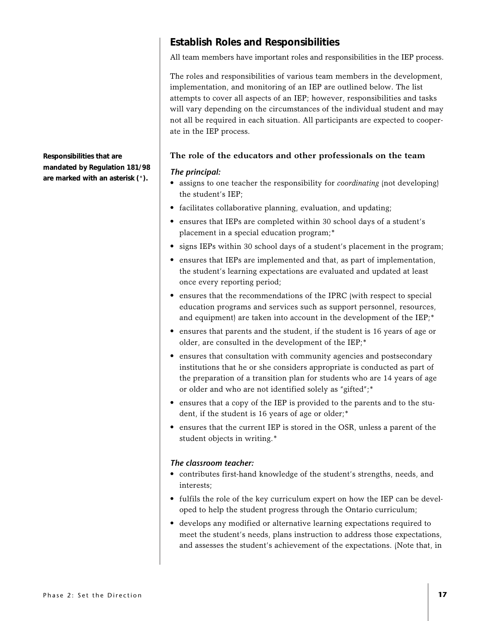**Responsibilities that are mandated by Regulation 181/98 are marked with an asterisk (**\***).**

### **Establish Roles and Responsibilities**

All team members have important roles and responsibilities in the IEP process.

The roles and responsibilities of various team members in the development, implementation, and monitoring of an IEP are outlined below. The list attempts to cover all aspects of an IEP; however, responsibilities and tasks will vary depending on the circumstances of the individual student and may not all be required in each situation. All participants are expected to cooperate in the IEP process.

### **The role of the educators and other professionals on the team**

### *The principal:*

- assigns to one teacher the responsibility for *coordinating* (not developing) the student's IEP;
- facilitates collaborative planning, evaluation, and updating;
- ensures that IEPs are completed within 30 school days of a student's placement in a special education program;\*
- signs IEPs within 30 school days of a student's placement in the program;
- ensures that IEPs are implemented and that, as part of implementation, the student's learning expectations are evaluated and updated at least once every reporting period;
- ensures that the recommendations of the IPRC (with respect to special education programs and services such as support personnel, resources, and equipment) are taken into account in the development of the IEP;<sup>\*</sup>
- ensures that parents and the student, if the student is 16 years of age or older, are consulted in the development of the IEP;\*
- ensures that consultation with community agencies and postsecondary institutions that he or she considers appropriate is conducted as part of the preparation of a transition plan for students who are 14 years of age or older and who are not identified solely as "gifted";\*
- ensures that a copy of the IEP is provided to the parents and to the student, if the student is 16 years of age or older;<sup>\*</sup>
- ensures that the current IEP is stored in the OSR, unless a parent of the student objects in writing.\*

### *The classroom teacher:*

- contributes first-hand knowledge of the student's strengths, needs, and interests;
- fulfils the role of the key curriculum expert on how the IEP can be developed to help the student progress through the Ontario curriculum;
- develops any modified or alternative learning expectations required to meet the student's needs, plans instruction to address those expectations, and assesses the student's achievement of the expectations. (Note that, in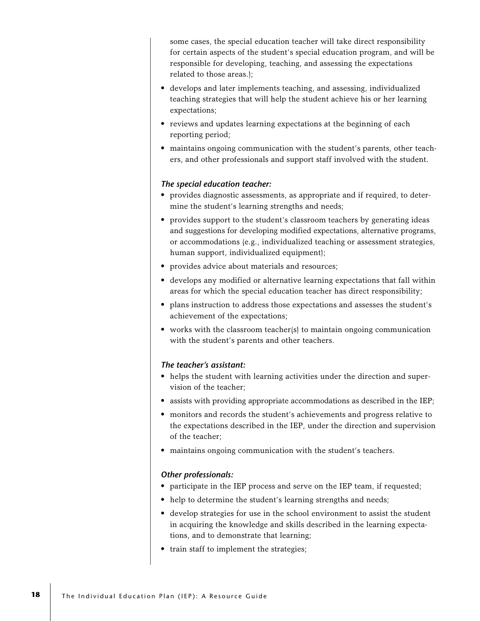some cases, the special education teacher will take direct responsibility for certain aspects of the student's special education program, and will be responsible for developing, teaching, and assessing the expectations related to those areas.);

- develops and later implements teaching, and assessing, individualized teaching strategies that will help the student achieve his or her learning expectations;
- reviews and updates learning expectations at the beginning of each reporting period;
- maintains ongoing communication with the student's parents, other teachers, and other professionals and support staff involved with the student.

### *The special education teacher:*

- provides diagnostic assessments, as appropriate and if required, to determine the student's learning strengths and needs;
- provides support to the student's classroom teachers by generating ideas and suggestions for developing modified expectations, alternative programs, or accommodations (e.g., individualized teaching or assessment strategies, human support, individualized equipment);
- provides advice about materials and resources;
- develops any modified or alternative learning expectations that fall within areas for which the special education teacher has direct responsibility;
- plans instruction to address those expectations and assesses the student's achievement of the expectations;
- works with the classroom teacher(s) to maintain ongoing communication with the student's parents and other teachers.

### *The teacher's assistant:*

- helps the student with learning activities under the direction and supervision of the teacher;
- assists with providing appropriate accommodations as described in the IEP;
- monitors and records the student's achievements and progress relative to the expectations described in the IEP, under the direction and supervision of the teacher;
- maintains ongoing communication with the student's teachers.

### *Other professionals:*

- participate in the IEP process and serve on the IEP team, if requested;
- help to determine the student's learning strengths and needs;
- develop strategies for use in the school environment to assist the student in acquiring the knowledge and skills described in the learning expectations, and to demonstrate that learning;
- train staff to implement the strategies;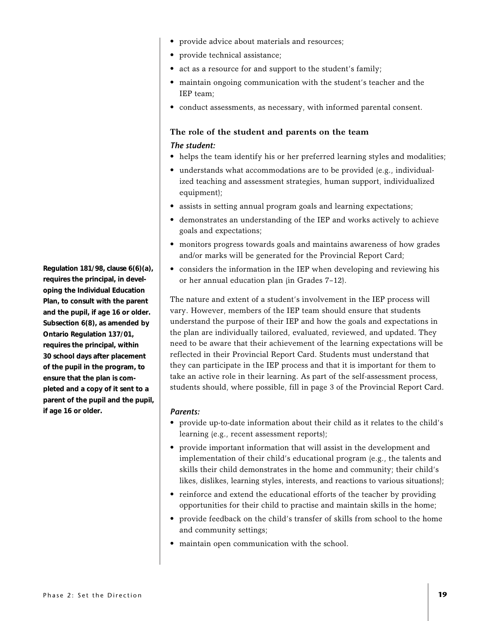- provide advice about materials and resources;
- provide technical assistance;
- act as a resource for and support to the student's family;
- maintain ongoing communication with the student's teacher and the IEP team;
- conduct assessments, as necessary, with informed parental consent.

### **The role of the student and parents on the team** *The student:*

- helps the team identify his or her preferred learning styles and modalities;
- understands what accommodations are to be provided (e.g., individualized teaching and assessment strategies, human support, individualized equipment);
- assists in setting annual program goals and learning expectations;
- demonstrates an understanding of the IEP and works actively to achieve goals and expectations;
- monitors progress towards goals and maintains awareness of how grades and/or marks will be generated for the Provincial Report Card;
- considers the information in the IEP when developing and reviewing his or her annual education plan (in Grades 7–12).

The nature and extent of a student's involvement in the IEP process will vary. However, members of the IEP team should ensure that students understand the purpose of their IEP and how the goals and expectations in the plan are individually tailored, evaluated, reviewed, and updated. They need to be aware that their achievement of the learning expectations will be reflected in their Provincial Report Card. Students must understand that they can participate in the IEP process and that it is important for them to take an active role in their learning. As part of the self-assessment process, students should, where possible, fill in page 3 of the Provincial Report Card.

### *Parents:*

- provide up-to-date information about their child as it relates to the child's learning (e.g., recent assessment reports);
- provide important information that will assist in the development and implementation of their child's educational program (e.g., the talents and skills their child demonstrates in the home and community; their child's likes, dislikes, learning styles, interests, and reactions to various situations);
- reinforce and extend the educational efforts of the teacher by providing opportunities for their child to practise and maintain skills in the home;
- provide feedback on the child's transfer of skills from school to the home and community settings;
- maintain open communication with the school.

**Regulation 181/98, clause 6(6)(a), requires the principal, in developing the Individual Education Plan, to consult with the parent and the pupil, if age 16 or older. Subsection 6(8), as amended by Ontario Regulation 137/01, requires the principal, within 30 school days after placement of the pupil in the program, to ensure that the plan is completed and a copy of it sent to a parent of the pupil and the pupil, if age 16 or older.**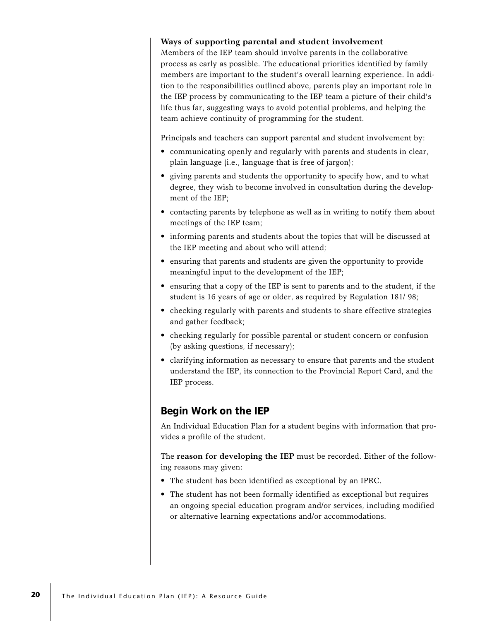### **Ways of supporting parental and student involvement**

Members of the IEP team should involve parents in the collaborative process as early as possible. The educational priorities identified by family members are important to the student's overall learning experience. In addition to the responsibilities outlined above, parents play an important role in the IEP process by communicating to the IEP team a picture of their child's life thus far, suggesting ways to avoid potential problems, and helping the team achieve continuity of programming for the student.

Principals and teachers can support parental and student involvement by:

- communicating openly and regularly with parents and students in clear, plain language (i.e., language that is free of jargon);
- giving parents and students the opportunity to specify how, and to what degree, they wish to become involved in consultation during the development of the IEP;
- contacting parents by telephone as well as in writing to notify them about meetings of the IEP team;
- informing parents and students about the topics that will be discussed at the IEP meeting and about who will attend;
- ensuring that parents and students are given the opportunity to provide meaningful input to the development of the IEP;
- ensuring that a copy of the IEP is sent to parents and to the student, if the student is 16 years of age or older, as required by Regulation 181/ 98;
- checking regularly with parents and students to share effective strategies and gather feedback;
- checking regularly for possible parental or student concern or confusion (by asking questions, if necessary);
- clarifying information as necessary to ensure that parents and the student understand the IEP, its connection to the Provincial Report Card, and the IEP process.

### **Begin Work on the IEP**

An Individual Education Plan for a student begins with information that provides a profile of the student.

The **reason for developing the IEP** must be recorded. Either of the following reasons may given:

- The student has been identified as exceptional by an IPRC.
- The student has not been formally identified as exceptional but requires an ongoing special education program and/or services, including modified or alternative learning expectations and/or accommodations.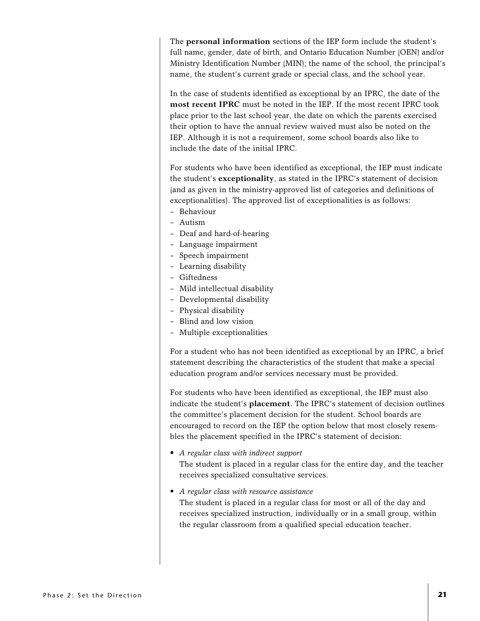The **personal information** sections of the IEP form include the student's full name, gender, date of birth, and Ontario Education Number (OEN) and/or Ministry Identification Number (MIN); the name of the school, the principal's name, the student's current grade or special class, and the school year.

In the case of students identified as exceptional by an IPRC, the date of the **most recent IPRC** must be noted in the IEP. If the most recent IPRC took place prior to the last school year, the date on which the parents exercised their option to have the annual review waived must also be noted on the IEP. Although it is not a requirement, some school boards also like to include the date of the initial IPRC.

For students who have been identified as exceptional, the IEP must indicate the student's **exceptionality**, as stated in the IPRC's statement of decision (and as given in the ministry-approved list of categories and definitions of exceptionalities). The approved list of exceptionalities is as follows:

- Behaviour
- Autism
- Deaf and hard-of-hearing
- Language impairment
- Speech impairment
- Learning disability
- Giftedness
- Mild intellectual disability
- Developmental disability
- Physical disability
- Blind and low vision
- Multiple exceptionalities

For a student who has not been identified as exceptional by an IPRC, a brief statement describing the characteristics of the student that make a special education program and/or services necessary must be provided.

For students who have been identified as exceptional, the IEP must also indicate the student's **placement**. The IPRC's statement of decision outlines the committee's placement decision for the student. School boards are encouraged to record on the IEP the option below that most closely resembles the placement specified in the IPRC's statement of decision:

- *A regular class with indirect support* The student is placed in a regular class for the entire day, and the teacher receives specialized consultative services.
- *A regular class with resource assistance* The student is placed in a regular class for most or all of the day and receives specialized instruction, individually or in a small group, within the regular classroom from a qualified special education teacher.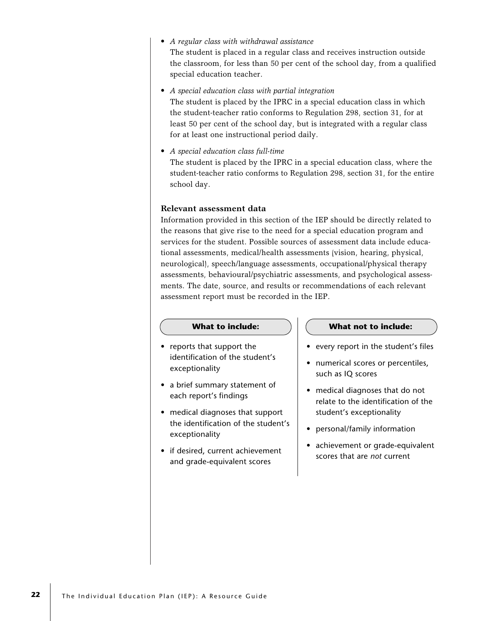• *A regular class with withdrawal assistance*

The student is placed in a regular class and receives instruction outside the classroom, for less than 50 per cent of the school day, from a qualified special education teacher.

• *A special education class with partial integration*

The student is placed by the IPRC in a special education class in which the student-teacher ratio conforms to Regulation 298, section 31, for at least 50 per cent of the school day, but is integrated with a regular class for at least one instructional period daily.

• *A special education class full-time* The student is placed by the IPRC in a special education class, where the student-teacher ratio conforms to Regulation 298, section 31, for the entire school day.

### **Relevant assessment data**

Information provided in this section of the IEP should be directly related to the reasons that give rise to the need for a special education program and services for the student. Possible sources of assessment data include educational assessments, medical/health assessments (vision, hearing, physical, neurological), speech/language assessments, occupational/physical therapy assessments, behavioural/psychiatric assessments, and psychological assessments. The date, source, and results or recommendations of each relevant assessment report must be recorded in the IEP.

- reports that support the identification of the student's exceptionality
- a brief summary statement of each report's findings
- medical diagnoses that support the identification of the student's exceptionality
- if desired, current achievement and grade-equivalent scores

### **What to include: What not to include:**

- every report in the student's files
- numerical scores or percentiles, such as IQ scores
- medical diagnoses that do not relate to the identification of the student's exceptionality
- personal/family information
- achievement or grade-equivalent scores that are *not* current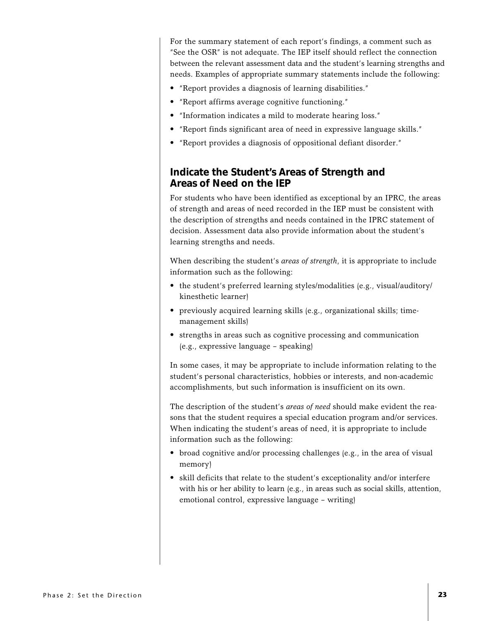For the summary statement of each report's findings, a comment such as "See the OSR" is not adequate. The IEP itself should reflect the connection between the relevant assessment data and the student's learning strengths and needs. Examples of appropriate summary statements include the following:

- "Report provides a diagnosis of learning disabilities."
- "Report affirms average cognitive functioning."
- "Information indicates a mild to moderate hearing loss."
- "Report finds significant area of need in expressive language skills."
- "Report provides a diagnosis of oppositional defiant disorder."

### **Indicate the Student's Areas of Strength and Areas of Need on the IEP**

For students who have been identified as exceptional by an IPRC, the areas of strength and areas of need recorded in the IEP must be consistent with the description of strengths and needs contained in the IPRC statement of decision. Assessment data also provide information about the student's learning strengths and needs.

When describing the student's *areas of strength*, it is appropriate to include information such as the following:

- the student's preferred learning styles/modalities (e.g., visual/auditory/ kinesthetic learner)
- previously acquired learning skills (e.g., organizational skills; timemanagement skills)
- strengths in areas such as cognitive processing and communication (e.g., expressive language – speaking)

In some cases, it may be appropriate to include information relating to the student's personal characteristics, hobbies or interests, and non-academic accomplishments, but such information is insufficient on its own.

The description of the student's *areas of need* should make evident the reasons that the student requires a special education program and/or services. When indicating the student's areas of need, it is appropriate to include information such as the following:

- broad cognitive and/or processing challenges (e.g., in the area of visual memory)
- skill deficits that relate to the student's exceptionality and/or interfere with his or her ability to learn (e.g., in areas such as social skills, attention, emotional control, expressive language – writing)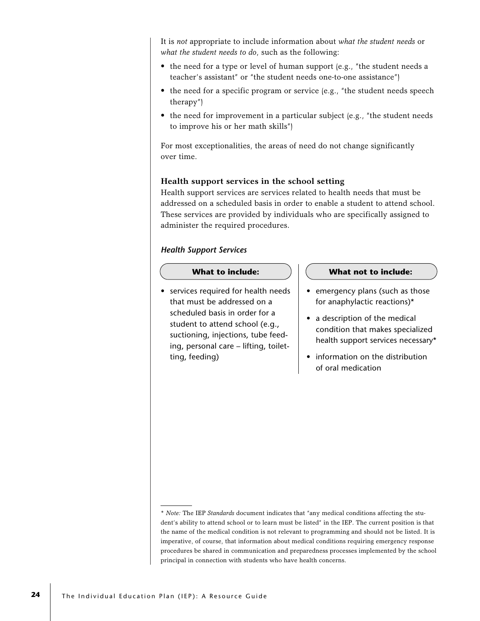It is *not* appropriate to include information about *what the student needs* or *what the student needs to do*, such as the following:

- the need for a type or level of human support (e.g., "the student needs a teacher's assistant" or "the student needs one-to-one assistance")
- the need for a specific program or service (e.g., "the student needs speech therapy")
- the need for improvement in a particular subject (e.g., "the student needs to improve his or her math skills")

For most exceptionalities, the areas of need do not change significantly over time.

### **Health support services in the school setting**

Health support services are services related to health needs that must be addressed on a scheduled basis in order to enable a student to attend school. These services are provided by individuals who are specifically assigned to administer the required procedures.

### *Health Support Services*

• services required for health needs that must be addressed on a scheduled basis in order for a student to attend school (e.g., suctioning, injections, tube feeding, personal care – lifting, toiletting, feeding)

### **What to include: What not to include:**

- emergency plans (such as those for anaphylactic reactions)\*
- a description of the medical condition that makes specialized health support services necessary\*
- information on the distribution of oral medication

<sup>\*</sup> *Note:* The IEP *Standards* document indicates that "any medical conditions affecting the student's ability to attend school or to learn must be listed" in the IEP. The current position is that the name of the medical condition is not relevant to programming and should not be listed. It is imperative, of course, that information about medical conditions requiring emergency response procedures be shared in communication and preparedness processes implemented by the school principal in connection with students who have health concerns.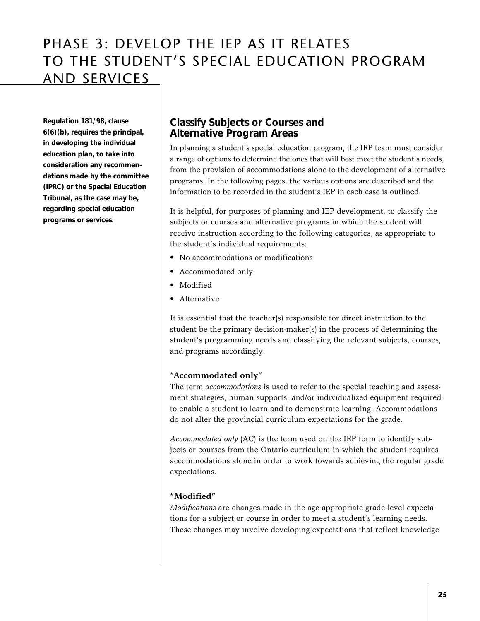# PHASE 3: DEVELOP THE IEP AS IT RELATES TO THE STUDENT'S SPECIAL EDUCATION PROGRAM AND SERVICES

**Regulation 181/98, clause 6(6)(b), requires the principal, in developing the individual education plan, to take into consideration any recommendations made by the committee (IPRC) or the Special Education Tribunal, as the case may be, regarding special education programs or services.**

### **Classify Subjects or Courses and Alternative Program Areas**

In planning a student's special education program, the IEP team must consider a range of options to determine the ones that will best meet the student's needs, from the provision of accommodations alone to the development of alternative programs. In the following pages, the various options are described and the information to be recorded in the student's IEP in each case is outlined.

It is helpful, for purposes of planning and IEP development, to classify the subjects or courses and alternative programs in which the student will receive instruction according to the following categories, as appropriate to the student's individual requirements:

- No accommodations or modifications
- Accommodated only
- Modified
- Alternative

It is essential that the teacher(s) responsible for direct instruction to the student be the primary decision-maker(s) in the process of determining the student's programming needs and classifying the relevant subjects, courses, and programs accordingly.

### **"Accommodated only"**

The term *accommodations* is used to refer to the special teaching and assessment strategies, human supports, and/or individualized equipment required to enable a student to learn and to demonstrate learning. Accommodations do not alter the provincial curriculum expectations for the grade.

*Accommodated only* (AC) is the term used on the IEP form to identify subjects or courses from the Ontario curriculum in which the student requires accommodations alone in order to work towards achieving the regular grade expectations.

### **"Modified"**

*Modifications* are changes made in the age-appropriate grade-level expectations for a subject or course in order to meet a student's learning needs. These changes may involve developing expectations that reflect knowledge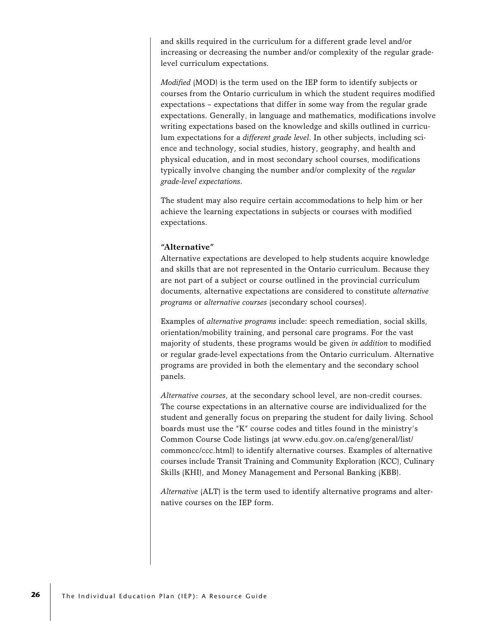and skills required in the curriculum for a different grade level and/or increasing or decreasing the number and/or complexity of the regular gradelevel curriculum expectations.

*Modified* (MOD) is the term used on the IEP form to identify subjects or courses from the Ontario curriculum in which the student requires modified expectations – expectations that differ in some way from the regular grade expectations. Generally, in language and mathematics, modifications involve writing expectations based on the knowledge and skills outlined in curriculum expectations for a *different grade level*. In other subjects, including science and technology, social studies, history, geography, and health and physical education, and in most secondary school courses, modifications typically involve changing the number and/or complexity of the *regular grade-level expectations*.

The student may also require certain accommodations to help him or her achieve the learning expectations in subjects or courses with modified expectations.

### **"Alternative"**

Alternative expectations are developed to help students acquire knowledge and skills that are not represented in the Ontario curriculum. Because they are not part of a subject or course outlined in the provincial curriculum documents, alternative expectations are considered to constitute *alternative programs* or *alternative courses* (secondary school courses).

Examples of *alternative programs* include: speech remediation, social skills, orientation/mobility training, and personal care programs. For the vast majority of students, these programs would be given *in addition* to modified or regular grade-level expectations from the Ontario curriculum. Alternative programs are provided in both the elementary and the secondary school panels.

*Alternative courses*, at the secondary school level, are non-credit courses. The course expectations in an alternative course are individualized for the student and generally focus on preparing the student for daily living. School boards must use the "K" course codes and titles found in the ministry's Common Course Code listings (at www.edu.gov.on.ca/eng/general/list/ commoncc/ccc.html) to identify alternative courses. Examples of alternative courses include Transit Training and Community Exploration (KCC), Culinary Skills (KHI), and Money Management and Personal Banking (KBB).

*Alternative* (ALT) is the term used to identify alternative programs and alternative courses on the IEP form.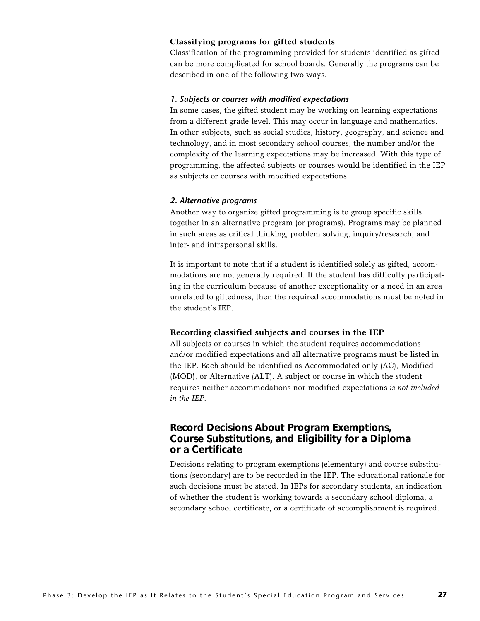### **Classifying programs for gifted students**

Classification of the programming provided for students identified as gifted can be more complicated for school boards. Generally the programs can be described in one of the following two ways.

### *1. Subjects or courses with modified expectations*

In some cases, the gifted student may be working on learning expectations from a different grade level. This may occur in language and mathematics. In other subjects, such as social studies, history, geography, and science and technology, and in most secondary school courses, the number and/or the complexity of the learning expectations may be increased. With this type of programming, the affected subjects or courses would be identified in the IEP as subjects or courses with modified expectations.

### *2. Alternative programs*

Another way to organize gifted programming is to group specific skills together in an alternative program (or programs). Programs may be planned in such areas as critical thinking, problem solving, inquiry/research, and inter- and intrapersonal skills.

It is important to note that if a student is identified solely as gifted, accommodations are not generally required. If the student has difficulty participating in the curriculum because of another exceptionality or a need in an area unrelated to giftedness, then the required accommodations must be noted in the student's IEP.

### **Recording classified subjects and courses in the IEP**

All subjects or courses in which the student requires accommodations and/or modified expectations and all alternative programs must be listed in the IEP. Each should be identified as Accommodated only (AC), Modified (MOD), or Alternative (ALT). A subject or course in which the student requires neither accommodations nor modified expectations *is not included in the IEP*.

### **Record Decisions About Program Exemptions, Course Substitutions, and Eligibility for a Diploma or a Certificate**

Decisions relating to program exemptions (elementary) and course substitutions (secondary) are to be recorded in the IEP. The educational rationale for such decisions must be stated. In IEPs for secondary students, an indication of whether the student is working towards a secondary school diploma, a secondary school certificate, or a certificate of accomplishment is required.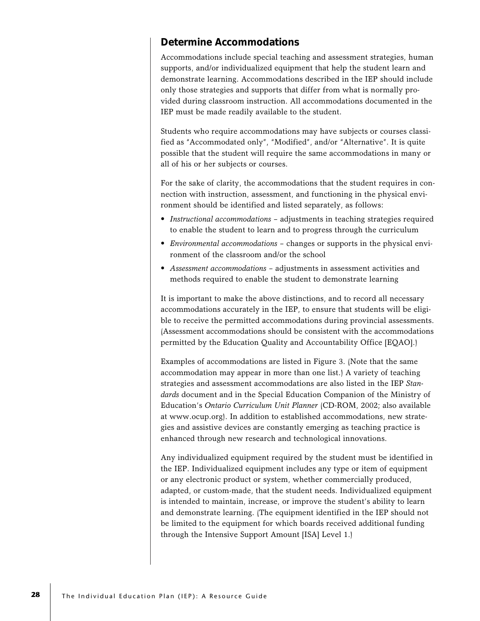### **Determine Accommodations**

Accommodations include special teaching and assessment strategies, human supports, and/or individualized equipment that help the student learn and demonstrate learning. Accommodations described in the IEP should include only those strategies and supports that differ from what is normally provided during classroom instruction. All accommodations documented in the IEP must be made readily available to the student.

Students who require accommodations may have subjects or courses classified as "Accommodated only", "Modified", and/or "Alternative". It is quite possible that the student will require the same accommodations in many or all of his or her subjects or courses.

For the sake of clarity, the accommodations that the student requires in connection with instruction, assessment, and functioning in the physical environment should be identified and listed separately, as follows:

- *Instructional accommodations* adjustments in teaching strategies required to enable the student to learn and to progress through the curriculum
- *Environmental accommodations* changes or supports in the physical environment of the classroom and/or the school
- *Assessment accommodations* adjustments in assessment activities and methods required to enable the student to demonstrate learning

It is important to make the above distinctions, and to record all necessary accommodations accurately in the IEP, to ensure that students will be eligible to receive the permitted accommodations during provincial assessments. (Assessment accommodations should be consistent with the accommodations permitted by the Education Quality and Accountability Office [EQAO].)

Examples of accommodations are listed in Figure 3. (Note that the same accommodation may appear in more than one list.) A variety of teaching strategies and assessment accommodations are also listed in the IEP *Standards* document and in the Special Education Companion of the Ministry of Education's *Ontario Curriculum Unit Planner* (CD-ROM, 2002; also available at www.ocup.org). In addition to established accommodations, new strategies and assistive devices are constantly emerging as teaching practice is enhanced through new research and technological innovations.

Any individualized equipment required by the student must be identified in the IEP. Individualized equipment includes any type or item of equipment or any electronic product or system, whether commercially produced, adapted, or custom-made, that the student needs. Individualized equipment is intended to maintain, increase, or improve the student's ability to learn and demonstrate learning. (The equipment identified in the IEP should not be limited to the equipment for which boards received additional funding through the Intensive Support Amount [ISA] Level 1.)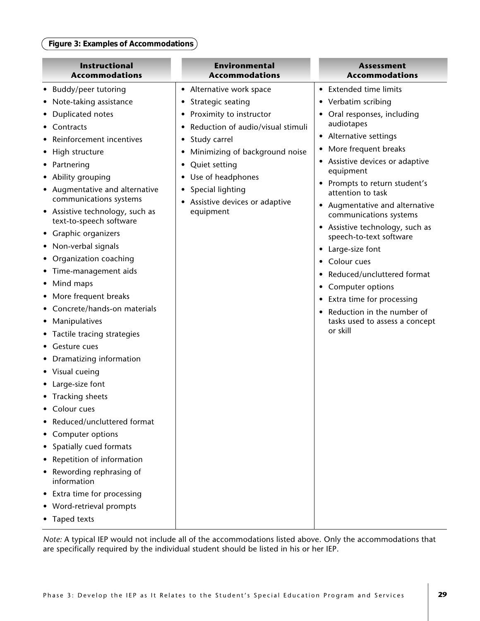### **Figure 3: Examples of Accommodations**

*Note:* A typical IEP would not include all of the accommodations listed above. Only the accommodations that are specifically required by the individual student should be listed in his or her IEP.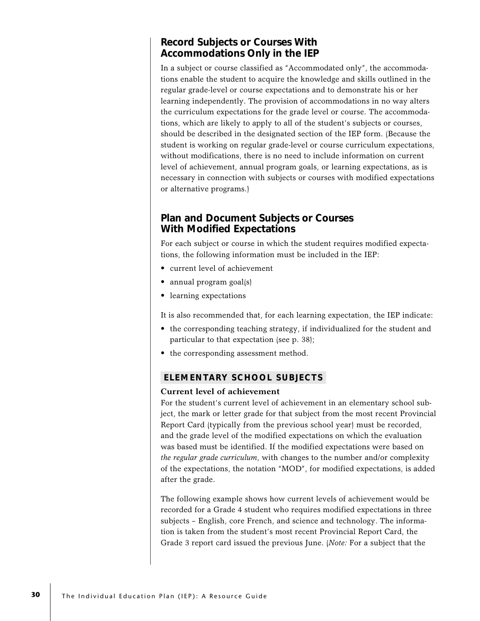### **Record Subjects or Courses With Accommodations Only in the IEP**

In a subject or course classified as "Accommodated only", the accommodations enable the student to acquire the knowledge and skills outlined in the regular grade-level or course expectations and to demonstrate his or her learning independently. The provision of accommodations in no way alters the curriculum expectations for the grade level or course. The accommodations, which are likely to apply to all of the student's subjects or courses, should be described in the designated section of the IEP form. (Because the student is working on regular grade-level or course curriculum expectations, without modifications, there is no need to include information on current level of achievement, annual program goals, or learning expectations, as is necessary in connection with subjects or courses with modified expectations or alternative programs.)

### **Plan and Document Subjects or Courses With Modified Expectations**

For each subject or course in which the student requires modified expectations, the following information must be included in the IEP:

- current level of achievement
- annual program goal(s)
- learning expectations

It is also recommended that, for each learning expectation, the IEP indicate:

- the corresponding teaching strategy, if individualized for the student and particular to that expectation (see p. 38);
- the corresponding assessment method.

### **ELEMENTARY SCHOOL SUBJECTS**

### **Current level of achievement**

For the student's current level of achievement in an elementary school subject, the mark or letter grade for that subject from the most recent Provincial Report Card (typically from the previous school year) must be recorded, and the grade level of the modified expectations on which the evaluation was based must be identified. If the modified expectations were based on *the regular grade curriculum*, with changes to the number and/or complexity of the expectations, the notation "MOD", for modified expectations, is added after the grade.

The following example shows how current levels of achievement would be recorded for a Grade 4 student who requires modified expectations in three subjects – English, core French, and science and technology. The information is taken from the student's most recent Provincial Report Card, the Grade 3 report card issued the previous June. (*Note:* For a subject that the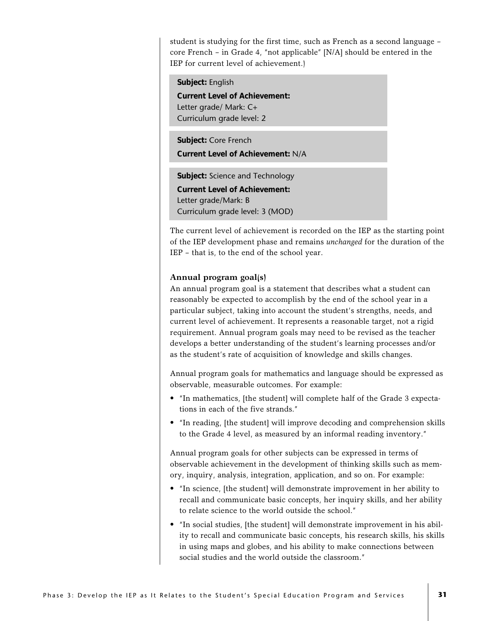student is studying for the first time, such as French as a second language – core French – in Grade 4, "not applicable" [N/A] should be entered in the IEP for current level of achievement.)

**Subject:** English **Current Level of Achievement:** Letter grade/ Mark: C+ Curriculum grade level: 2 **Subject:** Core French **Current Level of Achievement:** N/A **Subject:** Science and Technology

**Current Level of Achievement:** Letter grade/Mark: B Curriculum grade level: 3 (MOD)

The current level of achievement is recorded on the IEP as the starting point of the IEP development phase and remains *unchanged* for the duration of the IEP – that is, to the end of the school year.

### **Annual program goal(s)**

An annual program goal is a statement that describes what a student can reasonably be expected to accomplish by the end of the school year in a particular subject, taking into account the student's strengths, needs, and current level of achievement. It represents a reasonable target, not a rigid requirement. Annual program goals may need to be revised as the teacher develops a better understanding of the student's learning processes and/or as the student's rate of acquisition of knowledge and skills changes.

Annual program goals for mathematics and language should be expressed as observable, measurable outcomes. For example:

- "In mathematics, [the student] will complete half of the Grade 3 expectations in each of the five strands."
- "In reading, [the student] will improve decoding and comprehension skills to the Grade 4 level, as measured by an informal reading inventory."

Annual program goals for other subjects can be expressed in terms of observable achievement in the development of thinking skills such as memory, inquiry, analysis, integration, application, and so on. For example:

- "In science, [the student] will demonstrate improvement in her ability to recall and communicate basic concepts, her inquiry skills, and her ability to relate science to the world outside the school."
- "In social studies, [the student] will demonstrate improvement in his ability to recall and communicate basic concepts, his research skills, his skills in using maps and globes, and his ability to make connections between social studies and the world outside the classroom."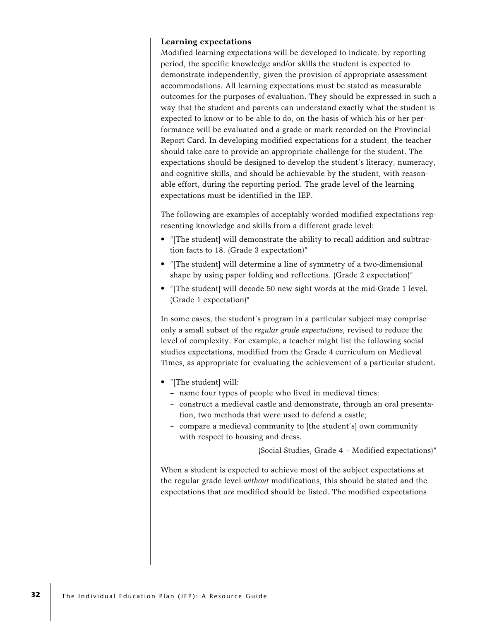### **Learning expectations**

Modified learning expectations will be developed to indicate, by reporting period, the specific knowledge and/or skills the student is expected to demonstrate independently, given the provision of appropriate assessment accommodations. All learning expectations must be stated as measurable outcomes for the purposes of evaluation. They should be expressed in such a way that the student and parents can understand exactly what the student is expected to know or to be able to do, on the basis of which his or her performance will be evaluated and a grade or mark recorded on the Provincial Report Card. In developing modified expectations for a student, the teacher should take care to provide an appropriate challenge for the student. The expectations should be designed to develop the student's literacy, numeracy, and cognitive skills, and should be achievable by the student, with reasonable effort, during the reporting period. The grade level of the learning expectations must be identified in the IEP.

The following are examples of acceptably worded modified expectations representing knowledge and skills from a different grade level:

- "[The student] will demonstrate the ability to recall addition and subtraction facts to 18. (Grade 3 expectation)"
- "[The student] will determine a line of symmetry of a two-dimensional shape by using paper folding and reflections. (Grade 2 expectation)"
- "[The student] will decode 50 new sight words at the mid-Grade 1 level. (Grade 1 expectation)"

In some cases, the student's program in a particular subject may comprise only a small subset of the *regular grade expectations*, revised to reduce the level of complexity. For example, a teacher might list the following social studies expectations, modified from the Grade 4 curriculum on Medieval Times, as appropriate for evaluating the achievement of a particular student.

- "[The student] will:
	- name four types of people who lived in medieval times;
	- construct a medieval castle and demonstrate, through an oral presentation, two methods that were used to defend a castle;
	- compare a medieval community to [the student's] own community with respect to housing and dress.

(Social Studies, Grade 4 – Modified expectations)"

When a student is expected to achieve most of the subject expectations at the regular grade level *without* modifications, this should be stated and the expectations that *are* modified should be listed. The modified expectations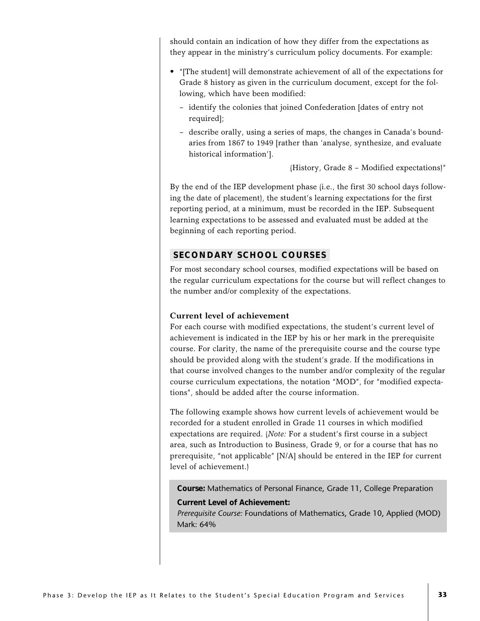should contain an indication of how they differ from the expectations as they appear in the ministry's curriculum policy documents. For example:

- "[The student] will demonstrate achievement of all of the expectations for Grade 8 history as given in the curriculum document, except for the following, which have been modified:
	- identify the colonies that joined Confederation [dates of entry not required];
	- describe orally, using a series of maps, the changes in Canada's boundaries from 1867 to 1949 [rather than 'analyse, synthesize, and evaluate historical information'].

(History, Grade 8 – Modified expectations)"

By the end of the IEP development phase (i.e., the first 30 school days following the date of placement), the student's learning expectations for the first reporting period, at a minimum, must be recorded in the IEP. Subsequent learning expectations to be assessed and evaluated must be added at the beginning of each reporting period.

### **SECONDARY SCHOOL COURSES**

For most secondary school courses, modified expectations will be based on the regular curriculum expectations for the course but will reflect changes to the number and/or complexity of the expectations.

### **Current level of achievement**

For each course with modified expectations, the student's current level of achievement is indicated in the IEP by his or her mark in the prerequisite course. For clarity, the name of the prerequisite course and the course type should be provided along with the student's grade. If the modifications in that course involved changes to the number and/or complexity of the regular course curriculum expectations, the notation "MOD", for "modified expectations", should be added after the course information.

The following example shows how current levels of achievement would be recorded for a student enrolled in Grade 11 courses in which modified expectations are required. (*Note:* For a student's first course in a subject area, such as Introduction to Business, Grade 9, or for a course that has no prerequisite, "not applicable" [N/A] should be entered in the IEP for current level of achievement.)

**Course:** Mathematics of Personal Finance, Grade 11, College Preparation **Current Level of Achievement:**

*Prerequisite Course:* Foundations of Mathematics, Grade 10, Applied (MOD) Mark: 64%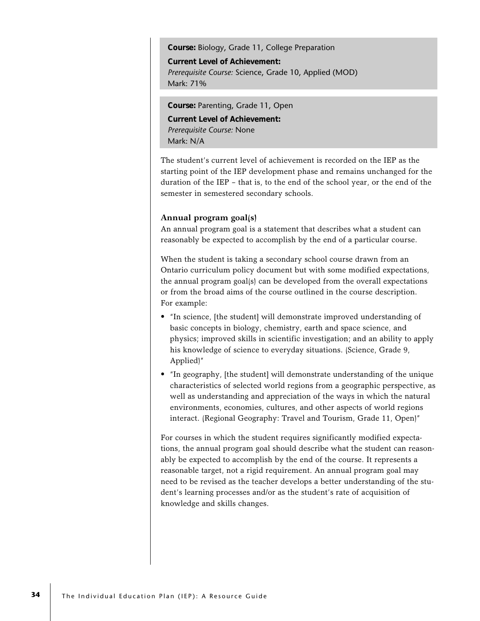**Course:** Biology, Grade 11, College Preparation

**Current Level of Achievement:** *Prerequisite Course:* Science, Grade 10, Applied (MOD) Mark: 71%

**Course:** Parenting, Grade 11, Open **Current Level of Achievement:** *Prerequisite Course:* None Mark: N/A

The student's current level of achievement is recorded on the IEP as the starting point of the IEP development phase and remains unchanged for the duration of the IEP – that is, to the end of the school year, or the end of the semester in semestered secondary schools.

### **Annual program goal(s)**

An annual program goal is a statement that describes what a student can reasonably be expected to accomplish by the end of a particular course.

When the student is taking a secondary school course drawn from an Ontario curriculum policy document but with some modified expectations, the annual program goal(s) can be developed from the overall expectations or from the broad aims of the course outlined in the course description. For example:

- "In science, [the student] will demonstrate improved understanding of basic concepts in biology, chemistry, earth and space science, and physics; improved skills in scientific investigation; and an ability to apply his knowledge of science to everyday situations. (Science, Grade 9, Applied)"
- "In geography, [the student] will demonstrate understanding of the unique characteristics of selected world regions from a geographic perspective, as well as understanding and appreciation of the ways in which the natural environments, economies, cultures, and other aspects of world regions interact. (Regional Geography: Travel and Tourism, Grade 11, Open)"

For courses in which the student requires significantly modified expectations, the annual program goal should describe what the student can reasonably be expected to accomplish by the end of the course. It represents a reasonable target, not a rigid requirement. An annual program goal may need to be revised as the teacher develops a better understanding of the student's learning processes and/or as the student's rate of acquisition of knowledge and skills changes.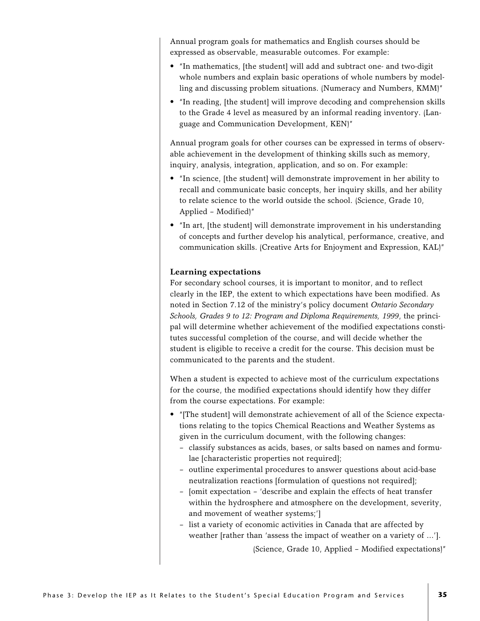Annual program goals for mathematics and English courses should be expressed as observable, measurable outcomes. For example:

- "In mathematics, [the student] will add and subtract one- and two-digit whole numbers and explain basic operations of whole numbers by modelling and discussing problem situations. (Numeracy and Numbers, KMM)"
- "In reading, [the student] will improve decoding and comprehension skills to the Grade 4 level as measured by an informal reading inventory. (Language and Communication Development, KEN)"

Annual program goals for other courses can be expressed in terms of observable achievement in the development of thinking skills such as memory, inquiry, analysis, integration, application, and so on. For example:

- "In science, [the student] will demonstrate improvement in her ability to recall and communicate basic concepts, her inquiry skills, and her ability to relate science to the world outside the school. (Science, Grade 10, Applied – Modified)"
- "In art, [the student] will demonstrate improvement in his understanding of concepts and further develop his analytical, performance, creative, and communication skills. (Creative Arts for Enjoyment and Expression, KAL)"

#### **Learning expectations**

For secondary school courses, it is important to monitor, and to reflect clearly in the IEP, the extent to which expectations have been modified. As noted in Section 7.12 of the ministry's policy document *Ontario Secondary Schools, Grades 9 to 12: Program and Diploma Requirements, 1999*, the principal will determine whether achievement of the modified expectations constitutes successful completion of the course, and will decide whether the student is eligible to receive a credit for the course. This decision must be communicated to the parents and the student.

When a student is expected to achieve most of the curriculum expectations for the course, the modified expectations should identify how they differ from the course expectations. For example:

- "[The student] will demonstrate achievement of all of the Science expectations relating to the topics Chemical Reactions and Weather Systems as given in the curriculum document, with the following changes:
	- classify substances as acids, bases, or salts based on names and formulae [characteristic properties not required];
	- outline experimental procedures to answer questions about acid-base neutralization reactions [formulation of questions not required];
	- [omit expectation 'describe and explain the effects of heat transfer within the hydrosphere and atmosphere on the development, severity, and movement of weather systems;']
	- list a variety of economic activities in Canada that are affected by weather [rather than 'assess the impact of weather on a variety of ...'].

(Science, Grade 10, Applied – Modified expectations)"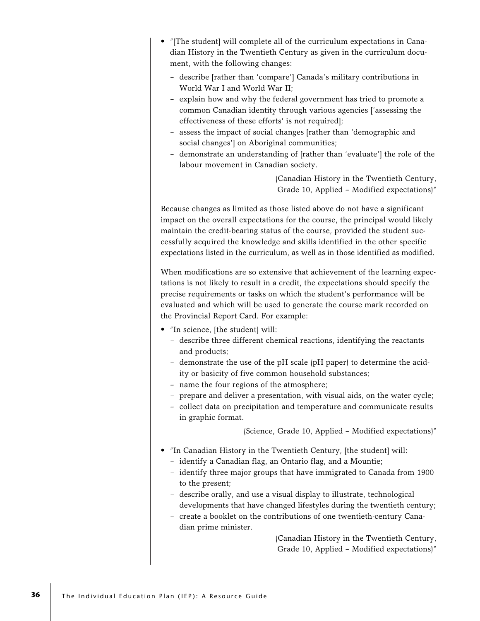- "[The student] will complete all of the curriculum expectations in Canadian History in the Twentieth Century as given in the curriculum document, with the following changes:
	- describe [rather than 'compare'] Canada's military contributions in World War I and World War II;
	- explain how and why the federal government has tried to promote a common Canadian identity through various agencies ['assessing the effectiveness of these efforts' is not required];
	- assess the impact of social changes [rather than 'demographic and social changes'] on Aboriginal communities;
	- demonstrate an understanding of [rather than 'evaluate'] the role of the labour movement in Canadian society.

(Canadian History in the Twentieth Century, Grade 10, Applied – Modified expectations)"

Because changes as limited as those listed above do not have a significant impact on the overall expectations for the course, the principal would likely maintain the credit-bearing status of the course, provided the student successfully acquired the knowledge and skills identified in the other specific expectations listed in the curriculum, as well as in those identified as modified.

When modifications are so extensive that achievement of the learning expectations is not likely to result in a credit, the expectations should specify the precise requirements or tasks on which the student's performance will be evaluated and which will be used to generate the course mark recorded on the Provincial Report Card. For example:

- "In science, [the student] will:
	- describe three different chemical reactions, identifying the reactants and products;
	- demonstrate the use of the pH scale (pH paper) to determine the acidity or basicity of five common household substances;
	- name the four regions of the atmosphere;
	- prepare and deliver a presentation, with visual aids, on the water cycle;
	- collect data on precipitation and temperature and communicate results in graphic format.

(Science, Grade 10, Applied – Modified expectations)"

- "In Canadian History in the Twentieth Century, [the student] will:
	- identify a Canadian flag, an Ontario flag, and a Mountie;
	- identify three major groups that have immigrated to Canada from 1900 to the present;
	- describe orally, and use a visual display to illustrate, technological developments that have changed lifestyles during the twentieth century;
	- create a booklet on the contributions of one twentieth-century Canadian prime minister.

(Canadian History in the Twentieth Century, Grade 10, Applied – Modified expectations)"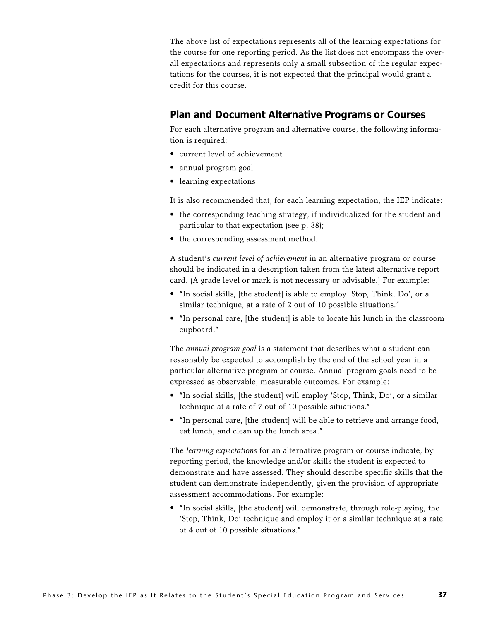The above list of expectations represents all of the learning expectations for the course for one reporting period. As the list does not encompass the overall expectations and represents only a small subsection of the regular expectations for the courses, it is not expected that the principal would grant a credit for this course.

### **Plan and Document Alternative Programs or Courses**

For each alternative program and alternative course, the following information is required:

- current level of achievement
- annual program goal
- learning expectations

It is also recommended that, for each learning expectation, the IEP indicate:

- the corresponding teaching strategy, if individualized for the student and particular to that expectation (see p. 38);
- the corresponding assessment method.

A student's *current level of achievement* in an alternative program or course should be indicated in a description taken from the latest alternative report card. (A grade level or mark is not necessary or advisable.) For example:

- "In social skills, [the student] is able to employ 'Stop, Think, Do', or a similar technique, at a rate of 2 out of 10 possible situations."
- "In personal care, [the student] is able to locate his lunch in the classroom cupboard."

The *annual program goal* is a statement that describes what a student can reasonably be expected to accomplish by the end of the school year in a particular alternative program or course. Annual program goals need to be expressed as observable, measurable outcomes. For example:

- "In social skills, [the student] will employ 'Stop, Think, Do', or a similar technique at a rate of 7 out of 10 possible situations."
- "In personal care, [the student] will be able to retrieve and arrange food, eat lunch, and clean up the lunch area."

The *learning expectations* for an alternative program or course indicate, by reporting period, the knowledge and/or skills the student is expected to demonstrate and have assessed. They should describe specific skills that the student can demonstrate independently, given the provision of appropriate assessment accommodations. For example:

• "In social skills, [the student] will demonstrate, through role-playing, the 'Stop, Think, Do' technique and employ it or a similar technique at a rate of 4 out of 10 possible situations."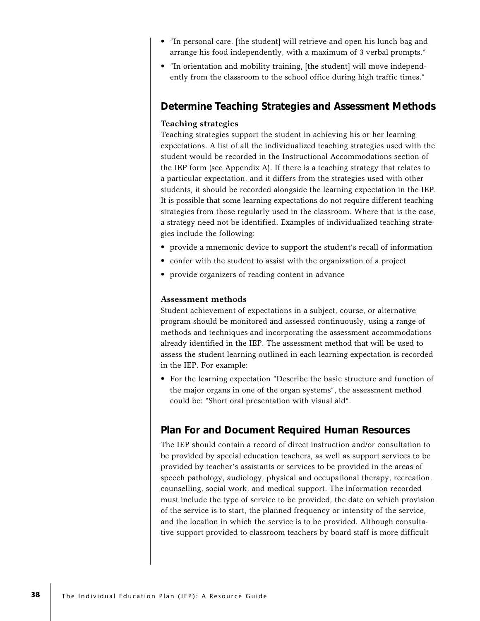- "In personal care, [the student] will retrieve and open his lunch bag and arrange his food independently, with a maximum of 3 verbal prompts."
- "In orientation and mobility training, [the student] will move independently from the classroom to the school office during high traffic times."

### **Determine Teaching Strategies and Assessment Methods**

#### **Teaching strategies**

Teaching strategies support the student in achieving his or her learning expectations. A list of all the individualized teaching strategies used with the student would be recorded in the Instructional Accommodations section of the IEP form (see Appendix A). If there is a teaching strategy that relates to a particular expectation, and it differs from the strategies used with other students, it should be recorded alongside the learning expectation in the IEP. It is possible that some learning expectations do not require different teaching strategies from those regularly used in the classroom. Where that is the case, a strategy need not be identified. Examples of individualized teaching strategies include the following:

- provide a mnemonic device to support the student's recall of information
- confer with the student to assist with the organization of a project
- provide organizers of reading content in advance

#### **Assessment methods**

Student achievement of expectations in a subject, course, or alternative program should be monitored and assessed continuously, using a range of methods and techniques and incorporating the assessment accommodations already identified in the IEP. The assessment method that will be used to assess the student learning outlined in each learning expectation is recorded in the IEP. For example:

• For the learning expectation "Describe the basic structure and function of the major organs in one of the organ systems", the assessment method could be: "Short oral presentation with visual aid".

## **Plan For and Document Required Human Resources**

The IEP should contain a record of direct instruction and/or consultation to be provided by special education teachers, as well as support services to be provided by teacher's assistants or services to be provided in the areas of speech pathology, audiology, physical and occupational therapy, recreation, counselling, social work, and medical support. The information recorded must include the type of service to be provided, the date on which provision of the service is to start, the planned frequency or intensity of the service, and the location in which the service is to be provided. Although consultative support provided to classroom teachers by board staff is more difficult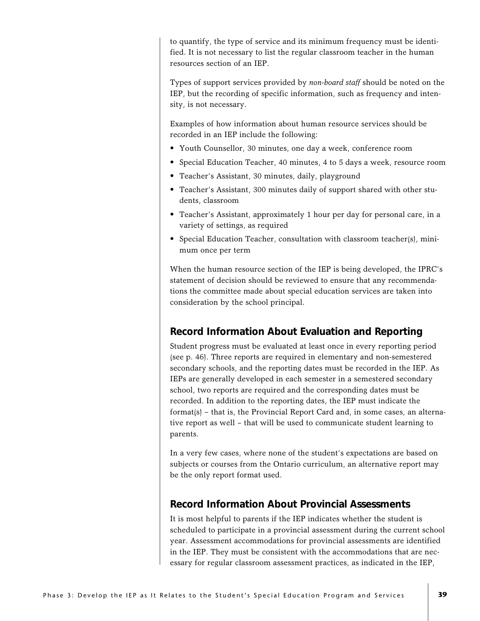to quantify, the type of service and its minimum frequency must be identified. It is not necessary to list the regular classroom teacher in the human resources section of an IEP.

Types of support services provided by *non-board staff* should be noted on the IEP, but the recording of specific information, such as frequency and intensity, is not necessary.

Examples of how information about human resource services should be recorded in an IEP include the following:

- Youth Counsellor, 30 minutes, one day a week, conference room
- Special Education Teacher, 40 minutes, 4 to 5 days a week, resource room
- Teacher's Assistant, 30 minutes, daily, playground
- Teacher's Assistant, 300 minutes daily of support shared with other students, classroom
- Teacher's Assistant, approximately 1 hour per day for personal care, in a variety of settings, as required
- Special Education Teacher, consultation with classroom teacher(s), minimum once per term

When the human resource section of the IEP is being developed, the IPRC's statement of decision should be reviewed to ensure that any recommendations the committee made about special education services are taken into consideration by the school principal.

## **Record Information About Evaluation and Reporting**

Student progress must be evaluated at least once in every reporting period (see p. 46). Three reports are required in elementary and non-semestered secondary schools, and the reporting dates must be recorded in the IEP. As IEPs are generally developed in each semester in a semestered secondary school, two reports are required and the corresponding dates must be recorded. In addition to the reporting dates, the IEP must indicate the format(s) – that is, the Provincial Report Card and, in some cases, an alternative report as well – that will be used to communicate student learning to parents.

In a very few cases, where none of the student's expectations are based on subjects or courses from the Ontario curriculum, an alternative report may be the only report format used.

### **Record Information About Provincial Assessments**

It is most helpful to parents if the IEP indicates whether the student is scheduled to participate in a provincial assessment during the current school year. Assessment accommodations for provincial assessments are identified in the IEP. They must be consistent with the accommodations that are necessary for regular classroom assessment practices, as indicated in the IEP,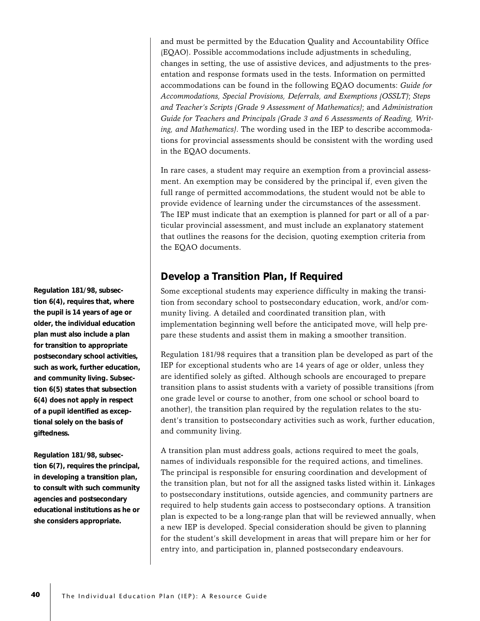and must be permitted by the Education Quality and Accountability Office (EQAO). Possible accommodations include adjustments in scheduling, changes in setting, the use of assistive devices, and adjustments to the presentation and response formats used in the tests. Information on permitted accommodations can be found in the following EQAO documents: *Guide for Accommodations, Special Provisions, Deferrals, and Exemptions (OSSLT)*; *Steps and Teacher's Scripts (Grade 9 Assessment of Mathematics)*; and *Administration Guide for Teachers and Principals (Grade 3 and 6 Assessments of Reading, Writing, and Mathematics)*. The wording used in the IEP to describe accommodations for provincial assessments should be consistent with the wording used in the EQAO documents.

In rare cases, a student may require an exemption from a provincial assessment. An exemption may be considered by the principal if, even given the full range of permitted accommodations, the student would not be able to provide evidence of learning under the circumstances of the assessment. The IEP must indicate that an exemption is planned for part or all of a particular provincial assessment, and must include an explanatory statement that outlines the reasons for the decision, quoting exemption criteria from the EQAO documents.

## **Develop a Transition Plan, If Required**

Some exceptional students may experience difficulty in making the transition from secondary school to postsecondary education, work, and/or community living. A detailed and coordinated transition plan, with implementation beginning well before the anticipated move, will help prepare these students and assist them in making a smoother transition.

Regulation 181/98 requires that a transition plan be developed as part of the IEP for exceptional students who are 14 years of age or older, unless they are identified solely as gifted. Although schools are encouraged to prepare transition plans to assist students with a variety of possible transitions (from one grade level or course to another, from one school or school board to another), the transition plan required by the regulation relates to the student's transition to postsecondary activities such as work, further education, and community living.

A transition plan must address goals, actions required to meet the goals, names of individuals responsible for the required actions, and timelines. The principal is responsible for ensuring coordination and development of the transition plan, but not for all the assigned tasks listed within it. Linkages to postsecondary institutions, outside agencies, and community partners are required to help students gain access to postsecondary options. A transition plan is expected to be a long-range plan that will be reviewed annually, when a new IEP is developed. Special consideration should be given to planning for the student's skill development in areas that will prepare him or her for entry into, and participation in, planned postsecondary endeavours.

**Regulation 181/98, subsection 6(4), requires that, where the pupil is 14 years of age or older, the individual education plan must also include a plan for transition to appropriate postsecondary school activities, such as work, further education, and community living. Subsection 6(5) states that subsection 6(4) does not apply in respect of a pupil identified as exceptional solely on the basis of giftedness.**

**Regulation 181/98, subsection 6(7), requires the principal, in developing a transition plan, to consult with such community agencies and postsecondary educational institutions as he or she considers appropriate.**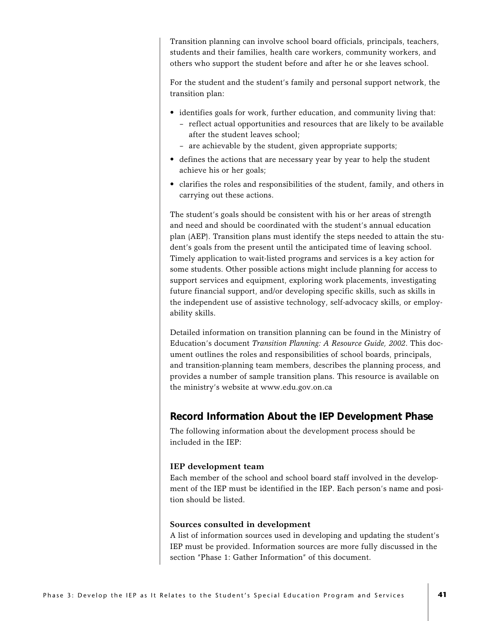Transition planning can involve school board officials, principals, teachers, students and their families, health care workers, community workers, and others who support the student before and after he or she leaves school.

For the student and the student's family and personal support network, the transition plan:

- identifies goals for work, further education, and community living that:
	- reflect actual opportunities and resources that are likely to be available after the student leaves school;
	- are achievable by the student, given appropriate supports;
- defines the actions that are necessary year by year to help the student achieve his or her goals;
- clarifies the roles and responsibilities of the student, family, and others in carrying out these actions.

The student's goals should be consistent with his or her areas of strength and need and should be coordinated with the student's annual education plan (AEP). Transition plans must identify the steps needed to attain the student's goals from the present until the anticipated time of leaving school. Timely application to wait-listed programs and services is a key action for some students. Other possible actions might include planning for access to support services and equipment, exploring work placements, investigating future financial support, and/or developing specific skills, such as skills in the independent use of assistive technology, self-advocacy skills, or employability skills.

Detailed information on transition planning can be found in the Ministry of Education's document *Transition Planning: A Resource Guide, 2002*. This document outlines the roles and responsibilities of school boards, principals, and transition-planning team members, describes the planning process, and provides a number of sample transition plans. This resource is available on the ministry's website at www.edu.gov.on.ca

## **Record Information About the IEP Development Phase**

The following information about the development process should be included in the IEP:

#### **IEP development team**

Each member of the school and school board staff involved in the development of the IEP must be identified in the IEP. Each person's name and position should be listed.

#### **Sources consulted in development**

A list of information sources used in developing and updating the student's IEP must be provided. Information sources are more fully discussed in the section "Phase 1: Gather Information" of this document.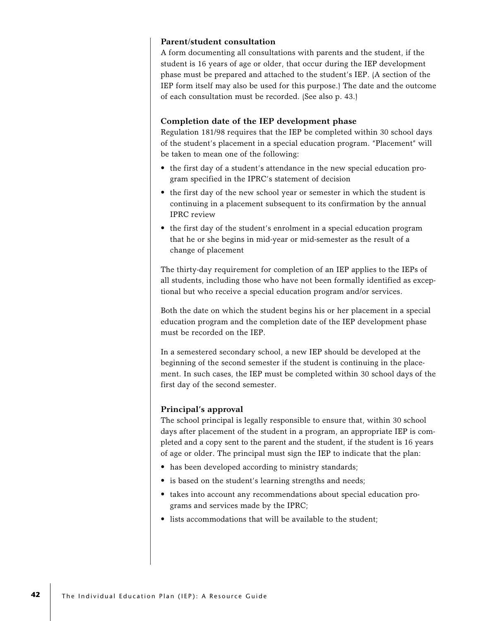#### **Parent/student consultation**

A form documenting all consultations with parents and the student, if the student is 16 years of age or older, that occur during the IEP development phase must be prepared and attached to the student's IEP. (A section of the IEP form itself may also be used for this purpose.) The date and the outcome of each consultation must be recorded. (See also p. 43.)

#### **Completion date of the IEP development phase**

Regulation 181/98 requires that the IEP be completed within 30 school days of the student's placement in a special education program. "Placement" will be taken to mean one of the following:

- the first day of a student's attendance in the new special education program specified in the IPRC's statement of decision
- the first day of the new school year or semester in which the student is continuing in a placement subsequent to its confirmation by the annual IPRC review
- the first day of the student's enrolment in a special education program that he or she begins in mid-year or mid-semester as the result of a change of placement

The thirty-day requirement for completion of an IEP applies to the IEPs of all students, including those who have not been formally identified as exceptional but who receive a special education program and/or services.

Both the date on which the student begins his or her placement in a special education program and the completion date of the IEP development phase must be recorded on the IEP.

In a semestered secondary school, a new IEP should be developed at the beginning of the second semester if the student is continuing in the placement. In such cases, the IEP must be completed within 30 school days of the first day of the second semester.

### **Principal's approval**

The school principal is legally responsible to ensure that, within 30 school days after placement of the student in a program, an appropriate IEP is completed and a copy sent to the parent and the student, if the student is 16 years of age or older. The principal must sign the IEP to indicate that the plan:

- has been developed according to ministry standards;
- is based on the student's learning strengths and needs;
- takes into account any recommendations about special education programs and services made by the IPRC;
- lists accommodations that will be available to the student;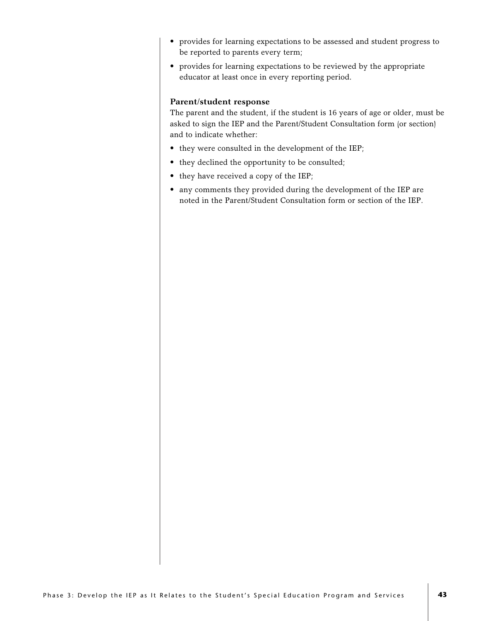- provides for learning expectations to be assessed and student progress to be reported to parents every term;
- provides for learning expectations to be reviewed by the appropriate educator at least once in every reporting period.

#### **Parent/student response**

The parent and the student, if the student is 16 years of age or older, must be asked to sign the IEP and the Parent/Student Consultation form (or section) and to indicate whether:

- they were consulted in the development of the IEP;
- they declined the opportunity to be consulted;
- they have received a copy of the IEP;
- any comments they provided during the development of the IEP are noted in the Parent/Student Consultation form or section of the IEP.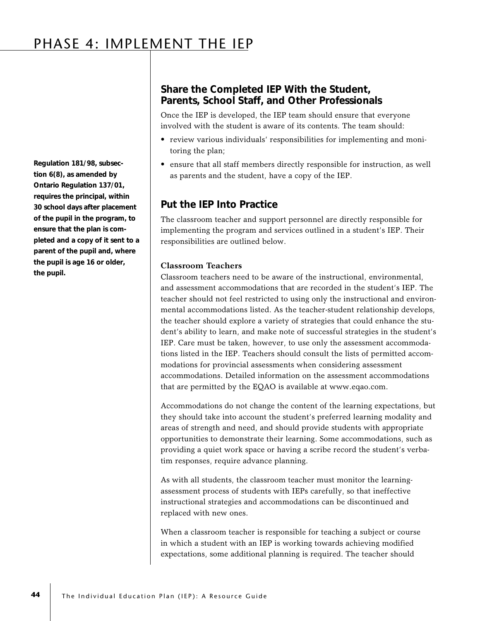## PHASE 4: IMPLEMENT THE IEP

**Regulation 181/98, subsection 6(8), as amended by Ontario Regulation 137/01, requires the principal, within 30 school days after placement of the pupil in the program, to ensure that the plan is completed and a copy of it sent to a parent of the pupil and, where the pupil is age 16 or older, the pupil.**

## **Share the Completed IEP With the Student, Parents, School Staff, and Other Professionals**

Once the IEP is developed, the IEP team should ensure that everyone involved with the student is aware of its contents. The team should:

- review various individuals' responsibilities for implementing and monitoring the plan;
- ensure that all staff members directly responsible for instruction, as well as parents and the student, have a copy of the IEP.

### **Put the IEP Into Practice**

The classroom teacher and support personnel are directly responsible for implementing the program and services outlined in a student's IEP. Their responsibilities are outlined below.

#### **Classroom Teachers**

Classroom teachers need to be aware of the instructional, environmental, and assessment accommodations that are recorded in the student's IEP. The teacher should not feel restricted to using only the instructional and environmental accommodations listed. As the teacher-student relationship develops, the teacher should explore a variety of strategies that could enhance the student's ability to learn, and make note of successful strategies in the student's IEP. Care must be taken, however, to use only the assessment accommodations listed in the IEP. Teachers should consult the lists of permitted accommodations for provincial assessments when considering assessment accommodations. Detailed information on the assessment accommodations that are permitted by the EQAO is available at www.eqao.com.

Accommodations do not change the content of the learning expectations, but they should take into account the student's preferred learning modality and areas of strength and need, and should provide students with appropriate opportunities to demonstrate their learning. Some accommodations, such as providing a quiet work space or having a scribe record the student's verbatim responses, require advance planning.

As with all students, the classroom teacher must monitor the learningassessment process of students with IEPs carefully, so that ineffective instructional strategies and accommodations can be discontinued and replaced with new ones.

When a classroom teacher is responsible for teaching a subject or course in which a student with an IEP is working towards achieving modified expectations, some additional planning is required. The teacher should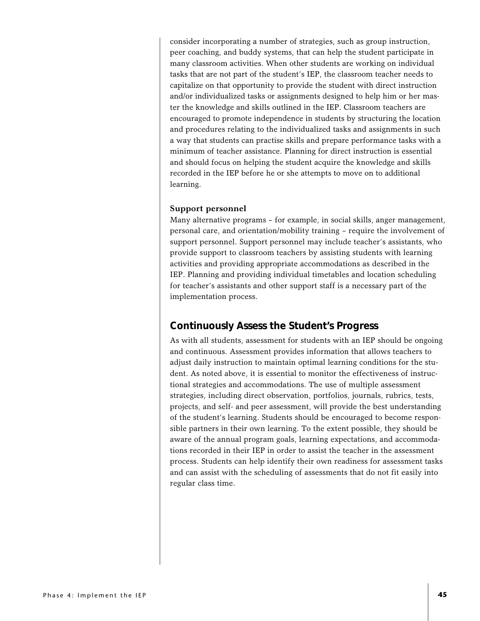consider incorporating a number of strategies, such as group instruction, peer coaching, and buddy systems, that can help the student participate in many classroom activities. When other students are working on individual tasks that are not part of the student's IEP, the classroom teacher needs to capitalize on that opportunity to provide the student with direct instruction and/or individualized tasks or assignments designed to help him or her master the knowledge and skills outlined in the IEP. Classroom teachers are encouraged to promote independence in students by structuring the location and procedures relating to the individualized tasks and assignments in such a way that students can practise skills and prepare performance tasks with a minimum of teacher assistance. Planning for direct instruction is essential and should focus on helping the student acquire the knowledge and skills recorded in the IEP before he or she attempts to move on to additional learning.

#### **Support personnel**

Many alternative programs – for example, in social skills, anger management, personal care, and orientation/mobility training – require the involvement of support personnel. Support personnel may include teacher's assistants, who provide support to classroom teachers by assisting students with learning activities and providing appropriate accommodations as described in the IEP. Planning and providing individual timetables and location scheduling for teacher's assistants and other support staff is a necessary part of the implementation process.

### **Continuously Assess the Student's Progress**

As with all students, assessment for students with an IEP should be ongoing and continuous. Assessment provides information that allows teachers to adjust daily instruction to maintain optimal learning conditions for the student. As noted above, it is essential to monitor the effectiveness of instructional strategies and accommodations. The use of multiple assessment strategies, including direct observation, portfolios, journals, rubrics, tests, projects, and self- and peer assessment, will provide the best understanding of the student's learning. Students should be encouraged to become responsible partners in their own learning. To the extent possible, they should be aware of the annual program goals, learning expectations, and accommodations recorded in their IEP in order to assist the teacher in the assessment process. Students can help identify their own readiness for assessment tasks and can assist with the scheduling of assessments that do not fit easily into regular class time.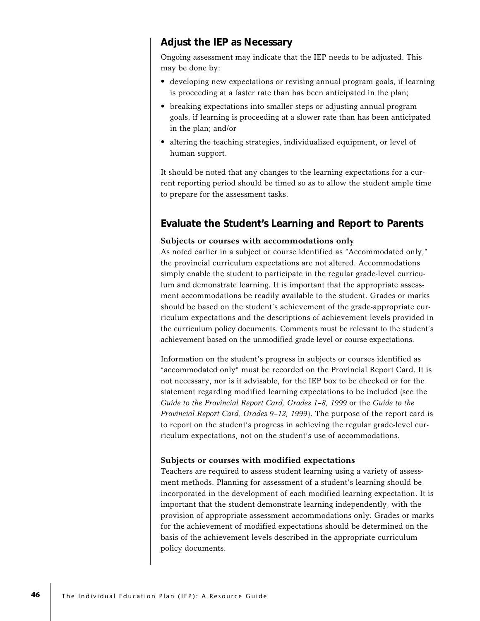## **Adjust the IEP as Necessary**

Ongoing assessment may indicate that the IEP needs to be adjusted. This may be done by:

- developing new expectations or revising annual program goals, if learning is proceeding at a faster rate than has been anticipated in the plan;
- breaking expectations into smaller steps or adjusting annual program goals, if learning is proceeding at a slower rate than has been anticipated in the plan; and/or
- altering the teaching strategies, individualized equipment, or level of human support.

It should be noted that any changes to the learning expectations for a current reporting period should be timed so as to allow the student ample time to prepare for the assessment tasks.

## **Evaluate the Student's Learning and Report to Parents**

#### **Subjects or courses with accommodations only**

As noted earlier in a subject or course identified as "Accommodated only," the provincial curriculum expectations are not altered. Accommodations simply enable the student to participate in the regular grade-level curriculum and demonstrate learning. It is important that the appropriate assessment accommodations be readily available to the student. Grades or marks should be based on the student's achievement of the grade-appropriate curriculum expectations and the descriptions of achievement levels provided in the curriculum policy documents. Comments must be relevant to the student's achievement based on the unmodified grade-level or course expectations.

Information on the student's progress in subjects or courses identified as "accommodated only" must be recorded on the Provincial Report Card. It is not necessary, nor is it advisable, for the IEP box to be checked or for the statement regarding modified learning expectations to be included (see the *Guide to the Provincial Report Card, Grades 1–8, 1999* or the *Guide to the Provincial Report Card, Grades 9–12, 1999*). The purpose of the report card is to report on the student's progress in achieving the regular grade-level curriculum expectations, not on the student's use of accommodations.

#### **Subjects or courses with modified expectations**

Teachers are required to assess student learning using a variety of assessment methods. Planning for assessment of a student's learning should be incorporated in the development of each modified learning expectation. It is important that the student demonstrate learning independently, with the provision of appropriate assessment accommodations only. Grades or marks for the achievement of modified expectations should be determined on the basis of the achievement levels described in the appropriate curriculum policy documents.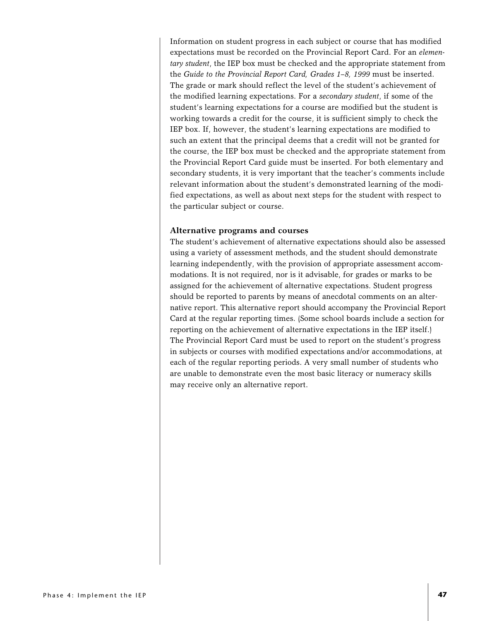Information on student progress in each subject or course that has modified expectations must be recorded on the Provincial Report Card. For an *elementary student*, the IEP box must be checked and the appropriate statement from the *Guide to the Provincial Report Card, Grades 1–8, 1999* must be inserted. The grade or mark should reflect the level of the student's achievement of the modified learning expectations. For a *secondary student*, if some of the student's learning expectations for a course are modified but the student is working towards a credit for the course, it is sufficient simply to check the IEP box. If, however, the student's learning expectations are modified to such an extent that the principal deems that a credit will not be granted for the course, the IEP box must be checked and the appropriate statement from the Provincial Report Card guide must be inserted. For both elementary and secondary students, it is very important that the teacher's comments include relevant information about the student's demonstrated learning of the modified expectations, as well as about next steps for the student with respect to the particular subject or course.

#### **Alternative programs and courses**

The student's achievement of alternative expectations should also be assessed using a variety of assessment methods, and the student should demonstrate learning independently, with the provision of appropriate assessment accommodations. It is not required, nor is it advisable, for grades or marks to be assigned for the achievement of alternative expectations. Student progress should be reported to parents by means of anecdotal comments on an alternative report. This alternative report should accompany the Provincial Report Card at the regular reporting times. (Some school boards include a section for reporting on the achievement of alternative expectations in the IEP itself.) The Provincial Report Card must be used to report on the student's progress in subjects or courses with modified expectations and/or accommodations, at each of the regular reporting periods. A very small number of students who are unable to demonstrate even the most basic literacy or numeracy skills may receive only an alternative report.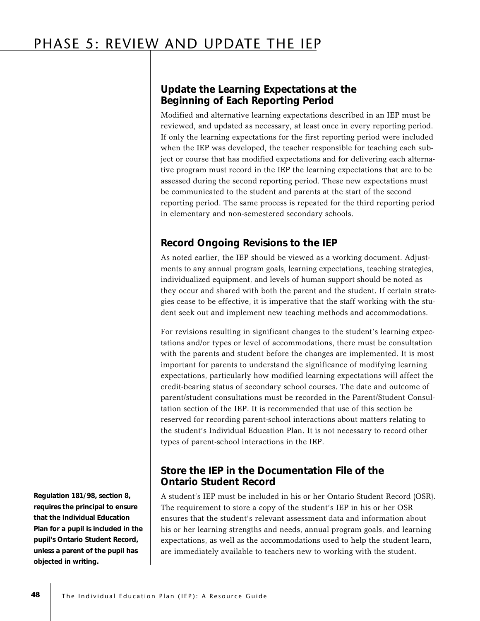## PHASE 5: REVIEW AND UPDATE THE IEP

## **Update the Learning Expectations at the Beginning of Each Reporting Period**

Modified and alternative learning expectations described in an IEP must be reviewed, and updated as necessary, at least once in every reporting period. If only the learning expectations for the first reporting period were included when the IEP was developed, the teacher responsible for teaching each subject or course that has modified expectations and for delivering each alternative program must record in the IEP the learning expectations that are to be assessed during the second reporting period. These new expectations must be communicated to the student and parents at the start of the second reporting period. The same process is repeated for the third reporting period in elementary and non-semestered secondary schools.

## **Record Ongoing Revisions to the IEP**

As noted earlier, the IEP should be viewed as a working document. Adjustments to any annual program goals, learning expectations, teaching strategies, individualized equipment, and levels of human support should be noted as they occur and shared with both the parent and the student. If certain strategies cease to be effective, it is imperative that the staff working with the student seek out and implement new teaching methods and accommodations.

For revisions resulting in significant changes to the student's learning expectations and/or types or level of accommodations, there must be consultation with the parents and student before the changes are implemented. It is most important for parents to understand the significance of modifying learning expectations, particularly how modified learning expectations will affect the credit-bearing status of secondary school courses. The date and outcome of parent/student consultations must be recorded in the Parent/Student Consultation section of the IEP. It is recommended that use of this section be reserved for recording parent-school interactions about matters relating to the student's Individual Education Plan. It is not necessary to record other types of parent-school interactions in the IEP.

## **Store the IEP in the Documentation File of the Ontario Student Record**

A student's IEP must be included in his or her Ontario Student Record (OSR). The requirement to store a copy of the student's IEP in his or her OSR ensures that the student's relevant assessment data and information about his or her learning strengths and needs, annual program goals, and learning expectations, as well as the accommodations used to help the student learn, are immediately available to teachers new to working with the student.

**Regulation 181/98, section 8, requires the principal to ensure that the Individual Education Plan for a pupil is included in the pupil's Ontario Student Record, unless a parent of the pupil has objected in writing.**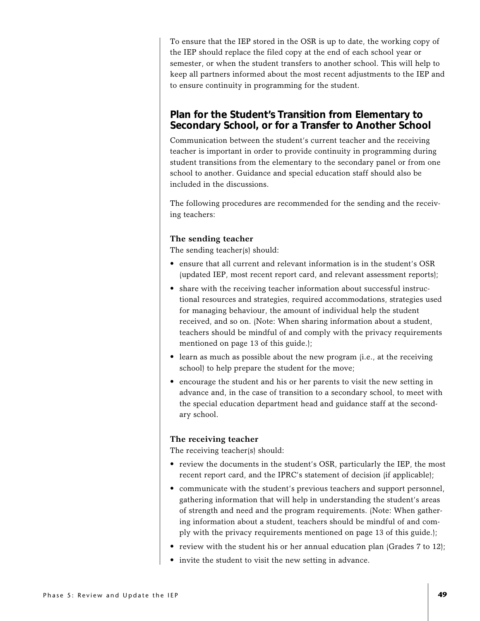To ensure that the IEP stored in the OSR is up to date, the working copy of the IEP should replace the filed copy at the end of each school year or semester, or when the student transfers to another school. This will help to keep all partners informed about the most recent adjustments to the IEP and to ensure continuity in programming for the student.

### **Plan for the Student's Transition from Elementary to Secondary School, or for a Transfer to Another School**

Communication between the student's current teacher and the receiving teacher is important in order to provide continuity in programming during student transitions from the elementary to the secondary panel or from one school to another. Guidance and special education staff should also be included in the discussions.

The following procedures are recommended for the sending and the receiving teachers:

#### **The sending teacher**

The sending teacher(s) should:

- ensure that all current and relevant information is in the student's OSR (updated IEP, most recent report card, and relevant assessment reports);
- share with the receiving teacher information about successful instructional resources and strategies, required accommodations, strategies used for managing behaviour, the amount of individual help the student received, and so on. (Note: When sharing information about a student, teachers should be mindful of and comply with the privacy requirements mentioned on page 13 of this guide.);
- learn as much as possible about the new program (i.e., at the receiving school) to help prepare the student for the move;
- encourage the student and his or her parents to visit the new setting in advance and, in the case of transition to a secondary school, to meet with the special education department head and guidance staff at the secondary school.

#### **The receiving teacher**

The receiving teacher(s) should:

- review the documents in the student's OSR, particularly the IEP, the most recent report card, and the IPRC's statement of decision (if applicable);
- communicate with the student's previous teachers and support personnel, gathering information that will help in understanding the student's areas of strength and need and the program requirements. (Note: When gathering information about a student, teachers should be mindful of and comply with the privacy requirements mentioned on page 13 of this guide.);
- review with the student his or her annual education plan (Grades 7 to 12);
- invite the student to visit the new setting in advance.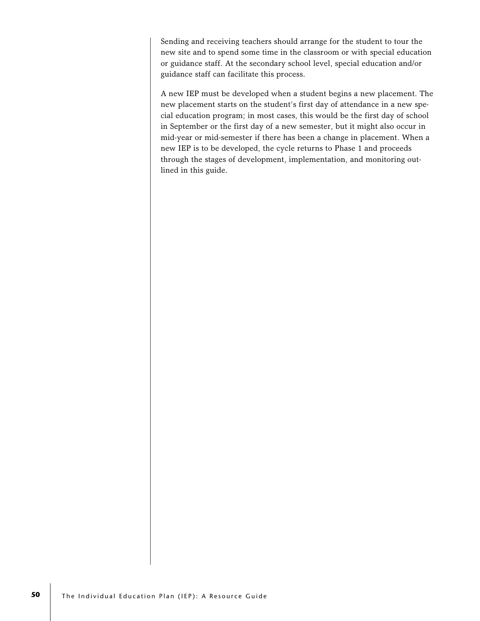Sending and receiving teachers should arrange for the student to tour the new site and to spend some time in the classroom or with special education or guidance staff. At the secondary school level, special education and/or guidance staff can facilitate this process.

A new IEP must be developed when a student begins a new placement. The new placement starts on the student's first day of attendance in a new special education program; in most cases, this would be the first day of school in September or the first day of a new semester, but it might also occur in mid-year or mid-semester if there has been a change in placement. When a new IEP is to be developed, the cycle returns to Phase 1 and proceeds through the stages of development, implementation, and monitoring outlined in this guide.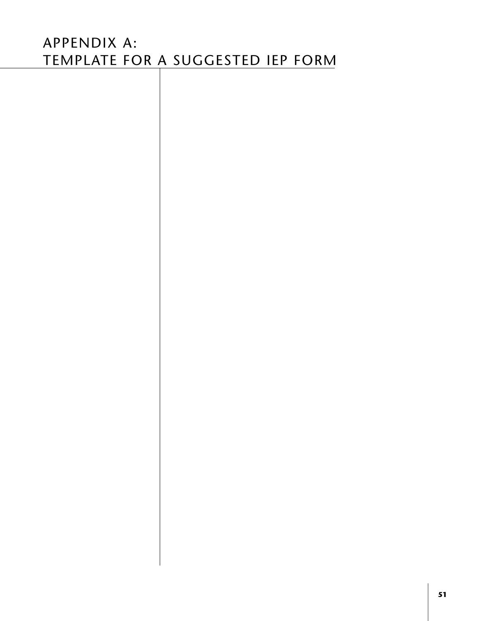# APPENDIX A: TEMPLATE FOR A SUGGESTED IEP FORM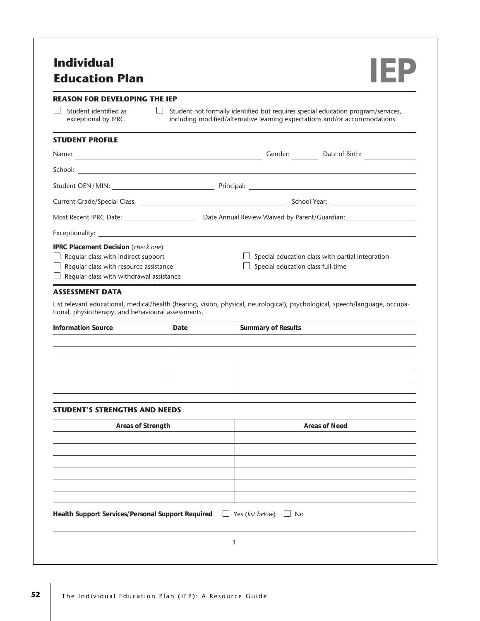# **Individual Education Plan IEP**



#### **REASON FOR DEVELOPING THE IEP**

| $\Box$ Student identified as |
|------------------------------|
| exceptional by IPRC          |

 $\Box$  Student not formally identified but requires special education program/services, including modified/alternative learning expectations and/or accommodations

#### **STUDENT PROFILE**

| Name:                                                                                                                                                                                        | Gender:<br>Date of Birth:                                                             |
|----------------------------------------------------------------------------------------------------------------------------------------------------------------------------------------------|---------------------------------------------------------------------------------------|
|                                                                                                                                                                                              |                                                                                       |
|                                                                                                                                                                                              |                                                                                       |
|                                                                                                                                                                                              |                                                                                       |
| Most Recent IPRC Date:                                                                                                                                                                       | Date Annual Review Waived by Parent/Guardian:                                         |
|                                                                                                                                                                                              |                                                                                       |
| <b>IPRC Placement Decision (check one)</b><br>$\Box$ Regular class with indirect support<br>$\Box$ Regular class with resource assistance<br>$\Box$ Regular class with withdrawal assistance | Special education class with partial integration<br>Special education class full-time |

#### **ASSESSMENT DATA**

List relevant educational, medical/health (hearing, vision, physical, neurological), psychological, speech/language, occupational, physiotherapy, and behavioural assessments.

| <b>Information Source</b> | Date | <b>Summary of Results</b> |
|---------------------------|------|---------------------------|
|                           |      |                           |
|                           |      |                           |
|                           |      |                           |
|                           |      |                           |
|                           |      |                           |

#### **STUDENT'S STRENGTHS AND NEEDS**

| Areas of Strength                                                                   | <b>Areas of Need</b> |
|-------------------------------------------------------------------------------------|----------------------|
|                                                                                     |                      |
|                                                                                     |                      |
|                                                                                     |                      |
|                                                                                     |                      |
|                                                                                     |                      |
| Health Support Services/Personal Support Required $\Box$ Yes (list below) $\Box$ No |                      |
|                                                                                     |                      |
|                                                                                     |                      |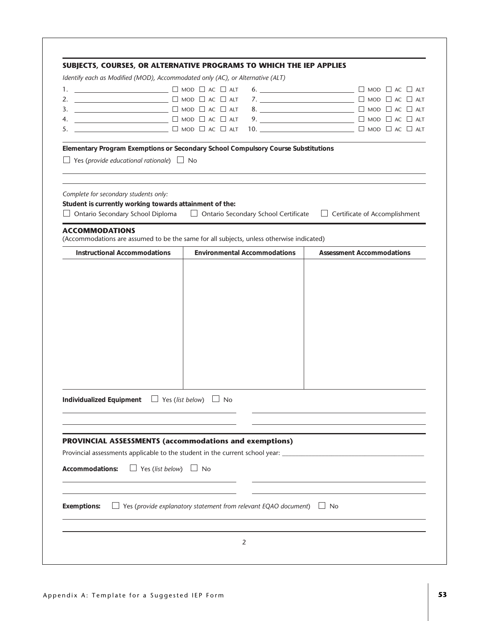| Identify each as Modified (MOD), Accommodated only (AC), or Alternative (ALT)                                                                                 | SUBJECTS, COURSES, OR ALTERNATIVE PROGRAMS TO WHICH THE IEP APPLIES                                                                                                                                                                                                                                                                                                                                                                                                                 |                                      |  |
|---------------------------------------------------------------------------------------------------------------------------------------------------------------|-------------------------------------------------------------------------------------------------------------------------------------------------------------------------------------------------------------------------------------------------------------------------------------------------------------------------------------------------------------------------------------------------------------------------------------------------------------------------------------|--------------------------------------|--|
|                                                                                                                                                               |                                                                                                                                                                                                                                                                                                                                                                                                                                                                                     | 6. $\Box$                            |  |
| 2.                                                                                                                                                            | $\begin{tabular}{lllllllllllll} \top & \multicolumn{3}{l}{} & \multicolumn{3}{l}{} & \multicolumn{3}{l}{} & \multicolumn{3}{l}{} & \multicolumn{3}{l}{} & \multicolumn{3}{l}{} & \multicolumn{3}{l}{} & \multicolumn{3}{l}{} & \multicolumn{3}{l}{} & \multicolumn{3}{l}{} & \multicolumn{3}{l}{} & \multicolumn{3}{l}{} & \multicolumn{3}{l}{} & \multicolumn{3}{l}{} & \multicolumn{3}{l}{} & \multicolumn{3}{l}{} & \multicolumn{3}{l}{} & \multicolumn{3}{l}{} & \multicolumn{$ |                                      |  |
| 3.                                                                                                                                                            | $\begin{tabular}{lllllllllllll} \hline \multicolumn{3}{l}{} & \multicolumn{3}{l}{} & \multicolumn{3}{l}{} & \multicolumn{3}{l}{} & \multicolumn{3}{l}{} & \multicolumn{3}{l}{} & \multicolumn{3}{l}{} & \multicolumn{3}{l}{} & \multicolumn{3}{l}{} & \multicolumn{3}{l}{} & \multicolumn{3}{l}{} & \multicolumn{3}{l}{} & \multicolumn{3}{l}{} & \multicolumn{3}{l}{} & \multicolumn{3}{l}{} & \multicolumn{3}{l}{} & \multicolumn{3}{l}{} & \multicolumn{3}{l}{} & \multicolumn{$ |                                      |  |
| 9. $\qquad \qquad \Box$ MOD $\Box$ AC $\Box$ ALT<br>U MOD □ AC □ ALT<br>4.                                                                                    |                                                                                                                                                                                                                                                                                                                                                                                                                                                                                     |                                      |  |
| $\Box$ MOD $\Box$ AC $\Box$ ALT<br>5.                                                                                                                         |                                                                                                                                                                                                                                                                                                                                                                                                                                                                                     |                                      |  |
|                                                                                                                                                               |                                                                                                                                                                                                                                                                                                                                                                                                                                                                                     |                                      |  |
| Yes (provide educational rationale) $\Box$ No                                                                                                                 | Elementary Program Exemptions or Secondary School Compulsory Course Substitutions                                                                                                                                                                                                                                                                                                                                                                                                   |                                      |  |
| Complete for secondary students only:<br>Student is currently working towards attainment of the:<br>Ontario Secondary School Diploma<br><b>ACCOMMODATIONS</b> | □ Ontario Secondary School Certificate                                                                                                                                                                                                                                                                                                                                                                                                                                              | $\Box$ Certificate of Accomplishment |  |
|                                                                                                                                                               | (Accommodations are assumed to be the same for all subjects, unless otherwise indicated)                                                                                                                                                                                                                                                                                                                                                                                            |                                      |  |
| <b>Instructional Accommodations</b>                                                                                                                           | <b>Environmental Accommodations</b>                                                                                                                                                                                                                                                                                                                                                                                                                                                 | <b>Assessment Accommodations</b>     |  |
|                                                                                                                                                               |                                                                                                                                                                                                                                                                                                                                                                                                                                                                                     |                                      |  |
|                                                                                                                                                               |                                                                                                                                                                                                                                                                                                                                                                                                                                                                                     |                                      |  |
|                                                                                                                                                               |                                                                                                                                                                                                                                                                                                                                                                                                                                                                                     |                                      |  |
|                                                                                                                                                               |                                                                                                                                                                                                                                                                                                                                                                                                                                                                                     |                                      |  |
|                                                                                                                                                               |                                                                                                                                                                                                                                                                                                                                                                                                                                                                                     |                                      |  |
|                                                                                                                                                               |                                                                                                                                                                                                                                                                                                                                                                                                                                                                                     |                                      |  |
|                                                                                                                                                               |                                                                                                                                                                                                                                                                                                                                                                                                                                                                                     |                                      |  |
|                                                                                                                                                               |                                                                                                                                                                                                                                                                                                                                                                                                                                                                                     |                                      |  |
|                                                                                                                                                               |                                                                                                                                                                                                                                                                                                                                                                                                                                                                                     |                                      |  |
|                                                                                                                                                               |                                                                                                                                                                                                                                                                                                                                                                                                                                                                                     |                                      |  |
|                                                                                                                                                               |                                                                                                                                                                                                                                                                                                                                                                                                                                                                                     |                                      |  |
|                                                                                                                                                               |                                                                                                                                                                                                                                                                                                                                                                                                                                                                                     |                                      |  |
|                                                                                                                                                               |                                                                                                                                                                                                                                                                                                                                                                                                                                                                                     |                                      |  |
| Individualized Equipment $\Box$ Yes (list below) $\Box$ No                                                                                                    |                                                                                                                                                                                                                                                                                                                                                                                                                                                                                     |                                      |  |
|                                                                                                                                                               |                                                                                                                                                                                                                                                                                                                                                                                                                                                                                     |                                      |  |
|                                                                                                                                                               |                                                                                                                                                                                                                                                                                                                                                                                                                                                                                     |                                      |  |
|                                                                                                                                                               |                                                                                                                                                                                                                                                                                                                                                                                                                                                                                     |                                      |  |
| <b>PROVINCIAL ASSESSMENTS (accommodations and exemptions)</b>                                                                                                 |                                                                                                                                                                                                                                                                                                                                                                                                                                                                                     |                                      |  |
|                                                                                                                                                               |                                                                                                                                                                                                                                                                                                                                                                                                                                                                                     |                                      |  |
|                                                                                                                                                               |                                                                                                                                                                                                                                                                                                                                                                                                                                                                                     |                                      |  |
| $\Box$ Yes (list below) $\Box$ No<br>Accommodations:                                                                                                          |                                                                                                                                                                                                                                                                                                                                                                                                                                                                                     |                                      |  |
|                                                                                                                                                               |                                                                                                                                                                                                                                                                                                                                                                                                                                                                                     |                                      |  |
|                                                                                                                                                               |                                                                                                                                                                                                                                                                                                                                                                                                                                                                                     |                                      |  |
|                                                                                                                                                               |                                                                                                                                                                                                                                                                                                                                                                                                                                                                                     |                                      |  |
| <b>Exemptions:</b>                                                                                                                                            | $\Box$ Yes (provide explanatory statement from relevant EQAO document) $\Box$ No                                                                                                                                                                                                                                                                                                                                                                                                    |                                      |  |
|                                                                                                                                                               |                                                                                                                                                                                                                                                                                                                                                                                                                                                                                     |                                      |  |
|                                                                                                                                                               |                                                                                                                                                                                                                                                                                                                                                                                                                                                                                     |                                      |  |
|                                                                                                                                                               |                                                                                                                                                                                                                                                                                                                                                                                                                                                                                     |                                      |  |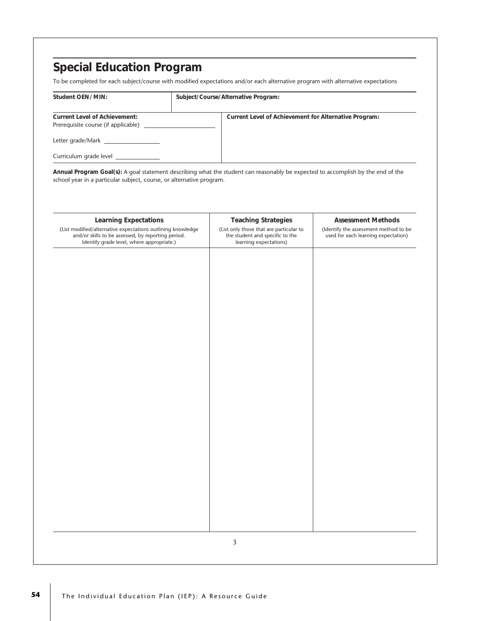| Student OEN/MIN:                                                                                                                                  | Subject/Course/Alternative Program:                                                                                             |                                                                                                           |
|---------------------------------------------------------------------------------------------------------------------------------------------------|---------------------------------------------------------------------------------------------------------------------------------|-----------------------------------------------------------------------------------------------------------|
| <b>Current Level of Achievement:</b>                                                                                                              | Current Level of Achievement for Alternative Program:                                                                           |                                                                                                           |
| Prerequisite course (if applicable) __________                                                                                                    |                                                                                                                                 |                                                                                                           |
| Letter grade/Mark __________________                                                                                                              |                                                                                                                                 |                                                                                                           |
| Curriculum grade level ______________                                                                                                             |                                                                                                                                 |                                                                                                           |
| school year in a particular subject, course, or alternative program.                                                                              | Annual Program Goal(s): A goal statement describing what the student can reasonably be expected to accomplish by the end of the |                                                                                                           |
| <b>Learning Expectations</b><br>(List modified/alternative expectations outlining knowledge<br>and/or skills to be assessed, by reporting period. | <b>Teaching Strategies</b><br>(List only those that are particular to<br>the student and specific to the                        | <b>Assessment Methods</b><br>(Identify the assessment method to be<br>used for each learning expectation) |
|                                                                                                                                                   |                                                                                                                                 |                                                                                                           |
|                                                                                                                                                   |                                                                                                                                 |                                                                                                           |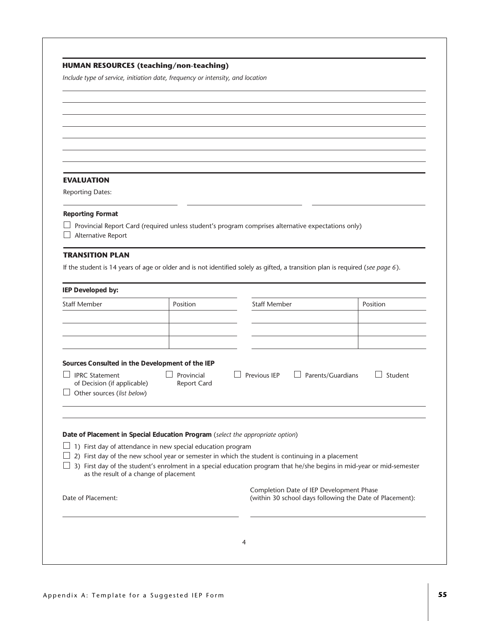|                                                                                                              | Include type of service, initiation date, frequency or intensity, and location |                                                                                                                                |          |
|--------------------------------------------------------------------------------------------------------------|--------------------------------------------------------------------------------|--------------------------------------------------------------------------------------------------------------------------------|----------|
|                                                                                                              |                                                                                |                                                                                                                                |          |
|                                                                                                              |                                                                                |                                                                                                                                |          |
|                                                                                                              |                                                                                |                                                                                                                                |          |
|                                                                                                              |                                                                                |                                                                                                                                |          |
|                                                                                                              |                                                                                |                                                                                                                                |          |
|                                                                                                              |                                                                                |                                                                                                                                |          |
|                                                                                                              |                                                                                |                                                                                                                                |          |
| <b>EVALUATION</b>                                                                                            |                                                                                |                                                                                                                                |          |
| <b>Reporting Dates:</b>                                                                                      |                                                                                |                                                                                                                                |          |
|                                                                                                              |                                                                                |                                                                                                                                |          |
| <b>Reporting Format</b>                                                                                      |                                                                                |                                                                                                                                |          |
|                                                                                                              |                                                                                | Provincial Report Card (required unless student's program comprises alternative expectations only)                             |          |
| Alternative Report                                                                                           |                                                                                |                                                                                                                                |          |
| <b>TRANSITION PLAN</b>                                                                                       |                                                                                |                                                                                                                                |          |
|                                                                                                              |                                                                                |                                                                                                                                |          |
|                                                                                                              |                                                                                | If the student is 14 years of age or older and is not identified solely as gifted, a transition plan is required (see page 6). |          |
| IEP Developed by:                                                                                            |                                                                                |                                                                                                                                |          |
| <b>Staff Member</b>                                                                                          |                                                                                |                                                                                                                                |          |
|                                                                                                              | Position                                                                       | <b>Staff Member</b>                                                                                                            | Position |
|                                                                                                              |                                                                                |                                                                                                                                |          |
|                                                                                                              |                                                                                |                                                                                                                                |          |
|                                                                                                              |                                                                                |                                                                                                                                |          |
|                                                                                                              |                                                                                |                                                                                                                                |          |
|                                                                                                              |                                                                                |                                                                                                                                |          |
|                                                                                                              |                                                                                |                                                                                                                                |          |
| <b>IPRC Statement</b>                                                                                        | Provincial                                                                     | Previous IEP<br>Parents/Guardians                                                                                              | Student  |
| Sources Consulted in the Development of the IEP<br>of Decision (if applicable)<br>Other sources (list below) | <b>Report Card</b>                                                             |                                                                                                                                |          |
|                                                                                                              |                                                                                |                                                                                                                                |          |
|                                                                                                              |                                                                                |                                                                                                                                |          |
|                                                                                                              |                                                                                |                                                                                                                                |          |
|                                                                                                              | Date of Placement in Special Education Program (select the appropriate option) |                                                                                                                                |          |
|                                                                                                              | 1) First day of attendance in new special education program                    |                                                                                                                                |          |
|                                                                                                              |                                                                                | 2) First day of the new school year or semester in which the student is continuing in a placement                              |          |
| as the result of a change of placement                                                                       |                                                                                | 3) First day of the student's enrolment in a special education program that he/she begins in mid-year or mid-semester          |          |
|                                                                                                              |                                                                                |                                                                                                                                |          |
|                                                                                                              |                                                                                | Completion Date of IEP Development Phase                                                                                       |          |
| Date of Placement:                                                                                           |                                                                                | (within 30 school days following the Date of Placement):                                                                       |          |
|                                                                                                              |                                                                                |                                                                                                                                |          |
|                                                                                                              |                                                                                |                                                                                                                                |          |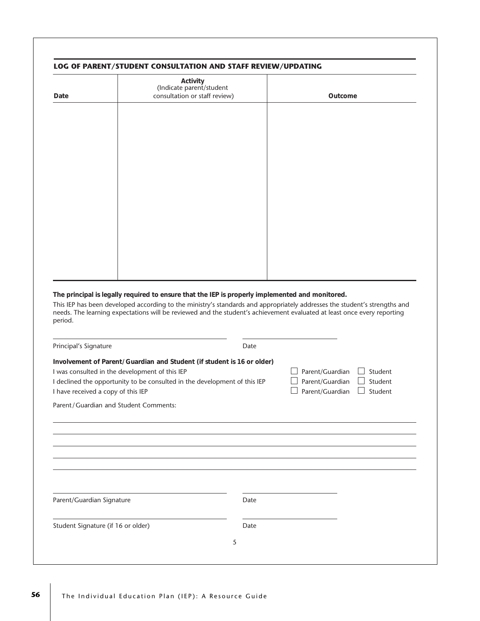|                                                                                                                                           | Activity<br>(Indicate parent/student                                                                                                                                                                                                                                                                                                                    |      |                                       |                    |
|-------------------------------------------------------------------------------------------------------------------------------------------|---------------------------------------------------------------------------------------------------------------------------------------------------------------------------------------------------------------------------------------------------------------------------------------------------------------------------------------------------------|------|---------------------------------------|--------------------|
| Date                                                                                                                                      | consultation or staff review)                                                                                                                                                                                                                                                                                                                           |      | Outcome                               |                    |
|                                                                                                                                           |                                                                                                                                                                                                                                                                                                                                                         |      |                                       |                    |
|                                                                                                                                           |                                                                                                                                                                                                                                                                                                                                                         |      |                                       |                    |
|                                                                                                                                           |                                                                                                                                                                                                                                                                                                                                                         |      |                                       |                    |
|                                                                                                                                           |                                                                                                                                                                                                                                                                                                                                                         |      |                                       |                    |
|                                                                                                                                           |                                                                                                                                                                                                                                                                                                                                                         |      |                                       |                    |
|                                                                                                                                           |                                                                                                                                                                                                                                                                                                                                                         |      |                                       |                    |
|                                                                                                                                           |                                                                                                                                                                                                                                                                                                                                                         |      |                                       |                    |
|                                                                                                                                           |                                                                                                                                                                                                                                                                                                                                                         |      |                                       |                    |
|                                                                                                                                           |                                                                                                                                                                                                                                                                                                                                                         |      |                                       |                    |
|                                                                                                                                           |                                                                                                                                                                                                                                                                                                                                                         |      |                                       |                    |
|                                                                                                                                           |                                                                                                                                                                                                                                                                                                                                                         |      |                                       |                    |
|                                                                                                                                           |                                                                                                                                                                                                                                                                                                                                                         |      |                                       |                    |
|                                                                                                                                           |                                                                                                                                                                                                                                                                                                                                                         |      |                                       |                    |
|                                                                                                                                           |                                                                                                                                                                                                                                                                                                                                                         |      |                                       |                    |
|                                                                                                                                           | The principal is legally required to ensure that the IEP is properly implemented and monitored.<br>This IEP has been developed according to the ministry's standards and appropriately addresses the student's strengths and<br>needs. The learning expectations will be reviewed and the student's achievement evaluated at least once every reporting |      |                                       |                    |
|                                                                                                                                           |                                                                                                                                                                                                                                                                                                                                                         |      |                                       |                    |
|                                                                                                                                           |                                                                                                                                                                                                                                                                                                                                                         | Date |                                       |                    |
|                                                                                                                                           | Involvement of Parent/Guardian and Student (if student is 16 or older)                                                                                                                                                                                                                                                                                  |      |                                       |                    |
|                                                                                                                                           | I was consulted in the development of this IEP<br>I declined the opportunity to be consulted in the development of this IEP                                                                                                                                                                                                                             |      | Parent/Guardian<br>Parent/Guardian    | Student<br>Student |
|                                                                                                                                           |                                                                                                                                                                                                                                                                                                                                                         |      | $\Box$ Parent/Guardian $\Box$ Student |                    |
|                                                                                                                                           | Parent/Guardian and Student Comments:                                                                                                                                                                                                                                                                                                                   |      |                                       |                    |
|                                                                                                                                           |                                                                                                                                                                                                                                                                                                                                                         |      |                                       |                    |
|                                                                                                                                           |                                                                                                                                                                                                                                                                                                                                                         |      |                                       |                    |
|                                                                                                                                           |                                                                                                                                                                                                                                                                                                                                                         |      |                                       |                    |
|                                                                                                                                           |                                                                                                                                                                                                                                                                                                                                                         |      |                                       |                    |
|                                                                                                                                           |                                                                                                                                                                                                                                                                                                                                                         |      |                                       |                    |
|                                                                                                                                           |                                                                                                                                                                                                                                                                                                                                                         |      |                                       |                    |
|                                                                                                                                           |                                                                                                                                                                                                                                                                                                                                                         | Date |                                       |                    |
| period.<br>Principal's Signature<br>I have received a copy of this IEP<br>Parent/Guardian Signature<br>Student Signature (if 16 or older) |                                                                                                                                                                                                                                                                                                                                                         | Date |                                       |                    |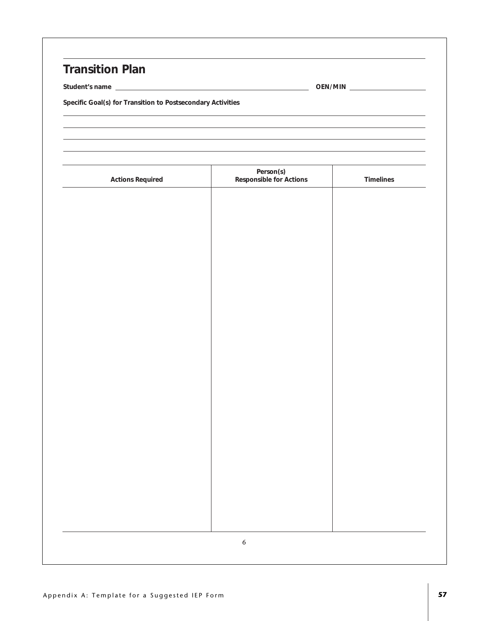## **Transition Plan**

**Student's name OEN/MIN**

**Specific Goal(s) for Transition to Postsecondary Activities**

| <b>Actions Required</b> | Person(s)<br>Responsible for Actions | <b>Timelines</b> |
|-------------------------|--------------------------------------|------------------|
|                         |                                      |                  |
|                         |                                      |                  |
|                         |                                      |                  |
|                         |                                      |                  |
|                         |                                      |                  |
|                         |                                      |                  |
|                         |                                      |                  |
|                         |                                      |                  |
|                         |                                      |                  |
|                         |                                      |                  |
|                         |                                      |                  |
|                         |                                      |                  |
|                         |                                      |                  |
|                         |                                      |                  |
|                         |                                      |                  |
|                         |                                      |                  |
|                         |                                      |                  |
|                         |                                      |                  |
|                         |                                      |                  |
|                         |                                      |                  |
|                         |                                      |                  |
|                         |                                      |                  |
|                         | $\boldsymbol{6}$                     |                  |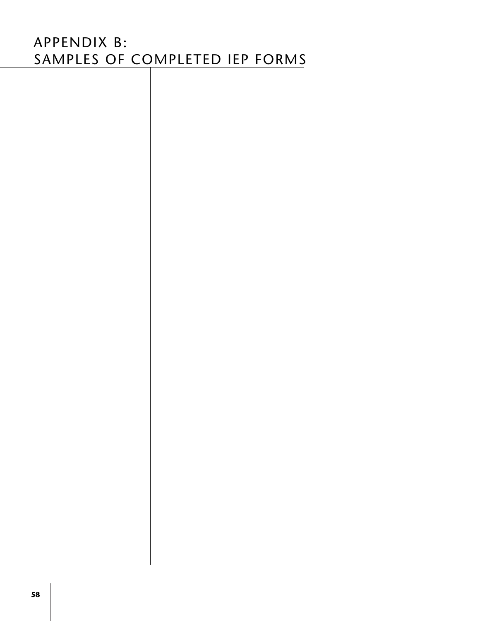# APPENDIX B: SAMPLES OF COMPLETED IEP FORMS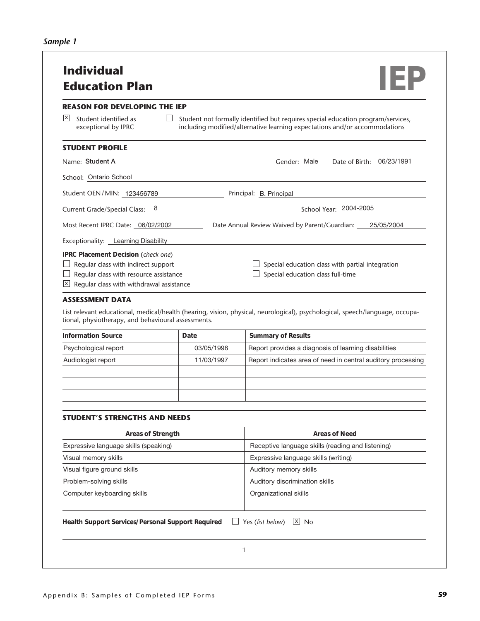| REASON FOR DEVELOPING THE IEP                                                                                                                                    |            |                                                                                                                                                                |
|------------------------------------------------------------------------------------------------------------------------------------------------------------------|------------|----------------------------------------------------------------------------------------------------------------------------------------------------------------|
| X <br>Student identified as<br>exceptional by IPRC                                                                                                               |            | Student not formally identified but requires special education program/services,<br>including modified/alternative learning expectations and/or accommodations |
| STUDENT PROFILE                                                                                                                                                  |            |                                                                                                                                                                |
| Name: Student A                                                                                                                                                  |            | Date of Birth: 06/23/1991<br>Gender: Male                                                                                                                      |
| School: Ontario School                                                                                                                                           |            |                                                                                                                                                                |
| Student OEN/MIN: 123456789                                                                                                                                       |            | Principal: B. Principal                                                                                                                                        |
| Current Grade/Special Class: 8                                                                                                                                   |            | School Year: 2004-2005                                                                                                                                         |
| Most Recent IPRC Date: 06/02/2002                                                                                                                                |            | Date Annual Review Waived by Parent/Guardian: 25/05/2004                                                                                                       |
| Exceptionality: Learning Disability                                                                                                                              |            |                                                                                                                                                                |
| IPRC Placement Decision (check one)<br>Regular class with indirect support<br>Regular class with resource assistance<br>Regular class with withdrawal assistance |            | Special education class with partial integration<br>Special education class full-time                                                                          |
|                                                                                                                                                                  |            |                                                                                                                                                                |
| ASSESSMENT DATA<br>tional, physiotherapy, and behavioural assessments.<br><b>Information Source</b>                                                              | Date       | List relevant educational, medical/health (hearing, vision, physical, neurological), psychological, speech/language, occupa-                                   |
|                                                                                                                                                                  | 03/05/1998 | <b>Summary of Results</b>                                                                                                                                      |
| Psychological report<br>Audiologist report                                                                                                                       | 11/03/1997 | Report provides a diagnosis of learning disabilities                                                                                                           |
|                                                                                                                                                                  |            |                                                                                                                                                                |
| <b>STUDENT'S STRENGTHS AND NEEDS</b>                                                                                                                             |            |                                                                                                                                                                |
| Areas of Strength                                                                                                                                                |            | <b>Areas of Need</b>                                                                                                                                           |
|                                                                                                                                                                  |            | Receptive language skills (reading and listening)                                                                                                              |
|                                                                                                                                                                  |            | Expressive language skills (writing)                                                                                                                           |
|                                                                                                                                                                  |            | Auditory memory skills                                                                                                                                         |
| Expressive language skills (speaking)<br>Visual memory skills<br>Visual figure ground skills<br>Problem-solving skills                                           |            | Auditory discrimination skills                                                                                                                                 |
| Computer keyboarding skills                                                                                                                                      |            | Report indicates area of need in central auditory processing<br>Organizational skills                                                                          |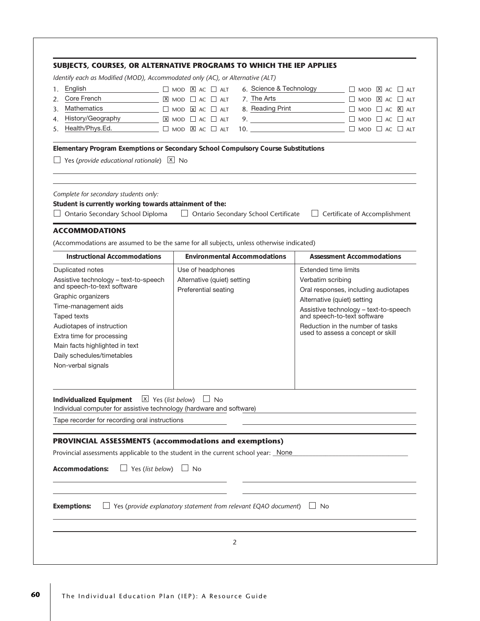|                                                                                                                                                                      | Identify each as Modified (MOD), Accommodated only (AC), or Alternative (ALT)            |                                                                       |
|----------------------------------------------------------------------------------------------------------------------------------------------------------------------|------------------------------------------------------------------------------------------|-----------------------------------------------------------------------|
| English<br>1.                                                                                                                                                        | $\Box$ MOD $\Box$ AC $\Box$ ALT                                                          | 6. Science & Technology<br>$\Box$ MOD $\overline{X}$ AC $\Box$ ALT    |
| Core French<br>2.                                                                                                                                                    | 7. The Arts<br>$X$ MOD $A C$ $A T$                                                       | $\Box$ MOD $\overline{X}$ AC $\Box$ ALT                               |
| Mathematics<br>3.                                                                                                                                                    | $\Box$ MOD $\Box$ AC $\Box$ ALT                                                          | 8. Reading Print<br>$\Box$ MOD $\Box$ AC $\boxtimes$ ALT              |
| History/Geography<br>4.                                                                                                                                              | $X$ MOD $A C$ $A T$                                                                      | 9. $\overline{\qquad \qquad }$<br>$\Box$ mod $\Box$ ac $\Box$ alt     |
| Health/Phys.Ed.<br>5.                                                                                                                                                | $\square$ MOD $\times$ AC $\square$ ALT                                                  |                                                                       |
| Yes (provide educational rationale) $X$ No                                                                                                                           | Elementary Program Exemptions or Secondary School Compulsory Course Substitutions        |                                                                       |
| Complete for secondary students only:<br>Student is currently working towards attainment of the:<br>$\Box$ Ontario Secondary School Diploma<br><b>ACCOMMODATIONS</b> | $\Box$ Ontario Secondary School Certificate                                              | $\Box$ Certificate of Accomplishment                                  |
|                                                                                                                                                                      | (Accommodations are assumed to be the same for all subjects, unless otherwise indicated) |                                                                       |
| <b>Instructional Accommodations</b>                                                                                                                                  | <b>Environmental Accommodations</b>                                                      | <b>Assessment Accommodations</b>                                      |
| Duplicated notes                                                                                                                                                     | Use of headphones                                                                        | <b>Extended time limits</b>                                           |
| Assistive technology - text-to-speech                                                                                                                                | Alternative (quiet) setting                                                              | Verbatim scribing                                                     |
| and speech-to-text software                                                                                                                                          | Preferential seating                                                                     | Oral responses, including audiotapes                                  |
| Graphic organizers                                                                                                                                                   |                                                                                          | Alternative (quiet) setting                                           |
| Time-management aids                                                                                                                                                 |                                                                                          | Assistive technology - text-to-speech                                 |
| <b>Taped texts</b>                                                                                                                                                   |                                                                                          | and speech-to-text software                                           |
| Audiotapes of instruction                                                                                                                                            |                                                                                          | Reduction in the number of tasks<br>used to assess a concept or skill |
| Extra time for processing                                                                                                                                            |                                                                                          |                                                                       |
| Main facts highlighted in text                                                                                                                                       |                                                                                          |                                                                       |
| Daily schedules/timetables                                                                                                                                           |                                                                                          |                                                                       |
| Non-verbal signals                                                                                                                                                   |                                                                                          |                                                                       |
| Individualized Equipment $\boxed{\times}$ Yes (list below) $\boxed{\phantom{1}}$ No                                                                                  | Individual computer for assistive technology (hardware and software)                     |                                                                       |
|                                                                                                                                                                      |                                                                                          |                                                                       |
|                                                                                                                                                                      | PROVINCIAL ASSESSMENTS (accommodations and exemptions)                                   |                                                                       |
|                                                                                                                                                                      |                                                                                          |                                                                       |
|                                                                                                                                                                      | Provincial assessments applicable to the student in the current school year: None        |                                                                       |
| Tape recorder for recording oral instructions<br>Yes (list below)<br>Accommodations:                                                                                 | $\Box$ No                                                                                |                                                                       |
|                                                                                                                                                                      |                                                                                          |                                                                       |
| <b>Exemptions:</b>                                                                                                                                                   | Yes (provide explanatory statement from relevant EQAO document)                          | $\Box$ No                                                             |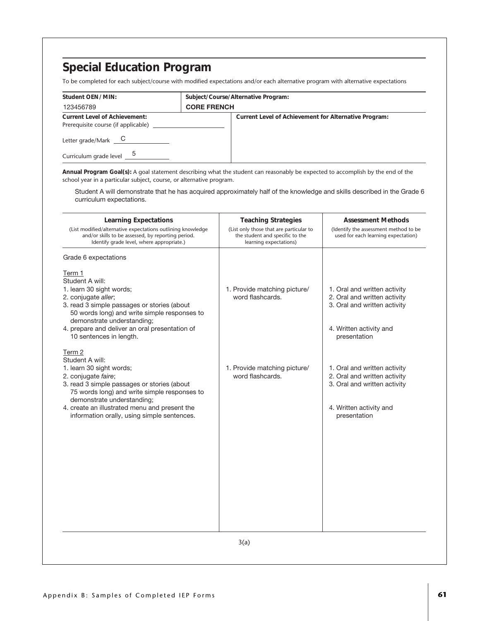To be completed for each subject/course with modified expectations and/or each alternative program with alternative expectations

| Student OEN/MIN:                                                                                                   | Subject/Course/Alternative Program:                   |
|--------------------------------------------------------------------------------------------------------------------|-------------------------------------------------------|
| 123456789                                                                                                          | <b>CORE FRENCH</b>                                    |
| <b>Current Level of Achievement:</b><br>Prerequisite course (if applicable)<br>Letter grade/Mark $\qquad \qquad C$ | Current Level of Achievement for Alternative Program: |
| Curriculum grade level $\frac{5}{2}$                                                                               |                                                       |

**Annual Program Goal(s):** A goal statement describing what the student can reasonably be expected to accomplish by the end of the school year in a particular subject, course, or alternative program.

Student A will demonstrate that he has acquired approximately half of the knowledge and skills described in the Grade 6 curriculum expectations.

| <b>Learning Expectations</b><br>(List modified/alternative expectations outlining knowledge<br>and/or skills to be assessed, by reporting period.<br>Identify grade level, where appropriate.)                                                                                                                 | <b>Teaching Strategies</b><br>(List only those that are particular to<br>the student and specific to the<br>learning expectations) | <b>Assessment Methods</b><br>(Identify the assessment method to be<br>used for each learning expectation)                               |
|----------------------------------------------------------------------------------------------------------------------------------------------------------------------------------------------------------------------------------------------------------------------------------------------------------------|------------------------------------------------------------------------------------------------------------------------------------|-----------------------------------------------------------------------------------------------------------------------------------------|
| Grade 6 expectations<br>Term 1<br>Student A will:<br>1. learn 30 sight words;<br>2. conjugate aller;<br>3. read 3 simple passages or stories (about<br>50 words long) and write simple responses to<br>demonstrate understanding;<br>4. prepare and deliver an oral presentation of<br>10 sentences in length. | 1. Provide matching picture/<br>word flashcards.                                                                                   | 1. Oral and written activity<br>2. Oral and written activity<br>3. Oral and written activity<br>4. Written activity and<br>presentation |
| Term 2<br>Student A will:<br>1. learn 30 sight words;<br>2. conjugate faire;<br>3. read 3 simple passages or stories (about<br>75 words long) and write simple responses to<br>demonstrate understanding;<br>4. create an illustrated menu and present the<br>information orally, using simple sentences.      | 1. Provide matching picture/<br>word flashcards.                                                                                   | 1. Oral and written activity<br>2. Oral and written activity<br>3. Oral and written activity<br>4. Written activity and<br>presentation |
|                                                                                                                                                                                                                                                                                                                | 3(a)                                                                                                                               |                                                                                                                                         |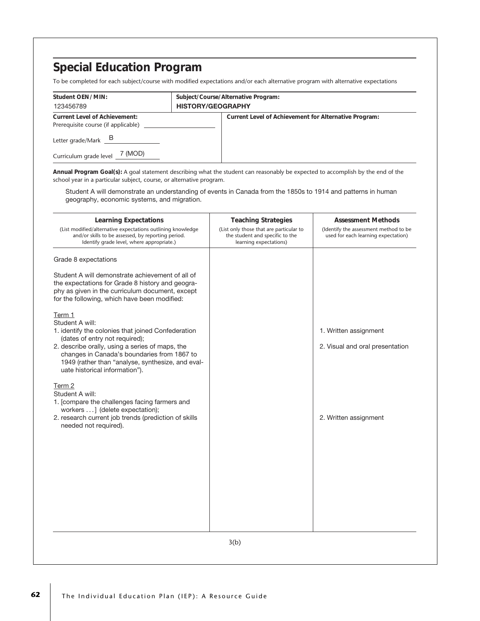To be completed for each subject/course with modified expectations and/or each alternative program with alternative expectations

| Student OEN/MIN:<br>123456789                                                                        | Subject/Course/Alternative Program:<br><b>HISTORY/GEOGRAPHY</b> |                                                       |
|------------------------------------------------------------------------------------------------------|-----------------------------------------------------------------|-------------------------------------------------------|
| <b>Current Level of Achievement:</b><br>Prerequisite course (if applicable)<br>Letter grade/Mark $B$ |                                                                 | Current Level of Achievement for Alternative Program: |
| Curriculum grade level $\frac{7}{10}$ (MOD)                                                          |                                                                 |                                                       |

**Annual Program Goal(s):** A goal statement describing what the student can reasonably be expected to accomplish by the end of the school year in a particular subject, course, or alternative program.

Student A will demonstrate an understanding of events in Canada from the 1850s to 1914 and patterns in human geography, economic systems, and migration.

| Grade 8 expectations<br>Student A will demonstrate achievement of all of<br>the expectations for Grade 8 history and geogra-<br>phy as given in the curriculum document, except<br>for the following, which have been modified:<br>Term 1<br>Student A will:<br>1. identify the colonies that joined Confederation<br>1. Written assignment<br>(dates of entry not required);<br>2. describe orally, using a series of maps, the<br>changes in Canada's boundaries from 1867 to<br>1949 (rather than "analyse, synthesize, and eval-<br>uate historical information").<br>Term 2<br>Student A will:<br>1. [compare the challenges facing farmers and<br>workers ] (delete expectation);<br>2. research current job trends (prediction of skills<br>2. Written assignment<br>needed not required). | <b>Learning Expectations</b><br>(List modified/alternative expectations outlining knowledge<br>and/or skills to be assessed, by reporting period.<br>Identify grade level, where appropriate.) | <b>Teaching Strategies</b><br>(List only those that are particular to<br>the student and specific to the<br>learning expectations) | <b>Assessment Methods</b><br>(Identify the assessment method to be<br>used for each learning expectation) |
|---------------------------------------------------------------------------------------------------------------------------------------------------------------------------------------------------------------------------------------------------------------------------------------------------------------------------------------------------------------------------------------------------------------------------------------------------------------------------------------------------------------------------------------------------------------------------------------------------------------------------------------------------------------------------------------------------------------------------------------------------------------------------------------------------|------------------------------------------------------------------------------------------------------------------------------------------------------------------------------------------------|------------------------------------------------------------------------------------------------------------------------------------|-----------------------------------------------------------------------------------------------------------|
|                                                                                                                                                                                                                                                                                                                                                                                                                                                                                                                                                                                                                                                                                                                                                                                                   |                                                                                                                                                                                                |                                                                                                                                    |                                                                                                           |
|                                                                                                                                                                                                                                                                                                                                                                                                                                                                                                                                                                                                                                                                                                                                                                                                   |                                                                                                                                                                                                |                                                                                                                                    |                                                                                                           |
|                                                                                                                                                                                                                                                                                                                                                                                                                                                                                                                                                                                                                                                                                                                                                                                                   |                                                                                                                                                                                                |                                                                                                                                    | 2. Visual and oral presentation                                                                           |
|                                                                                                                                                                                                                                                                                                                                                                                                                                                                                                                                                                                                                                                                                                                                                                                                   |                                                                                                                                                                                                |                                                                                                                                    |                                                                                                           |
|                                                                                                                                                                                                                                                                                                                                                                                                                                                                                                                                                                                                                                                                                                                                                                                                   |                                                                                                                                                                                                |                                                                                                                                    |                                                                                                           |
|                                                                                                                                                                                                                                                                                                                                                                                                                                                                                                                                                                                                                                                                                                                                                                                                   |                                                                                                                                                                                                | 3(b)                                                                                                                               |                                                                                                           |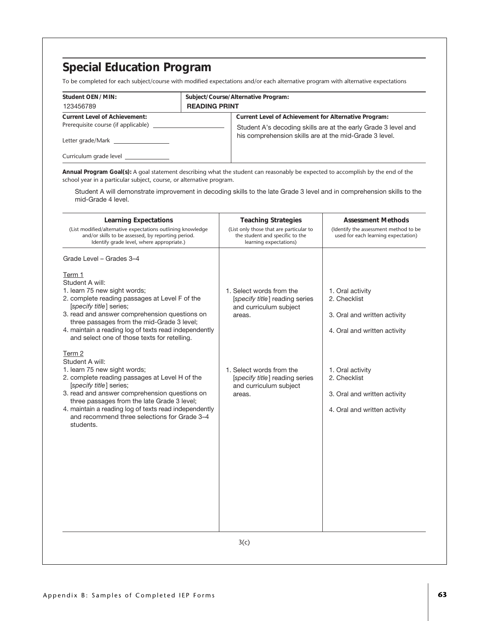To be completed for each subject/course with modified expectations and/or each alternative program with alternative expectations

| Student OEN/MIN:                     | Subject/Course/Alternative Program: |                                                                |
|--------------------------------------|-------------------------------------|----------------------------------------------------------------|
| 123456789                            | <b>READING PRINT</b>                |                                                                |
| <b>Current Level of Achievement:</b> |                                     | Current Level of Achievement for Alternative Program:          |
| Prerequisite course (if applicable)  |                                     | Student A's decoding skills are at the early Grade 3 level and |
| Letter grade/Mark                    |                                     | his comprehension skills are at the mid-Grade 3 level.         |
| Curriculum grade level               |                                     |                                                                |

**Annual Program Goal(s):** A goal statement describing what the student can reasonably be expected to accomplish by the end of the school year in a particular subject, course, or alternative program.

Student A will demonstrate improvement in decoding skills to the late Grade 3 level and in comprehension skills to the mid-Grade 4 level.

| <b>Learning Expectations</b><br>(List modified/alternative expectations outlining knowledge<br>and/or skills to be assessed, by reporting period.<br>Identify grade level, where appropriate.)                                                                                                                                                                             | <b>Teaching Strategies</b><br>(List only those that are particular to<br>the student and specific to the<br>learning expectations) | <b>Assessment Methods</b><br>(Identify the assessment method to be<br>used for each learning expectation) |
|----------------------------------------------------------------------------------------------------------------------------------------------------------------------------------------------------------------------------------------------------------------------------------------------------------------------------------------------------------------------------|------------------------------------------------------------------------------------------------------------------------------------|-----------------------------------------------------------------------------------------------------------|
| Grade Level - Grades 3-4<br>Term 1<br>Student A will:<br>1. learn 75 new sight words;<br>2. complete reading passages at Level F of the<br>[specify title] series;<br>3. read and answer comprehension questions on<br>three passages from the mid-Grade 3 level;<br>4. maintain a reading log of texts read independently<br>and select one of those texts for retelling. | 1. Select words from the<br>[specify title] reading series<br>and curriculum subject<br>areas.                                     | 1. Oral activity<br>2. Checklist<br>3. Oral and written activity<br>4. Oral and written activity          |
| Term 2<br>Student A will:<br>1. learn 75 new sight words;<br>2. complete reading passages at Level H of the<br>[specify title] series;<br>3. read and answer comprehension questions on<br>three passages from the late Grade 3 level;<br>4. maintain a reading log of texts read independently<br>and recommend three selections for Grade 3-4<br>students.               | 1. Select words from the<br>[specify title] reading series<br>and curriculum subject<br>areas.                                     | 1. Oral activity<br>2. Checklist<br>3. Oral and written activity<br>4. Oral and written activity          |
|                                                                                                                                                                                                                                                                                                                                                                            | 3(c)                                                                                                                               |                                                                                                           |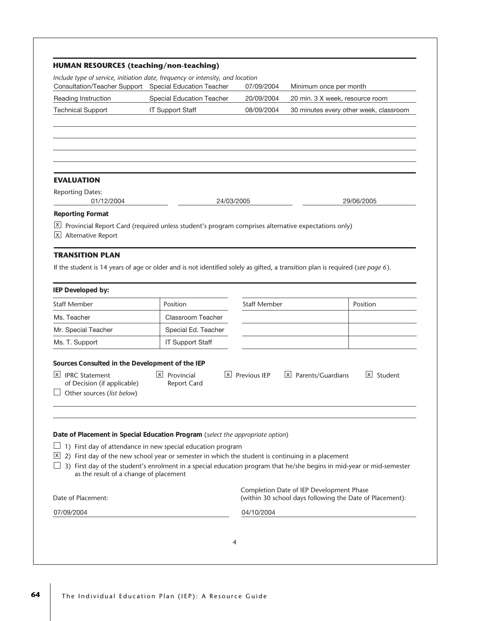| Consultation/Teacher Support Special Education Teacher<br>Reading Instruction<br><b>Technical Support</b>                                                                                                                                                                         | Special Education Teacher<br><b>IT Support Staff</b>        | 07/09/2004<br>20/09/2004<br>08/09/2004 | Minimum once per month<br>20 min. 3 X week, resource room                                            | 30 minutes every other week, classroom |
|-----------------------------------------------------------------------------------------------------------------------------------------------------------------------------------------------------------------------------------------------------------------------------------|-------------------------------------------------------------|----------------------------------------|------------------------------------------------------------------------------------------------------|----------------------------------------|
|                                                                                                                                                                                                                                                                                   |                                                             |                                        |                                                                                                      |                                        |
|                                                                                                                                                                                                                                                                                   |                                                             |                                        |                                                                                                      |                                        |
|                                                                                                                                                                                                                                                                                   |                                                             |                                        |                                                                                                      |                                        |
| <b>EVALUATION</b>                                                                                                                                                                                                                                                                 |                                                             |                                        |                                                                                                      |                                        |
| <b>Reporting Dates:</b><br>01/12/2004                                                                                                                                                                                                                                             | 24/03/2005                                                  |                                        |                                                                                                      | 29/06/2005                             |
| <b>Reporting Format</b><br>$\lfloor x \rfloor$<br>Provincial Report Card (required unless student's program comprises alternative expectations only)<br>$\mathsf{X}$<br>Alternative Report                                                                                        |                                                             |                                        |                                                                                                      |                                        |
| <b>TRANSITION PLAN</b><br>If the student is 14 years of age or older and is not identified solely as gifted, a transition plan is required (see page 6).                                                                                                                          |                                                             |                                        |                                                                                                      |                                        |
| IEP Developed by:                                                                                                                                                                                                                                                                 |                                                             |                                        |                                                                                                      |                                        |
| <b>Staff Member</b>                                                                                                                                                                                                                                                               | Position                                                    | <b>Staff Member</b>                    |                                                                                                      | Position                               |
| Ms. Teacher                                                                                                                                                                                                                                                                       | <b>Classroom Teacher</b>                                    |                                        |                                                                                                      |                                        |
| Mr. Special Teacher                                                                                                                                                                                                                                                               | Special Ed. Teacher                                         |                                        |                                                                                                      |                                        |
| Ms. T. Support                                                                                                                                                                                                                                                                    | <b>IT Support Staff</b>                                     |                                        |                                                                                                      |                                        |
| Sources Consulted in the Development of the IEP<br> X <br><b>IPRC Statement</b>                                                                                                                                                                                                   | $X$ Provincial<br> x                                        | Previous IEP                           | $X$ Parents/Guardians                                                                                | $\vert x \vert$<br>Student             |
| of Decision (if applicable)<br>Other sources (list below)                                                                                                                                                                                                                         | <b>Report Card</b>                                          |                                        |                                                                                                      |                                        |
| Date of Placement in Special Education Program (select the appropriate option)                                                                                                                                                                                                    | 1) First day of attendance in new special education program |                                        |                                                                                                      |                                        |
| $\vert$ X<br>2) First day of the new school year or semester in which the student is continuing in a placement<br>3) First day of the student's enrolment in a special education program that he/she begins in mid-year or mid-semester<br>as the result of a change of placement |                                                             |                                        |                                                                                                      |                                        |
| Date of Placement:                                                                                                                                                                                                                                                                |                                                             |                                        | Completion Date of IEP Development Phase<br>(within 30 school days following the Date of Placement): |                                        |
| 07/09/2004                                                                                                                                                                                                                                                                        |                                                             | 04/10/2004                             |                                                                                                      |                                        |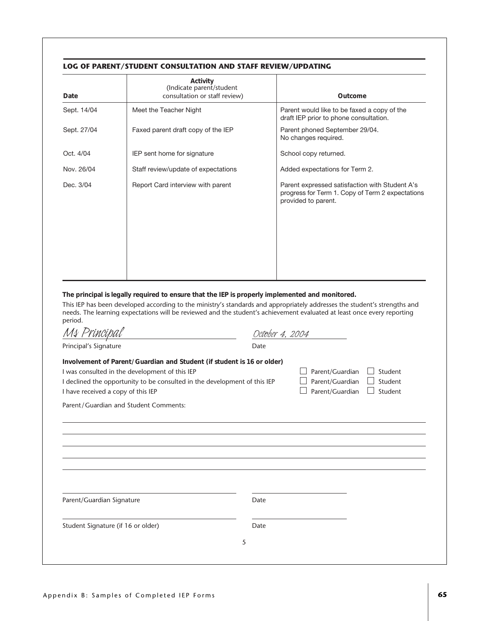#### **LOG OF PARENT/STUDENT CONSULTATION AND STAFF REVIEW/UPDATING**

| Date        | Activity<br>(Indicate parent/student<br>consultation or staff review) | Outcome                                                                                                                   |
|-------------|-----------------------------------------------------------------------|---------------------------------------------------------------------------------------------------------------------------|
| Sept. 14/04 | Meet the Teacher Night                                                | Parent would like to be faxed a copy of the<br>draft IEP prior to phone consultation.                                     |
| Sept. 27/04 | Faxed parent draft copy of the IEP                                    | Parent phoned September 29/04.<br>No changes required.                                                                    |
| Oct. 4/04   | IEP sent home for signature                                           | School copy returned.                                                                                                     |
| Nov. 26/04  | Staff review/update of expectations                                   | Added expectations for Term 2.                                                                                            |
| Dec. 3/04   | Report Card interview with parent                                     | Parent expressed satisfaction with Student A's<br>progress for Term 1. Copy of Term 2 expectations<br>provided to parent. |

**The principal is legally required to ensure that the IEP is properly implemented and monitored.**

This IEP has been developed according to the ministry's standards and appropriately addresses the student's strengths and needs. The learning expectations will be reviewed and the student's achievement evaluated at least once every reporting period. *Ms Principal October 4, 2004*

| M\$ Principal                                                                                                                                                                                                                               | Oct <del>o</del> ber 4, 2004 |                                                       |                               |
|---------------------------------------------------------------------------------------------------------------------------------------------------------------------------------------------------------------------------------------------|------------------------------|-------------------------------------------------------|-------------------------------|
| Principal's Signature                                                                                                                                                                                                                       | Date                         |                                                       |                               |
| Involvement of Parent/Guardian and Student (if student is 16 or older)<br>I was consulted in the development of this IEP<br>I declined the opportunity to be consulted in the development of this IEP<br>I have received a copy of this IEP |                              | Parent/Guardian<br>Parent/Guardian<br>Parent/Guardian | Student<br>Student<br>Student |
| Parent/Guardian and Student Comments:                                                                                                                                                                                                       |                              |                                                       |                               |
|                                                                                                                                                                                                                                             |                              |                                                       |                               |
|                                                                                                                                                                                                                                             |                              |                                                       |                               |
|                                                                                                                                                                                                                                             |                              |                                                       |                               |
|                                                                                                                                                                                                                                             |                              |                                                       |                               |
| Parent/Guardian Signature                                                                                                                                                                                                                   | Date                         |                                                       |                               |
|                                                                                                                                                                                                                                             |                              |                                                       |                               |
| Student Signature (if 16 or older)                                                                                                                                                                                                          | Date                         |                                                       |                               |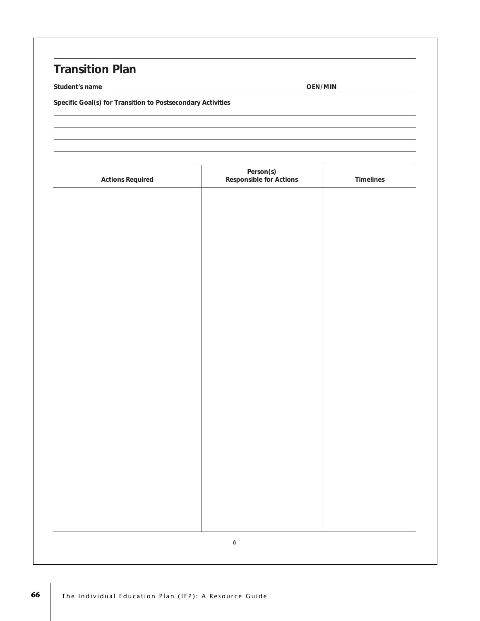## **Transition Plan**

**Student's name OEN/MIN**

**Specific Goal(s) for Transition to Postsecondary Activities**

| <b>Actions Required</b> | Person(s)<br>Responsible for Actions | Timelines |
|-------------------------|--------------------------------------|-----------|
|                         |                                      |           |
|                         |                                      |           |
|                         |                                      |           |
|                         |                                      |           |
|                         |                                      |           |
|                         |                                      |           |
|                         |                                      |           |
|                         |                                      |           |
|                         |                                      |           |
|                         |                                      |           |
|                         |                                      |           |
|                         |                                      |           |
|                         |                                      |           |
|                         |                                      |           |
|                         |                                      |           |
|                         |                                      |           |
|                         |                                      |           |
|                         | $\boldsymbol{6}$                     |           |
|                         |                                      |           |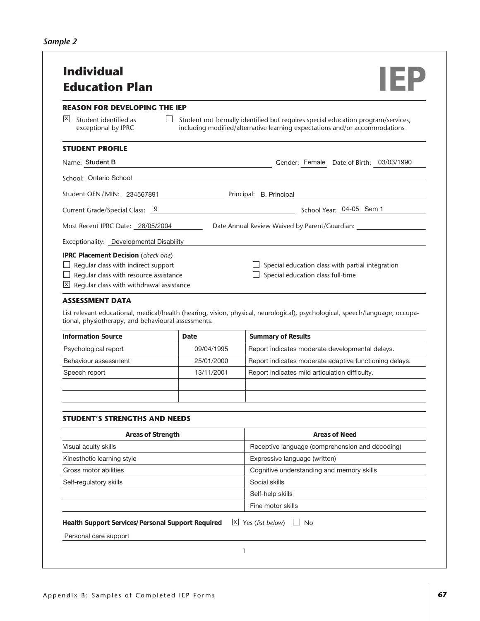| x <br>Student identified as<br>exceptional by IPRC<br><b>STUDENT PROFILE</b><br>Name: Student B<br>School: Ontario School<br>Student OEN/MIN: 234567891 Principal: B. Principal<br>Current Grade/Special Class: 9 |                    | Student not formally identified but requires special education program/services,<br>including modified/alternative learning expectations and/or accommodations<br>Gender: Female Date of Birth: 03/03/1990 |
|-------------------------------------------------------------------------------------------------------------------------------------------------------------------------------------------------------------------|--------------------|------------------------------------------------------------------------------------------------------------------------------------------------------------------------------------------------------------|
|                                                                                                                                                                                                                   |                    |                                                                                                                                                                                                            |
|                                                                                                                                                                                                                   |                    |                                                                                                                                                                                                            |
|                                                                                                                                                                                                                   |                    |                                                                                                                                                                                                            |
|                                                                                                                                                                                                                   |                    |                                                                                                                                                                                                            |
|                                                                                                                                                                                                                   |                    |                                                                                                                                                                                                            |
|                                                                                                                                                                                                                   |                    | School Year: 04-05 Sem 1                                                                                                                                                                                   |
| Most Recent IPRC Date: 28/05/2004                                                                                                                                                                                 |                    | Date Annual Review Waived by Parent/Guardian:                                                                                                                                                              |
| Exceptionality: Developmental Disability                                                                                                                                                                          |                    |                                                                                                                                                                                                            |
| $\vert$ X $\vert$<br>Regular class with withdrawal assistance<br><b>ASSESSMENT DATA</b><br>tional, physiotherapy, and behavioural assessments.                                                                    |                    | List relevant educational, medical/health (hearing, vision, physical, neurological), psychological, speech/language, occupa-                                                                               |
|                                                                                                                                                                                                                   |                    |                                                                                                                                                                                                            |
|                                                                                                                                                                                                                   |                    |                                                                                                                                                                                                            |
|                                                                                                                                                                                                                   | Date<br>09/04/1995 | <b>Summary of Results</b>                                                                                                                                                                                  |
| Psychological report<br>Behaviour assessment                                                                                                                                                                      | 25/01/2000         | Report indicates moderate developmental delays.<br>Report indicates moderate adaptive functioning delays.                                                                                                  |
| <b>Information Source</b><br>Speech report                                                                                                                                                                        | 13/11/2001         | Report indicates mild articulation difficulty.                                                                                                                                                             |
|                                                                                                                                                                                                                   |                    |                                                                                                                                                                                                            |
| <b>STUDENT'S STRENGTHS AND NEEDS</b>                                                                                                                                                                              |                    |                                                                                                                                                                                                            |
| Areas of Strength                                                                                                                                                                                                 |                    | <b>Areas of Need</b>                                                                                                                                                                                       |
| Visual acuity skills                                                                                                                                                                                              |                    | Receptive language (comprehension and decoding)                                                                                                                                                            |
| Kinesthetic learning style                                                                                                                                                                                        |                    | Expressive language (written)                                                                                                                                                                              |
|                                                                                                                                                                                                                   |                    | Cognitive understanding and memory skills                                                                                                                                                                  |
| Gross motor abilities<br>Self-regulatory skills                                                                                                                                                                   |                    | Social skills<br>Self-help skills                                                                                                                                                                          |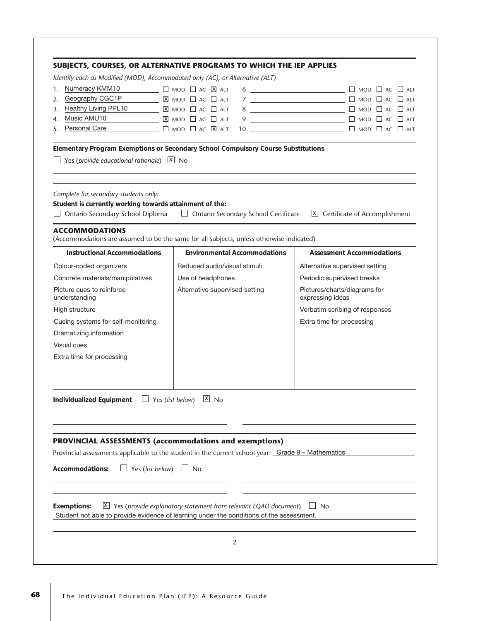|                                                                                                                                                               | Identify each as Modified (MOD), Accommodated only (AC), or Alternative (ALT)                                                                                               |                                                  |
|---------------------------------------------------------------------------------------------------------------------------------------------------------------|-----------------------------------------------------------------------------------------------------------------------------------------------------------------------------|--------------------------------------------------|
| Numeracy KMM10<br>1.                                                                                                                                          | $\Box$ MOD $\Box$ AC $\boxtimes$ ALT                                                                                                                                        | 6. $\Box$                                        |
| Geography CGC1P<br>2.                                                                                                                                         | $X$ mod $\Box$ ac $\Box$ alt                                                                                                                                                |                                                  |
| Healthy Living PPL10<br>3.                                                                                                                                    | $X$ MOD $\Box$ AC $\Box$ ALT                                                                                                                                                | 8. $\Box$                                        |
| Music AMU10<br>4.                                                                                                                                             | $X$ mod $\Box$ ac $\Box$ alt                                                                                                                                                | 9. $\Box$ MOD $\Box$ AC $\Box$ ALT               |
| Personal Care<br>5.                                                                                                                                           | $\Box$ MOD $\Box$ AC $\boxtimes$ ALT                                                                                                                                        |                                                  |
| Yes (provide educational rationale) $X$ No                                                                                                                    | Elementary Program Exemptions or Secondary School Compulsory Course Substitutions                                                                                           |                                                  |
| Complete for secondary students only:<br>Student is currently working towards attainment of the:<br>Ontario Secondary School Diploma<br><b>ACCOMMODATIONS</b> | $\Box$ Ontario Secondary School Certificate                                                                                                                                 | $X$ Certificate of Accomplishment                |
|                                                                                                                                                               | (Accommodations are assumed to be the same for all subjects, unless otherwise indicated)                                                                                    | <b>Assessment Accommodations</b>                 |
| <b>Instructional Accommodations</b>                                                                                                                           | <b>Environmental Accommodations</b>                                                                                                                                         |                                                  |
| Colour-coded organizers                                                                                                                                       | Reduced audio/visual stimuli                                                                                                                                                | Alternative supervised setting                   |
| Concrete materials/manipulatives                                                                                                                              | Use of headphones                                                                                                                                                           | Periodic supervised breaks                       |
| Picture cues to reinforce<br>understanding                                                                                                                    | Alternative supervised setting                                                                                                                                              | Pictures/charts/diagrams for<br>expressing ideas |
| High structure                                                                                                                                                |                                                                                                                                                                             | Verbatim scribing of responses                   |
| Cueing systems for self-monitoring                                                                                                                            |                                                                                                                                                                             | Extra time for processing                        |
| Dramatizing information                                                                                                                                       |                                                                                                                                                                             |                                                  |
| Visual cues                                                                                                                                                   |                                                                                                                                                                             |                                                  |
| Extra time for processing                                                                                                                                     |                                                                                                                                                                             |                                                  |
| Individualized Equipment $\Box$ Yes (list below)                                                                                                              | $X$ No                                                                                                                                                                      |                                                  |
|                                                                                                                                                               | <b>PROVINCIAL ASSESSMENTS (accommodations and exemptions)</b><br>Provincial assessments applicable to the student in the current school year: Grade 9 - Mathematics         |                                                  |
|                                                                                                                                                               |                                                                                                                                                                             |                                                  |
| Accommodations:                                                                                                                                               | Yes (list below) $\Box$ No                                                                                                                                                  |                                                  |
| <b>Exemptions:</b>                                                                                                                                            | $\vert x \vert$ Yes (provide explanatory statement from relevant EQAO document)<br>Student not able to provide evidence of learning under the conditions of the assessment. | ⊿ No                                             |
|                                                                                                                                                               |                                                                                                                                                                             |                                                  |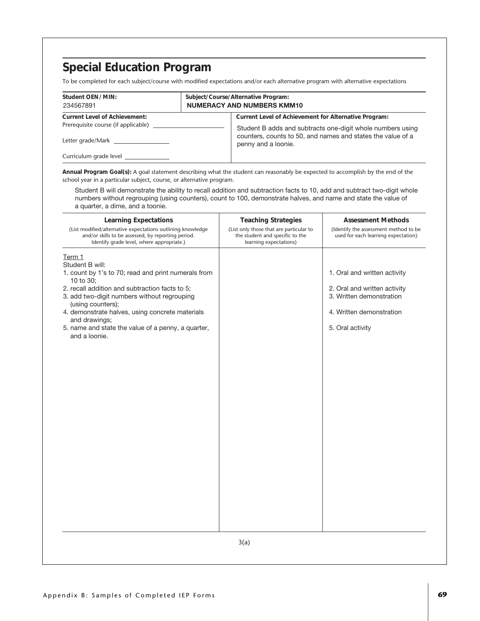To be completed for each subject/course with modified expectations and/or each alternative program with alternative expectations

| Student OEN/MIN:<br>234567891                                                                    | Subject/Course/Alternative Program:<br><b>NUMERACY AND NUMBERS KMM10</b>                                                                                                                                  |
|--------------------------------------------------------------------------------------------------|-----------------------------------------------------------------------------------------------------------------------------------------------------------------------------------------------------------|
| <b>Current Level of Achievement:</b><br>Prerequisite course (if applicable)<br>Letter grade/Mark | Current Level of Achievement for Alternative Program:<br>Student B adds and subtracts one-digit whole numbers using<br>counters, counts to 50, and names and states the value of a<br>penny and a loonie. |
| Curriculum grade level                                                                           |                                                                                                                                                                                                           |

**Annual Program Goal(s):** A goal statement describing what the student can reasonably be expected to accomplish by the end of the school year in a particular subject, course, or alternative program.

Student B will demonstrate the ability to recall addition and subtraction facts to 10, add and subtract two-digit whole numbers without regrouping (using counters), count to 100, demonstrate halves, and name and state the value of a quarter, a dime, and a toonie.

| <b>Learning Expectations</b><br>(List modified/alternative expectations outlining knowledge<br>and/or skills to be assessed, by reporting period.<br>Identify grade level, where appropriate.)                                                                                                                                                                 | <b>Teaching Strategies</b><br>(List only those that are particular to<br>the student and specific to the<br>learning expectations) | <b>Assessment Methods</b><br>(Identify the assessment method to be<br>used for each learning expectation)                                |
|----------------------------------------------------------------------------------------------------------------------------------------------------------------------------------------------------------------------------------------------------------------------------------------------------------------------------------------------------------------|------------------------------------------------------------------------------------------------------------------------------------|------------------------------------------------------------------------------------------------------------------------------------------|
| Term 1<br>Student B will:<br>1. count by 1's to 70; read and print numerals from<br>10 to 30:<br>2. recall addition and subtraction facts to 5;<br>3. add two-digit numbers without regrouping<br>(using counters);<br>4. demonstrate halves, using concrete materials<br>and drawings;<br>5. name and state the value of a penny, a quarter,<br>and a loonie. |                                                                                                                                    | 1. Oral and written activity<br>2. Oral and written activity<br>3. Written demonstration<br>4. Written demonstration<br>5. Oral activity |
|                                                                                                                                                                                                                                                                                                                                                                | 3(a)                                                                                                                               |                                                                                                                                          |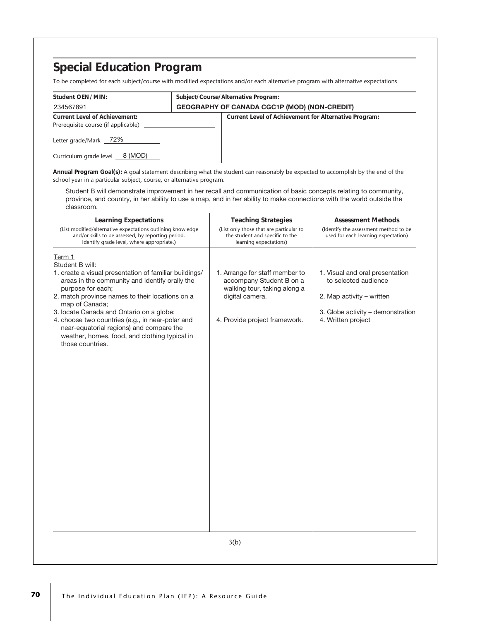To be completed for each subject/course with modified expectations and/or each alternative program with alternative expectations

| Student OEN/MIN:                                                            | Subject/Course/Alternative Program:                 |                                                       |  |
|-----------------------------------------------------------------------------|-----------------------------------------------------|-------------------------------------------------------|--|
| 234567891                                                                   | <b>GEOGRAPHY OF CANADA CGC1P (MOD) (NON-CREDIT)</b> |                                                       |  |
| <b>Current Level of Achievement:</b><br>Prerequisite course (if applicable) |                                                     | Current Level of Achievement for Alternative Program: |  |
| Letter grade/Mark 72%                                                       |                                                     |                                                       |  |
| Curriculum grade level 8 (MOD)                                              |                                                     |                                                       |  |

**Annual Program Goal(s):** A goal statement describing what the student can reasonably be expected to accomplish by the end of the school year in a particular subject, course, or alternative program.

Student B will demonstrate improvement in her recall and communication of basic concepts relating to community, province, and country, in her ability to use a map, and in her ability to make connections with the world outside the classroom.

| <b>Learning Expectations</b><br>(List modified/alternative expectations outlining knowledge<br>and/or skills to be assessed, by reporting period.<br>Identify grade level, where appropriate.)                                                                                                                                                                                                                                                   | <b>Teaching Strategies</b><br>(List only those that are particular to<br>the student and specific to the<br>learning expectations)             | <b>Assessment Methods</b><br>(Identify the assessment method to be<br>used for each learning expectation)                                       |  |  |
|--------------------------------------------------------------------------------------------------------------------------------------------------------------------------------------------------------------------------------------------------------------------------------------------------------------------------------------------------------------------------------------------------------------------------------------------------|------------------------------------------------------------------------------------------------------------------------------------------------|-------------------------------------------------------------------------------------------------------------------------------------------------|--|--|
| Term 1<br>Student B will:<br>1. create a visual presentation of familiar buildings/<br>areas in the community and identify orally the<br>purpose for each;<br>2. match province names to their locations on a<br>map of Canada;<br>3. locate Canada and Ontario on a globe;<br>4. choose two countries (e.g., in near-polar and<br>near-equatorial regions) and compare the<br>weather, homes, food, and clothing typical in<br>those countries. | 1. Arrange for staff member to<br>accompany Student B on a<br>walking tour, taking along a<br>digital camera.<br>4. Provide project framework. | 1. Visual and oral presentation<br>to selected audience<br>2. Map activity - written<br>3. Globe activity - demonstration<br>4. Written project |  |  |
| 3(b)                                                                                                                                                                                                                                                                                                                                                                                                                                             |                                                                                                                                                |                                                                                                                                                 |  |  |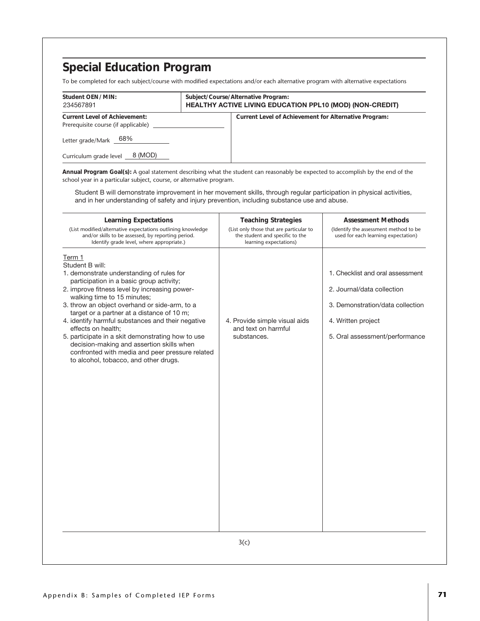To be completed for each subject/course with modified expectations and/or each alternative program with alternative expectations

| Student OEN/MIN:<br>234567891                                               | Subject/Course/Alternative Program:<br><b>HEALTHY ACTIVE LIVING EDUCATION PPL10 (MOD) (NON-CREDIT)</b> |
|-----------------------------------------------------------------------------|--------------------------------------------------------------------------------------------------------|
| <b>Current Level of Achievement:</b><br>Prerequisite course (if applicable) | Current Level of Achievement for Alternative Program:                                                  |
| Letter grade/Mark 68%                                                       |                                                                                                        |
| 8 (MOD)<br>Curriculum grade level                                           |                                                                                                        |

**Annual Program Goal(s):** A goal statement describing what the student can reasonably be expected to accomplish by the end of the school year in a particular subject, course, or alternative program.

Student B will demonstrate improvement in her movement skills, through regular participation in physical activities, and in her understanding of safety and injury prevention, including substance use and abuse.

| <b>Learning Expectations</b><br>(List modified/alternative expectations outlining knowledge<br>and/or skills to be assessed, by reporting period.<br>Identify grade level, where appropriate.)                                                                                                                                                                                                                                                                                                                                                                             | <b>Teaching Strategies</b><br>(List only those that are particular to<br>the student and specific to the<br>learning expectations) | <b>Assessment Methods</b><br>(Identify the assessment method to be<br>used for each learning expectation)                                                  |
|----------------------------------------------------------------------------------------------------------------------------------------------------------------------------------------------------------------------------------------------------------------------------------------------------------------------------------------------------------------------------------------------------------------------------------------------------------------------------------------------------------------------------------------------------------------------------|------------------------------------------------------------------------------------------------------------------------------------|------------------------------------------------------------------------------------------------------------------------------------------------------------|
| Term 1<br>Student B will:<br>1. demonstrate understanding of rules for<br>participation in a basic group activity;<br>2. improve fitness level by increasing power-<br>walking time to 15 minutes;<br>3. throw an object overhand or side-arm, to a<br>target or a partner at a distance of 10 m;<br>4. identify harmful substances and their negative<br>effects on health;<br>5. participate in a skit demonstrating how to use<br>decision-making and assertion skills when<br>confronted with media and peer pressure related<br>to alcohol, tobacco, and other drugs. | 4. Provide simple visual aids<br>and text on harmful<br>substances.                                                                | 1. Checklist and oral assessment<br>2. Journal/data collection<br>3. Demonstration/data collection<br>4. Written project<br>5. Oral assessment/performance |
|                                                                                                                                                                                                                                                                                                                                                                                                                                                                                                                                                                            | 3(c)                                                                                                                               |                                                                                                                                                            |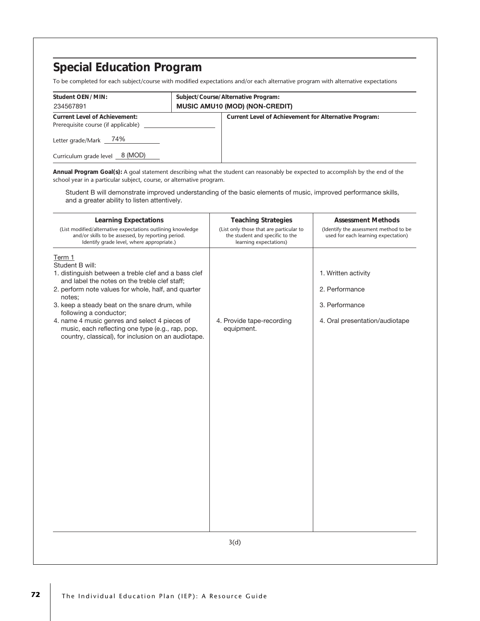To be completed for each subject/course with modified expectations and/or each alternative program with alternative expectations

| Student OEN/MIN:<br>234567891                                               | Subject/Course/Alternative Program:<br><b>MUSIC AMU10 (MOD) (NON-CREDIT)</b> |
|-----------------------------------------------------------------------------|------------------------------------------------------------------------------|
| <b>Current Level of Achievement:</b><br>Prerequisite course (if applicable) | Current Level of Achievement for Alternative Program:                        |
| Letter grade/Mark _ 74%<br>Curriculum grade level _8 (MOD)                  |                                                                              |

**Annual Program Goal(s):** A goal statement describing what the student can reasonably be expected to accomplish by the end of the school year in a particular subject, course, or alternative program.

Student B will demonstrate improved understanding of the basic elements of music, improved performance skills, and a greater ability to listen attentively.

| <b>Learning Expectations</b><br>(List modified/alternative expectations outlining knowledge                                                                                                                                                                                                                                                                                                                                                 | <b>Teaching Strategies</b><br>(List only those that are particular to | <b>Assessment Methods</b><br>(Identify the assessment method to be                        |
|---------------------------------------------------------------------------------------------------------------------------------------------------------------------------------------------------------------------------------------------------------------------------------------------------------------------------------------------------------------------------------------------------------------------------------------------|-----------------------------------------------------------------------|-------------------------------------------------------------------------------------------|
| and/or skills to be assessed, by reporting period.<br>Identify grade level, where appropriate.)                                                                                                                                                                                                                                                                                                                                             | the student and specific to the<br>learning expectations)             | used for each learning expectation)                                                       |
| Term 1<br>Student B will:<br>1. distinguish between a treble clef and a bass clef<br>and label the notes on the treble clef staff;<br>2. perform note values for whole, half, and quarter<br>notes;<br>3. keep a steady beat on the snare drum, while<br>following a conductor;<br>4. name 4 music genres and select 4 pieces of<br>music, each reflecting one type (e.g., rap, pop,<br>country, classical), for inclusion on an audiotape. | 4. Provide tape-recording<br>equipment.                               | 1. Written activity<br>2. Performance<br>3. Performance<br>4. Oral presentation/audiotape |
|                                                                                                                                                                                                                                                                                                                                                                                                                                             | 3(d)                                                                  |                                                                                           |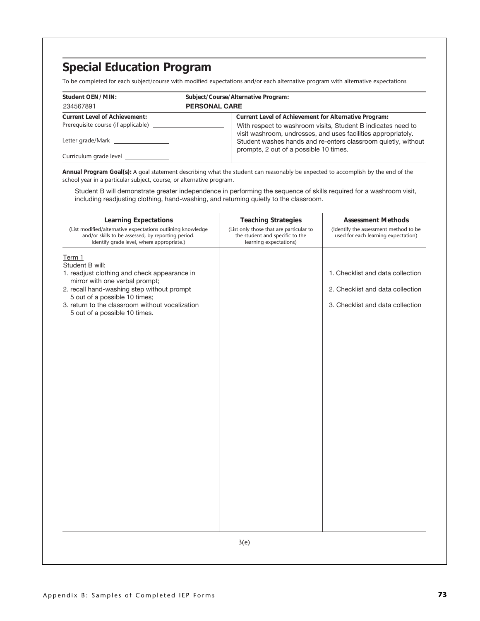To be completed for each subject/course with modified expectations and/or each alternative program with alternative expectations

| Student OEN/MIN:                     |                      | Subject/Course/Alternative Program:                                                                                           |
|--------------------------------------|----------------------|-------------------------------------------------------------------------------------------------------------------------------|
| 234567891                            | <b>PERSONAL CARE</b> |                                                                                                                               |
| <b>Current Level of Achievement:</b> |                      | Current Level of Achievement for Alternative Program:                                                                         |
| Prerequisite course (if applicable)  |                      | With respect to washroom visits, Student B indicates need to<br>visit washroom, undresses, and uses facilities appropriately. |
| Letter grade/Mark                    |                      | Student washes hands and re-enters classroom quietly, without<br>prompts, 2 out of a possible 10 times.                       |
|                                      |                      |                                                                                                                               |

**Annual Program Goal(s):** A goal statement describing what the student can reasonably be expected to accomplish by the end of the school year in a particular subject, course, or alternative program.

Student B will demonstrate greater independence in performing the sequence of skills required for a washroom visit, including readjusting clothing, hand-washing, and returning quietly to the classroom.

| <b>Learning Expectations</b><br>(List modified/alternative expectations outlining knowledge<br>and/or skills to be assessed, by reporting period.<br>Identify grade level, where appropriate.)                                                                                 | <b>Teaching Strategies</b><br>(List only those that are particular to<br>the student and specific to the<br>learning expectations) | <b>Assessment Methods</b><br>(Identify the assessment method to be<br>used for each learning expectation) |
|--------------------------------------------------------------------------------------------------------------------------------------------------------------------------------------------------------------------------------------------------------------------------------|------------------------------------------------------------------------------------------------------------------------------------|-----------------------------------------------------------------------------------------------------------|
| Term 1<br>Student B will:<br>1. readjust clothing and check appearance in<br>mirror with one verbal prompt;<br>2. recall hand-washing step without prompt<br>5 out of a possible 10 times;<br>3. return to the classroom without vocalization<br>5 out of a possible 10 times. |                                                                                                                                    | 1. Checklist and data collection<br>2. Checklist and data collection<br>3. Checklist and data collection  |
|                                                                                                                                                                                                                                                                                | 3(e)                                                                                                                               |                                                                                                           |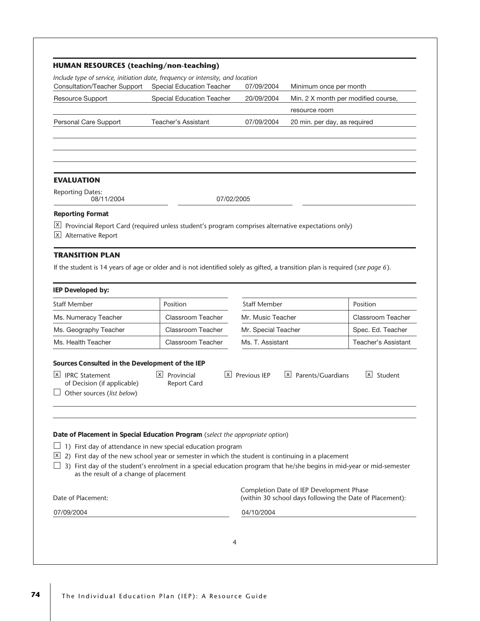| <b>HUMAN RESOURCES (teaching/non-teaching)</b>                                                                                                                                                                                                                                                                                      |                                             |                     |                                                                                                      |                     |
|-------------------------------------------------------------------------------------------------------------------------------------------------------------------------------------------------------------------------------------------------------------------------------------------------------------------------------------|---------------------------------------------|---------------------|------------------------------------------------------------------------------------------------------|---------------------|
| Include type of service, initiation date, frequency or intensity, and location<br>Consultation/Teacher Support                                                                                                                                                                                                                      | Special Education Teacher                   | 07/09/2004          | Minimum once per month                                                                               |                     |
| Resource Support                                                                                                                                                                                                                                                                                                                    | <b>Special Education Teacher</b>            | 20/09/2004          | Min. 2 X month per modified course,                                                                  |                     |
|                                                                                                                                                                                                                                                                                                                                     |                                             |                     | resource room                                                                                        |                     |
| Personal Care Support                                                                                                                                                                                                                                                                                                               | Teacher's Assistant                         | 07/09/2004          | 20 min. per day, as required                                                                         |                     |
|                                                                                                                                                                                                                                                                                                                                     |                                             |                     |                                                                                                      |                     |
| <b>EVALUATION</b>                                                                                                                                                                                                                                                                                                                   |                                             |                     |                                                                                                      |                     |
| <b>Reporting Dates:</b><br>08/11/2004                                                                                                                                                                                                                                                                                               | 07/02/2005                                  |                     |                                                                                                      |                     |
| Provincial Report Card (required unless student's program comprises alternative expectations only)<br>$\lfloor x \rfloor$<br>Alternative Report                                                                                                                                                                                     |                                             |                     |                                                                                                      |                     |
|                                                                                                                                                                                                                                                                                                                                     |                                             |                     |                                                                                                      |                     |
|                                                                                                                                                                                                                                                                                                                                     |                                             |                     |                                                                                                      |                     |
|                                                                                                                                                                                                                                                                                                                                     |                                             |                     |                                                                                                      |                     |
|                                                                                                                                                                                                                                                                                                                                     | Position                                    | <b>Staff Member</b> |                                                                                                      | Position            |
|                                                                                                                                                                                                                                                                                                                                     | Classroom Teacher                           | Mr. Music Teacher   |                                                                                                      | Classroom Teacher   |
|                                                                                                                                                                                                                                                                                                                                     | Classroom Teacher                           | Mr. Special Teacher |                                                                                                      | Spec. Ed. Teacher   |
| <b>TRANSITION PLAN</b><br>If the student is 14 years of age or older and is not identified solely as gifted, a transition plan is required (see page 6).<br>Ms. Numeracy Teacher<br>Ms. Geography Teacher<br>Ms. Health Teacher                                                                                                     | Classroom Teacher                           | Ms. T. Assistant    |                                                                                                      | Teacher's Assistant |
| IEP Developed by:<br><b>Staff Member</b><br>Sources Consulted in the Development of the IEP<br>$X$ IPRC Statement<br>of Decision (if applicable)<br>Other sources (list below)                                                                                                                                                      | $X$ Provincial<br> x <br><b>Report Card</b> | Previous IEP        | x <br>Parents/Guardians                                                                              | x <br>Student       |
| 1) First day of attendance in new special education program<br>2) First day of the new school year or semester in which the student is continuing in a placement<br>3) First day of the student's enrolment in a special education program that he/she begins in mid-year or mid-semester<br>as the result of a change of placement |                                             |                     |                                                                                                      |                     |
| Date of Placement in Special Education Program (select the appropriate option)<br>$\overline{\mathsf{X}}$<br>Date of Placement:                                                                                                                                                                                                     |                                             |                     | Completion Date of IEP Development Phase<br>(within 30 school days following the Date of Placement): |                     |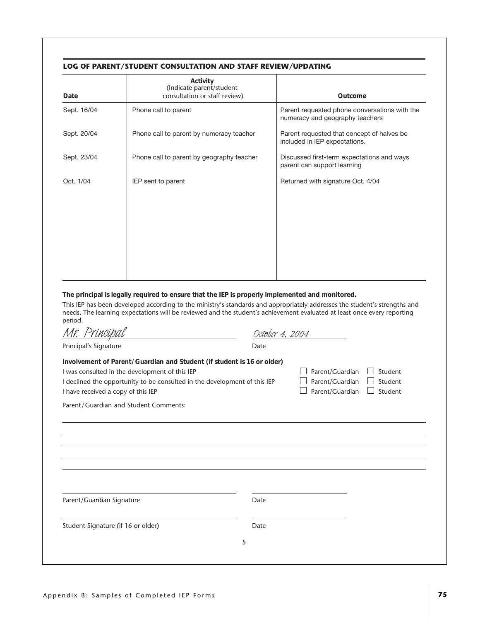#### **LOG OF PARENT/STUDENT CONSULTATION AND STAFF REVIEW/UPDATING**

| Date        | Activity<br>(Indicate parent/student<br>consultation or staff review) | Outcome                                                                          |
|-------------|-----------------------------------------------------------------------|----------------------------------------------------------------------------------|
| Sept. 16/04 | Phone call to parent                                                  | Parent requested phone conversations with the<br>numeracy and geography teachers |
| Sept. 20/04 | Phone call to parent by numeracy teacher                              | Parent requested that concept of halves be.<br>included in IEP expectations.     |
| Sept. 23/04 | Phone call to parent by geography teacher                             | Discussed first-term expectations and ways<br>parent can support learning        |
| Oct. 1/04   | IEP sent to parent                                                    | Returned with signature Oct. 4/04                                                |
|             |                                                                       |                                                                                  |
|             |                                                                       |                                                                                  |
|             |                                                                       |                                                                                  |
|             |                                                                       |                                                                                  |
|             |                                                                       |                                                                                  |

**The principal is legally required to ensure that the IEP is properly implemented and monitored.**

This IEP has been developed according to the ministry's standards and appropriately addresses the student's strengths and needs. The learning expectations will be reviewed and the student's achievement evaluated at least once every reporting period. *Mr. Principal October 4, 2004*

| MP. Principal                                                                                                                                                                                                                               | Oct <del>o</del> ber 4, 2004 |                                                       |                               |
|---------------------------------------------------------------------------------------------------------------------------------------------------------------------------------------------------------------------------------------------|------------------------------|-------------------------------------------------------|-------------------------------|
| Principal's Signature                                                                                                                                                                                                                       | Date                         |                                                       |                               |
| Involvement of Parent/Guardian and Student (if student is 16 or older)<br>I was consulted in the development of this IEP<br>I declined the opportunity to be consulted in the development of this IEP<br>I have received a copy of this IEP |                              | Parent/Guardian<br>Parent/Guardian<br>Parent/Guardian | Student<br>Student<br>Student |
| Parent/Guardian and Student Comments:                                                                                                                                                                                                       |                              |                                                       |                               |
|                                                                                                                                                                                                                                             |                              |                                                       |                               |
|                                                                                                                                                                                                                                             |                              |                                                       |                               |
|                                                                                                                                                                                                                                             |                              |                                                       |                               |
|                                                                                                                                                                                                                                             |                              |                                                       |                               |
|                                                                                                                                                                                                                                             |                              |                                                       |                               |
| Parent/Guardian Signature                                                                                                                                                                                                                   | Date                         |                                                       |                               |
| Student Signature (if 16 or older)                                                                                                                                                                                                          | Date                         |                                                       |                               |
|                                                                                                                                                                                                                                             |                              |                                                       |                               |
|                                                                                                                                                                                                                                             | 5                            |                                                       |                               |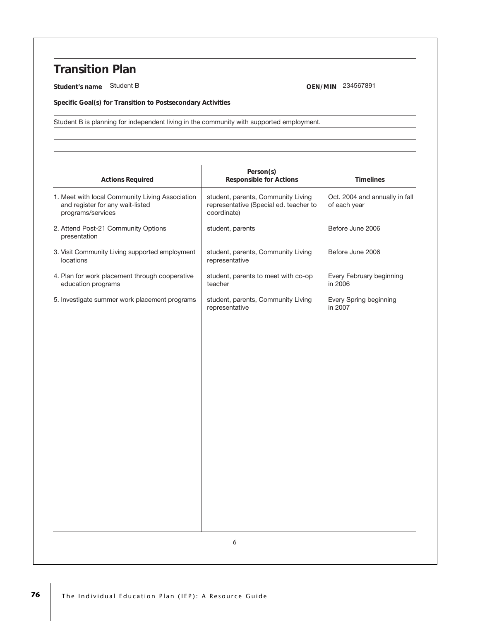## **Transition Plan**

**Student's name** Student B 234567891

**Specific Goal(s) for Transition to Postsecondary Activities**

Student B is planning for independent living in the community with supported employment.

| <b>Actions Required</b>                                                                                  | Person(s)<br><b>Responsible for Actions</b>                                                 | <b>Timelines</b>                               |
|----------------------------------------------------------------------------------------------------------|---------------------------------------------------------------------------------------------|------------------------------------------------|
| 1. Meet with local Community Living Association<br>and register for any wait-listed<br>programs/services | student, parents, Community Living<br>representative (Special ed. teacher to<br>coordinate) | Oct. 2004 and annually in fall<br>of each year |
| 2. Attend Post-21 Community Options<br>presentation                                                      | student, parents                                                                            | Before June 2006                               |
| 3. Visit Community Living supported employment<br>locations                                              | student, parents, Community Living<br>representative                                        | Before June 2006                               |
| 4. Plan for work placement through cooperative<br>education programs                                     | student, parents to meet with co-op<br>teacher                                              | Every February beginning<br>in 2006            |
| 5. Investigate summer work placement programs                                                            | student, parents, Community Living<br>representative                                        | Every Spring beginning<br>in 2007              |
|                                                                                                          |                                                                                             |                                                |
|                                                                                                          |                                                                                             |                                                |
|                                                                                                          |                                                                                             |                                                |
|                                                                                                          |                                                                                             |                                                |
|                                                                                                          |                                                                                             |                                                |
|                                                                                                          |                                                                                             |                                                |
|                                                                                                          |                                                                                             |                                                |
|                                                                                                          |                                                                                             |                                                |
|                                                                                                          |                                                                                             |                                                |
|                                                                                                          |                                                                                             |                                                |
|                                                                                                          | 6                                                                                           |                                                |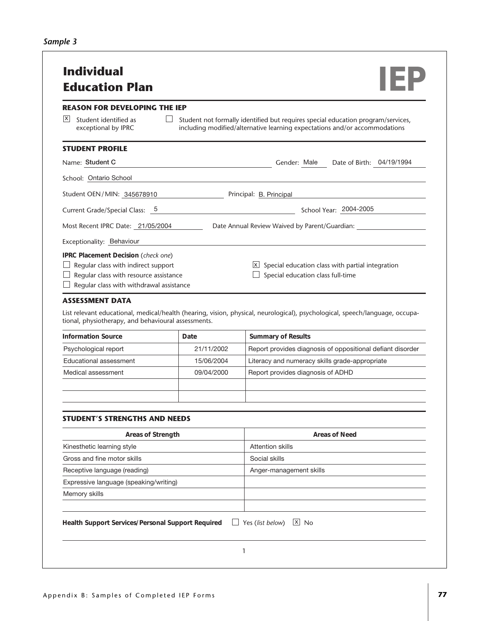| Sample 3 |  |  |
|----------|--|--|
|----------|--|--|

| <b>REASON FOR DEVELOPING THE IEP</b>                                                                                                                             |            |                                                                                                                                                                                            |
|------------------------------------------------------------------------------------------------------------------------------------------------------------------|------------|--------------------------------------------------------------------------------------------------------------------------------------------------------------------------------------------|
| X<br>Student identified as<br>exceptional by IPRC                                                                                                                |            | Student not formally identified but requires special education program/services,<br>including modified/alternative learning expectations and/or accommodations                             |
| <b>STUDENT PROFILE</b>                                                                                                                                           |            |                                                                                                                                                                                            |
| Name: Student C                                                                                                                                                  |            | Date of Birth: 04/19/1994<br>Gender: Male                                                                                                                                                  |
| School: Ontario School                                                                                                                                           |            |                                                                                                                                                                                            |
| Student OEN/MIN: 345678910                                                                                                                                       |            | Principal: B. Principal                                                                                                                                                                    |
| Current Grade/Special Class: 5                                                                                                                                   |            | School Year: 2004-2005                                                                                                                                                                     |
| Most Recent IPRC Date: 21/05/2004                                                                                                                                |            | Date Annual Review Waived by Parent/Guardian: _____                                                                                                                                        |
|                                                                                                                                                                  |            |                                                                                                                                                                                            |
| Exceptionality: Behaviour                                                                                                                                        |            |                                                                                                                                                                                            |
| IPRC Placement Decision (check one)<br>Regular class with indirect support<br>Regular class with resource assistance<br>Regular class with withdrawal assistance |            | $\boxed{\mathbf{X}}$ Special education class with partial integration<br>Special education class full-time                                                                                 |
|                                                                                                                                                                  |            |                                                                                                                                                                                            |
|                                                                                                                                                                  |            |                                                                                                                                                                                            |
|                                                                                                                                                                  |            |                                                                                                                                                                                            |
|                                                                                                                                                                  | Date       | <b>Summary of Results</b>                                                                                                                                                                  |
| Psychological report                                                                                                                                             | 21/11/2002 |                                                                                                                                                                                            |
| Educational assessment                                                                                                                                           | 15/06/2004 | Literacy and numeracy skills grade-appropriate                                                                                                                                             |
| <b>ASSESSMENT DATA</b><br>tional, physiotherapy, and behavioural assessments.<br><b>Information Source</b><br>Medical assessment                                 | 09/04/2000 | Report provides diagnosis of ADHD                                                                                                                                                          |
|                                                                                                                                                                  |            |                                                                                                                                                                                            |
|                                                                                                                                                                  |            |                                                                                                                                                                                            |
| Areas of Strength                                                                                                                                                |            | <b>Areas of Need</b>                                                                                                                                                                       |
| Kinesthetic learning style                                                                                                                                       |            | <b>Attention skills</b>                                                                                                                                                                    |
| Gross and fine motor skills                                                                                                                                      |            | Social skills                                                                                                                                                                              |
|                                                                                                                                                                  |            | Anger-management skills                                                                                                                                                                    |
| Expressive language (speaking/writing)                                                                                                                           |            |                                                                                                                                                                                            |
| <b>STUDENT'S STRENGTHS AND NEEDS</b><br>Receptive language (reading)<br>Memory skills                                                                            |            | List relevant educational, medical/health (hearing, vision, physical, neurological), psychological, speech/language, occupa-<br>Report provides diagnosis of oppositional defiant disorder |
|                                                                                                                                                                  |            |                                                                                                                                                                                            |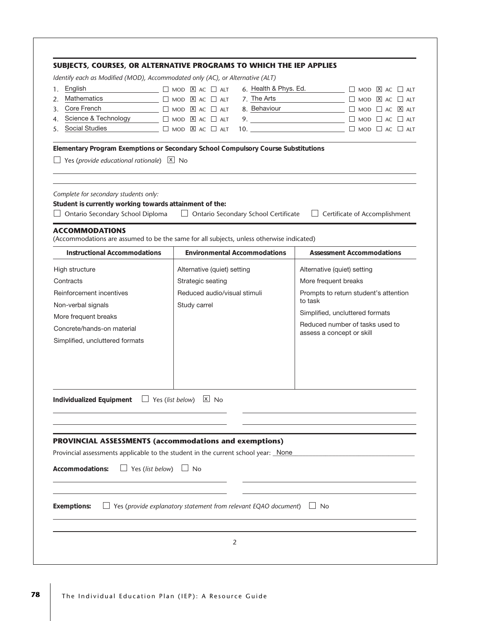|                    |                                                                                                                                                               | Identify each as Modified (MOD), Accommodated only (AC), or Alternative (ALT)                                                   |                                                                  |
|--------------------|---------------------------------------------------------------------------------------------------------------------------------------------------------------|---------------------------------------------------------------------------------------------------------------------------------|------------------------------------------------------------------|
| English<br>1.      |                                                                                                                                                               | $\Box$ MOD $\Box$ AC $\Box$ ALT                                                                                                 | 6. Health & Phys. Ed.<br>$\Box$ MOD $\overline{X}$ AC $\Box$ ALT |
| 2.                 | Mathematics                                                                                                                                                   | $\Box$ MOD $\Box$ AC $\Box$ ALT                                                                                                 | 7. The Arts $\Box$ $\Box$ MOD $\Box$ AC $\Box$ ALT               |
| 3.                 | Core French                                                                                                                                                   | $\Box$ MOD $\Box$ AC $\Box$ ALT                                                                                                 | 8. Behaviour and a c ⊠ ALT                                       |
| 4.                 | Science & Technology                                                                                                                                          | $\Box$ MOD $\Box$ AC $\Box$ ALT                                                                                                 | 9. $\Box$ MOD $\Box$ AC $\Box$ ALT                               |
| 5.                 | <b>Social Studies</b>                                                                                                                                         | $\Box$ MOD $\boxed{\mathbb{X}}$ AC $\Box$ ALT                                                                                   |                                                                  |
|                    | Yes (provide educational rationale) $X$ No                                                                                                                    | Elementary Program Exemptions or Secondary School Compulsory Course Substitutions                                               |                                                                  |
|                    | Complete for secondary students only:<br>Student is currently working towards attainment of the:<br>Ontario Secondary School Diploma<br><b>ACCOMMODATIONS</b> | $\Box$ Ontario Secondary School Certificate                                                                                     | $\Box$ Certificate of Accomplishment                             |
|                    | <b>Instructional Accommodations</b>                                                                                                                           | (Accommodations are assumed to be the same for all subjects, unless otherwise indicated)<br><b>Environmental Accommodations</b> | <b>Assessment Accommodations</b>                                 |
|                    |                                                                                                                                                               |                                                                                                                                 |                                                                  |
| High structure     |                                                                                                                                                               | Alternative (quiet) setting                                                                                                     | Alternative (quiet) setting                                      |
| Contracts          |                                                                                                                                                               | Strategic seating                                                                                                               | More frequent breaks                                             |
|                    | Reinforcement incentives                                                                                                                                      | Reduced audio/visual stimuli                                                                                                    | Prompts to return student's attention                            |
|                    | Non-verbal signals                                                                                                                                            | Study carrel                                                                                                                    | to task                                                          |
|                    | More frequent breaks                                                                                                                                          |                                                                                                                                 | Simplified, uncluttered formats                                  |
|                    | Concrete/hands-on material                                                                                                                                    |                                                                                                                                 | Reduced number of tasks used to                                  |
|                    | Simplified, uncluttered formats                                                                                                                               |                                                                                                                                 | assess a concept or skill                                        |
|                    |                                                                                                                                                               |                                                                                                                                 |                                                                  |
|                    | Individualized Equipment                                                                                                                                      | $x$ No<br>Yes (list below)                                                                                                      |                                                                  |
|                    |                                                                                                                                                               |                                                                                                                                 |                                                                  |
|                    |                                                                                                                                                               | PROVINCIAL ASSESSMENTS (accommodations and exemptions)                                                                          |                                                                  |
|                    |                                                                                                                                                               | Provincial assessments applicable to the student in the current school year: None                                               |                                                                  |
|                    | Accommodations:<br>$\Box$ Yes (list below) $\Box$ No                                                                                                          |                                                                                                                                 |                                                                  |
| <b>Exemptions:</b> |                                                                                                                                                               | Yes (provide explanatory statement from relevant EQAO document) $\Box$ No                                                       |                                                                  |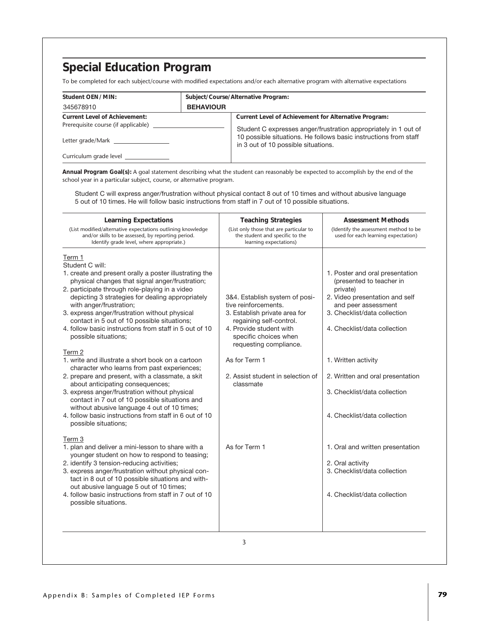To be completed for each subject/course with modified expectations and/or each alternative program with alternative expectations

| Student OEN/MIN:                     | Subject/Course/Alternative Program: |                                                                                                         |  |
|--------------------------------------|-------------------------------------|---------------------------------------------------------------------------------------------------------|--|
| 345678910                            | <b>BEHAVIOUR</b>                    |                                                                                                         |  |
| <b>Current Level of Achievement:</b> |                                     | Current Level of Achievement for Alternative Program:                                                   |  |
| Prerequisite course (if applicable)  |                                     | Student C expresses anger/frustration appropriately in 1 out of                                         |  |
|                                      |                                     | 10 possible situations. He follows basic instructions from staff<br>in 3 out of 10 possible situations. |  |
| Curriculum grade level               |                                     |                                                                                                         |  |

**Annual Program Goal(s):** A goal statement describing what the student can reasonably be expected to accomplish by the end of the school year in a particular subject, course, or alternative program.

Student C will express anger/frustration without physical contact 8 out of 10 times and without abusive language 5 out of 10 times. He will follow basic instructions from staff in 7 out of 10 possible situations.

| <b>Learning Expectations</b><br>(List modified/alternative expectations outlining knowledge<br>and/or skills to be assessed, by reporting period.<br>Identify grade level, where appropriate.)                                                                                                                                                                                                                                                                                                                                                                                                                                                                                                                                                                                                                                                                                                      | <b>Teaching Strategies</b><br>(List only those that are particular to<br>the student and specific to the<br>learning expectations)                                                                                                                                  | <b>Assessment Methods</b><br>(Identify the assessment method to be<br>used for each learning expectation)                                                                                                                                                                                                                   |
|-----------------------------------------------------------------------------------------------------------------------------------------------------------------------------------------------------------------------------------------------------------------------------------------------------------------------------------------------------------------------------------------------------------------------------------------------------------------------------------------------------------------------------------------------------------------------------------------------------------------------------------------------------------------------------------------------------------------------------------------------------------------------------------------------------------------------------------------------------------------------------------------------------|---------------------------------------------------------------------------------------------------------------------------------------------------------------------------------------------------------------------------------------------------------------------|-----------------------------------------------------------------------------------------------------------------------------------------------------------------------------------------------------------------------------------------------------------------------------------------------------------------------------|
| Term 1<br>Student C will:<br>1. create and present orally a poster illustrating the<br>physical changes that signal anger/frustration;<br>2. participate through role-playing in a video<br>depicting 3 strategies for dealing appropriately<br>with anger/frustration;<br>3. express anger/frustration without physical<br>contact in 5 out of 10 possible situations;<br>4. follow basic instructions from staff in 5 out of 10<br>possible situations;<br>Term 2<br>1. write and illustrate a short book on a cartoon<br>character who learns from past experiences;<br>2. prepare and present, with a classmate, a skit<br>about anticipating consequences;<br>3. express anger/frustration without physical<br>contact in 7 out of 10 possible situations and<br>without abusive language 4 out of 10 times;<br>4. follow basic instructions from staff in 6 out of 10<br>possible situations; | 3&4. Establish system of posi-<br>tive reinforcements.<br>3. Establish private area for<br>regaining self-control.<br>4. Provide student with<br>specific choices when<br>requesting compliance.<br>As for Term 1<br>2. Assist student in selection of<br>classmate | 1. Poster and oral presentation<br>(presented to teacher in<br>private)<br>2. Video presentation and self<br>and peer assessment<br>3. Checklist/data collection<br>4. Checklist/data collection<br>1. Written activity<br>2. Written and oral presentation<br>3. Checklist/data collection<br>4. Checklist/data collection |
| Term 3<br>1. plan and deliver a mini-lesson to share with a<br>younger student on how to respond to teasing;<br>2. identify 3 tension-reducing activities;<br>3. express anger/frustration without physical con-<br>tact in 8 out of 10 possible situations and with-<br>out abusive language 5 out of 10 times;<br>4. follow basic instructions from staff in 7 out of 10<br>possible situations.                                                                                                                                                                                                                                                                                                                                                                                                                                                                                                  | As for Term 1                                                                                                                                                                                                                                                       | 1. Oral and written presentation<br>2. Oral activity<br>3. Checklist/data collection<br>4. Checklist/data collection                                                                                                                                                                                                        |
|                                                                                                                                                                                                                                                                                                                                                                                                                                                                                                                                                                                                                                                                                                                                                                                                                                                                                                     | 3                                                                                                                                                                                                                                                                   |                                                                                                                                                                                                                                                                                                                             |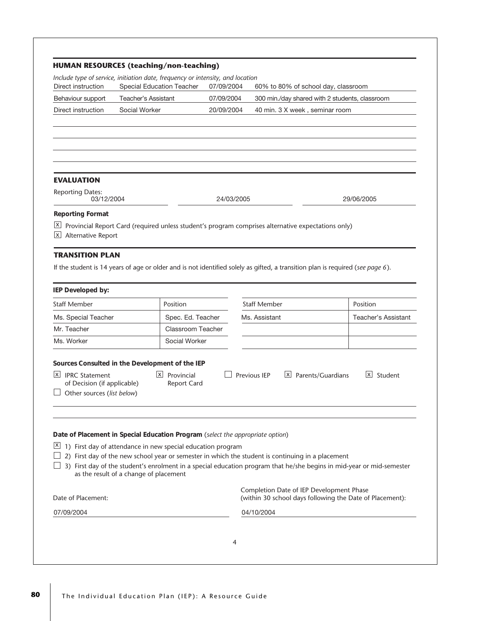|                                                                                                                                                          |                                                                                                   | <b>HUMAN RESOURCES (teaching/non-teaching)</b> |            |                     |                                                |                                                                                                                       |
|----------------------------------------------------------------------------------------------------------------------------------------------------------|---------------------------------------------------------------------------------------------------|------------------------------------------------|------------|---------------------|------------------------------------------------|-----------------------------------------------------------------------------------------------------------------------|
| Include type of service, initiation date, frequency or intensity, and location<br>Direct instruction                                                     | <b>Special Education Teacher</b>                                                                  |                                                | 07/09/2004 |                     | 60% to 80% of school day, classroom            |                                                                                                                       |
| Behaviour support                                                                                                                                        | Teacher's Assistant                                                                               |                                                | 07/09/2004 |                     | 300 min./day shared with 2 students, classroom |                                                                                                                       |
| Direct instruction                                                                                                                                       | Social Worker                                                                                     |                                                | 20/09/2004 |                     | 40 min. 3 X week, seminar room                 |                                                                                                                       |
|                                                                                                                                                          |                                                                                                   |                                                |            |                     |                                                |                                                                                                                       |
| <b>EVALUATION</b>                                                                                                                                        |                                                                                                   |                                                |            |                     |                                                |                                                                                                                       |
| <b>Reporting Dates:</b><br>03/12/2004                                                                                                                    |                                                                                                   |                                                | 24/03/2005 | 29/06/2005          |                                                |                                                                                                                       |
| <b>Reporting Format</b>                                                                                                                                  |                                                                                                   |                                                |            |                     |                                                |                                                                                                                       |
| $\vert x \vert$ Provincial Report Card (required unless student's program comprises alternative expectations only)<br>Alternative Report<br>$\mathbf{x}$ |                                                                                                   |                                                |            |                     |                                                |                                                                                                                       |
| <b>TRANSITION PLAN</b>                                                                                                                                   |                                                                                                   |                                                |            |                     |                                                |                                                                                                                       |
| If the student is 14 years of age or older and is not identified solely as gifted, a transition plan is required (see page 6).                           |                                                                                                   |                                                |            |                     |                                                |                                                                                                                       |
|                                                                                                                                                          |                                                                                                   |                                                |            |                     |                                                |                                                                                                                       |
|                                                                                                                                                          |                                                                                                   |                                                |            |                     |                                                |                                                                                                                       |
|                                                                                                                                                          |                                                                                                   |                                                |            |                     |                                                |                                                                                                                       |
|                                                                                                                                                          |                                                                                                   | Position                                       |            | <b>Staff Member</b> |                                                | Position                                                                                                              |
|                                                                                                                                                          |                                                                                                   | Spec. Ed. Teacher                              |            | Ms. Assistant       |                                                |                                                                                                                       |
|                                                                                                                                                          |                                                                                                   | Classroom Teacher                              |            |                     |                                                |                                                                                                                       |
| IEP Developed by:<br><b>Staff Member</b><br>Ms. Special Teacher<br>Mr. Teacher<br>Ms. Worker                                                             |                                                                                                   | Social Worker                                  |            |                     |                                                | <b>Teacher's Assistant</b>                                                                                            |
|                                                                                                                                                          |                                                                                                   |                                                |            |                     |                                                |                                                                                                                       |
| Sources Consulted in the Development of the IEP<br> x <br><b>IPRC Statement</b><br>of Decision (if applicable)                                           |                                                                                                   | $X$ Provincial<br><b>Report Card</b>           |            | Previous IEP        | $X$ Parents/Guardians                          | $\vert x \vert$ Student                                                                                               |
| Other sources (list below)                                                                                                                               |                                                                                                   |                                                |            |                     |                                                |                                                                                                                       |
|                                                                                                                                                          |                                                                                                   |                                                |            |                     |                                                |                                                                                                                       |
| Date of Placement in Special Education Program (select the appropriate option)                                                                           |                                                                                                   |                                                |            |                     |                                                |                                                                                                                       |
| $\mathsf{X}$                                                                                                                                             | 1) First day of attendance in new special education program                                       |                                                |            |                     |                                                |                                                                                                                       |
|                                                                                                                                                          | 2) First day of the new school year or semester in which the student is continuing in a placement |                                                |            |                     |                                                |                                                                                                                       |
|                                                                                                                                                          | as the result of a change of placement                                                            |                                                |            |                     |                                                | 3) First day of the student's enrolment in a special education program that he/she begins in mid-year or mid-semester |
|                                                                                                                                                          |                                                                                                   |                                                |            |                     |                                                |                                                                                                                       |
|                                                                                                                                                          |                                                                                                   |                                                |            |                     | Completion Date of IEP Development Phase       | (within 30 school days following the Date of Placement):                                                              |
| Date of Placement:<br>07/09/2004                                                                                                                         |                                                                                                   |                                                |            |                     |                                                |                                                                                                                       |
|                                                                                                                                                          |                                                                                                   |                                                |            | 04/10/2004          |                                                |                                                                                                                       |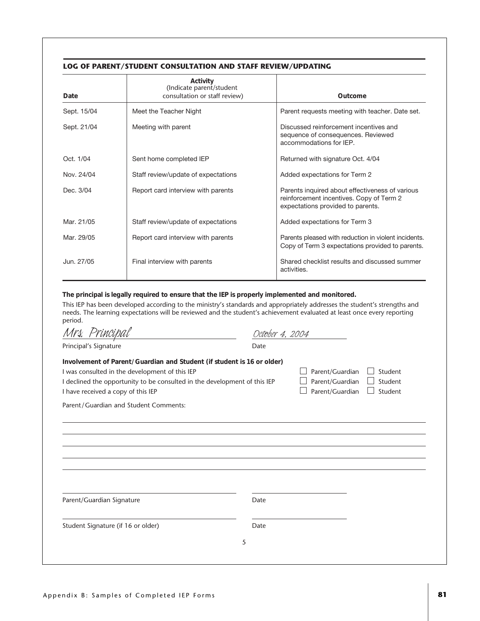#### **LOG OF PARENT/STUDENT CONSULTATION AND STAFF REVIEW/UPDATING**

| Date        | Activity<br>(Indicate parent/student<br>consultation or staff review) | Outcome                                                                                                                          |
|-------------|-----------------------------------------------------------------------|----------------------------------------------------------------------------------------------------------------------------------|
| Sept. 15/04 | Meet the Teacher Night                                                | Parent requests meeting with teacher. Date set.                                                                                  |
| Sept. 21/04 | Meeting with parent                                                   | Discussed reinforcement incentives and<br>sequence of consequences. Reviewed<br>accommodations for IFP.                          |
| Oct. 1/04   | Sent home completed IEP                                               | Returned with signature Oct. 4/04                                                                                                |
| Nov. 24/04  | Staff review/update of expectations                                   | Added expectations for Term 2                                                                                                    |
| Dec. 3/04   | Report card interview with parents                                    | Parents inquired about effectiveness of various<br>reinforcement incentives. Copy of Term 2<br>expectations provided to parents. |
| Mar. 21/05  | Staff review/update of expectations                                   | Added expectations for Term 3                                                                                                    |
| Mar. 29/05  | Report card interview with parents                                    | Parents pleased with reduction in violent incidents.<br>Copy of Term 3 expectations provided to parents.                         |
| Jun. 27/05  | Final interview with parents                                          | Shared checklist results and discussed summer<br>activities.                                                                     |

**The principal is legally required to ensure that the IEP is properly implemented and monitored.**

This IEP has been developed according to the ministry's standards and appropriately addresses the student's strengths and needs. The learning expectations will be reviewed and the student's achievement evaluated at least once every reporting period.<br> $\frac{1}{2}$ 

|                                                                                                                                                                                                                                             | October 4. 2004 |                                                       |                               |
|---------------------------------------------------------------------------------------------------------------------------------------------------------------------------------------------------------------------------------------------|-----------------|-------------------------------------------------------|-------------------------------|
| Principal's Signature                                                                                                                                                                                                                       | Date            |                                                       |                               |
| Involvement of Parent/Guardian and Student (if student is 16 or older)<br>I was consulted in the development of this IEP<br>I declined the opportunity to be consulted in the development of this IEP<br>I have received a copy of this IEP |                 | Parent/Guardian<br>Parent/Guardian<br>Parent/Guardian | Student<br>Student<br>Student |
| Parent/Guardian and Student Comments:                                                                                                                                                                                                       |                 |                                                       |                               |
|                                                                                                                                                                                                                                             |                 |                                                       |                               |
|                                                                                                                                                                                                                                             |                 |                                                       |                               |
|                                                                                                                                                                                                                                             |                 |                                                       |                               |
|                                                                                                                                                                                                                                             |                 |                                                       |                               |
|                                                                                                                                                                                                                                             |                 |                                                       |                               |
| Parent/Guardian Signature                                                                                                                                                                                                                   | Date            |                                                       |                               |
|                                                                                                                                                                                                                                             |                 |                                                       |                               |
|                                                                                                                                                                                                                                             |                 |                                                       |                               |
| Student Signature (if 16 or older)                                                                                                                                                                                                          | Date            |                                                       |                               |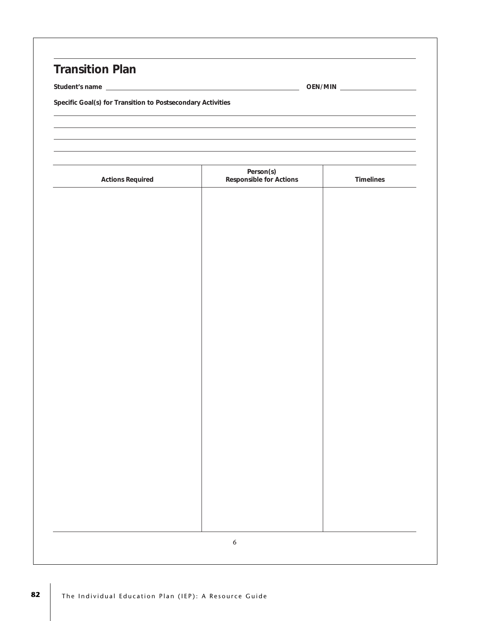### **Transition Plan**

**Student's name OEN/MIN**

**Specific Goal(s) for Transition to Postsecondary Activities**

| <b>Actions Required</b> | Person(s)<br>Responsible for Actions | Timelines |
|-------------------------|--------------------------------------|-----------|
|                         |                                      |           |
|                         |                                      |           |
|                         |                                      |           |
|                         |                                      |           |
|                         |                                      |           |
|                         |                                      |           |
|                         |                                      |           |
|                         |                                      |           |
|                         |                                      |           |
|                         |                                      |           |
|                         |                                      |           |
|                         |                                      |           |
|                         |                                      |           |
|                         |                                      |           |
|                         |                                      |           |
|                         |                                      |           |
|                         |                                      |           |
|                         |                                      |           |
|                         |                                      |           |
|                         |                                      |           |
|                         |                                      |           |
|                         |                                      |           |
|                         | $\boldsymbol{6}$                     |           |